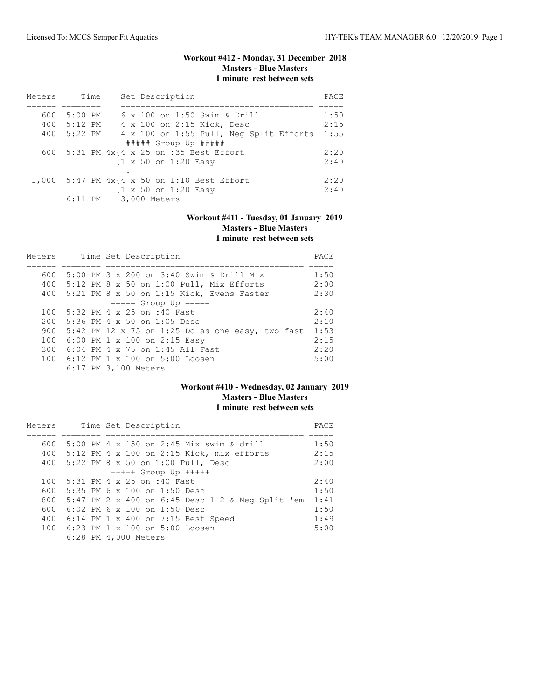# **Workout #412 - Monday, 31 December 2018 Masters - Blue Masters 1 minute rest between sets**

| Meters | Time        | Set Description                                    | <b>PACE</b> |
|--------|-------------|----------------------------------------------------|-------------|
|        |             |                                                    |             |
| 600    | $5:00$ PM   | 6 x 100 on 1:50 Swim & Drill                       | 1:50        |
|        | 400 5:12 PM | 4 x 100 on 2:15 Kick, Desc                         | 2:15        |
|        | 400 5:22 PM | 4 x 100 on 1:55 Pull, Neg Split Efforts            | 1:55        |
|        |             | $\#$ #### Group Up $\#$ ####                       |             |
|        |             | 600 5:31 PM 4x{4 x 25 on :35 Best Effort           | 2:20        |
|        |             | $\{1 \times 50 \text{ on } 1:20 \text{ Easy}\}$    | 2:40        |
|        |             |                                                    |             |
|        |             | 1,000 5:47 PM $4x/4 \times 50$ on 1:10 Best Effort | 2:20        |
|        |             | $\{1 \times 50 \text{ on } 1:20 \text{ Easy}\}$    | 2:40        |
|        | $6:11$ PM   | 3,000 Meters                                       |             |

# **Workout #411 - Tuesday, 01 January 2019 Masters - Blue Masters 1 minute rest between sets**

| Meters |  | Time Set Description                              |      |  |  |  |  |  |
|--------|--|---------------------------------------------------|------|--|--|--|--|--|
|        |  |                                                   |      |  |  |  |  |  |
| 600    |  | 5:00 PM $3 \times 200$ on $3:40$ Swim & Drill Mix | 1:50 |  |  |  |  |  |
| 400    |  | 5:12 PM 8 x 50 on 1:00 Pull, Mix Efforts          | 2:00 |  |  |  |  |  |
| 400    |  | 5:21 PM 8 x 50 on 1:15 Kick, Evens Faster         | 2:30 |  |  |  |  |  |
|        |  | $====$ Group Up $====$                            |      |  |  |  |  |  |
| 100    |  | 5:32 PM 4 x 25 on :40 Fast                        | 2:40 |  |  |  |  |  |
| 200    |  | $5:36$ PM 4 x 50 on $1:05$ Desc                   | 2:10 |  |  |  |  |  |
| 900    |  | 5:42 PM 12 x 75 on 1:25 Do as one easy, two fast  | 1:53 |  |  |  |  |  |
| 100    |  | 6:00 PM 1 x 100 on 2:15 Easy                      | 2:15 |  |  |  |  |  |
| 300    |  | $6:04$ PM $4 \times 75$ on 1:45 All Fast          | 2:20 |  |  |  |  |  |
| 100    |  | 6:12 PM $1 \times 100$ on $5:00$ Loosen           | 5:00 |  |  |  |  |  |
|        |  | 6:17 PM 3,100 Meters                              |      |  |  |  |  |  |

### **Workout #410 - Wednesday, 02 January 2019 Masters - Blue Masters 1 minute rest between sets**

| Meters |  | Time Set Description                             |      |  |  |  |  |  |
|--------|--|--------------------------------------------------|------|--|--|--|--|--|
|        |  |                                                  |      |  |  |  |  |  |
| 600    |  | 5:00 PM 4 x 150 on 2:45 Mix swim & drill         | 1:50 |  |  |  |  |  |
|        |  | 400 5:12 PM 4 x 100 on 2:15 Kick, mix efforts    | 2:15 |  |  |  |  |  |
|        |  | 400 5:22 PM 8 x 50 on 1:00 Pull, Desc            | 2:00 |  |  |  |  |  |
|        |  | $++++$ Group Up $++++$                           |      |  |  |  |  |  |
| 100    |  | 5:31 PM 4 x 25 on :40 Fast                       | 2:40 |  |  |  |  |  |
| 600 -  |  | $5:35$ PM 6 x 100 on 1:50 Desc                   | 1:50 |  |  |  |  |  |
| 800    |  | 5:47 PM 2 x 400 on 6:45 Desc 1-2 & Neg Split 'em | 1:41 |  |  |  |  |  |
| 600    |  | 6:02 PM 6 x 100 on 1:50 Desc                     | 1:50 |  |  |  |  |  |
| 400    |  | 6:14 PM 1 x 400 on 7:15 Best Speed               | 1:49 |  |  |  |  |  |
|        |  | 100 6:23 PM 1 x 100 on 5:00 Loosen               | 5:00 |  |  |  |  |  |
|        |  | 6:28 PM 4,000 Meters                             |      |  |  |  |  |  |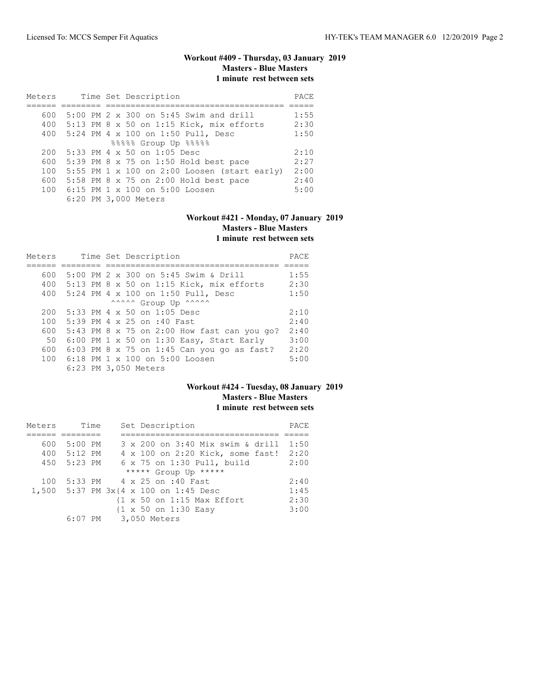# **Workout #409 - Thursday, 03 January 2019 Masters - Blue Masters 1 minute rest between sets**

| Meters |  | Time Set Description                         | PACE |
|--------|--|----------------------------------------------|------|
|        |  |                                              |      |
| 600    |  | 5:00 PM 2 x 300 on 5:45 Swim and drill       | 1:55 |
|        |  | 400 5:13 PM 8 x 50 on 1:15 Kick, mix efforts | 2:30 |
|        |  | 400 5:24 PM 4 x 100 on 1:50 Pull, Desc       | 1:50 |
|        |  | 88888 Group Up 88888                         |      |
| 200    |  | 5:33 PM 4 x 50 on 1:05 Desc                  | 2:10 |
| 600    |  | 5:39 PM 8 x 75 on 1:50 Hold best pace        | 2:27 |
| 100    |  | 5:55 PM 1 x 100 on 2:00 Loosen (start early) | 2:00 |
| 600    |  | 5:58 PM 8 x 75 on 2:00 Hold best pace        | 2:40 |
| 100    |  | 6:15 PM $1 \times 100$ on 5:00 Loosen        | 5:00 |
|        |  | 6:20 PM 3,000 Meters                         |      |

# **Workout #421 - Monday, 07 January 2019 Masters - Blue Masters 1 minute rest between sets**

| Meters |  |  | Time Set Description                        | PACE |
|--------|--|--|---------------------------------------------|------|
|        |  |  |                                             |      |
| 600    |  |  | 5:00 PM 2 x 300 on 5:45 Swim & Drill        | 1:55 |
| 400    |  |  | 5:13 PM 8 x 50 on 1:15 Kick, mix efforts    | 2:30 |
| 400    |  |  | 5:24 PM 4 x 100 on 1:50 Pull, Desc          | 1:50 |
|        |  |  | ^^^^^^ Group Up ^^^^^^                      |      |
| 200    |  |  | $5:33$ PM 4 x 50 on 1:05 Desc               | 2:10 |
| 100    |  |  | 5:39 PM 4 x 25 on :40 Fast                  | 2:40 |
| 600    |  |  | 5:43 PM 8 x 75 on 2:00 How fast can you go? | 2:40 |
| 50     |  |  | 6:00 PM 1 x 50 on 1:30 Easy, Start Early    | 3:00 |
| 600    |  |  | 6:03 PM 8 x 75 on 1:45 Can you go as fast?  | 2:20 |
| 100    |  |  | 6:18 PM 1 x 100 on 5:00 Loosen              | 5:00 |
|        |  |  | 6:23 PM 3,050 Meters                        |      |

### **Workout #424 - Tuesday, 08 January 2019 Masters - Blue Masters 1 minute rest between sets**

| Meters | Time        |  | Set Description                                       | PACE |
|--------|-------------|--|-------------------------------------------------------|------|
|        |             |  |                                                       |      |
| 600    | 5:00 PM     |  | 3 x 200 on 3:40 Mix swim & drill                      | 1:50 |
|        | 400 5:12 PM |  | 4 x 100 on 2:20 Kick, some fast!                      | 2:20 |
| 450    | 5:23 PM     |  | 6 x 75 on 1:30 Pull, build                            | 2:00 |
|        |             |  | ***** Group Up *****                                  |      |
| 100    |             |  | 5:33 PM 4 x 25 on :40 Fast                            | 2:40 |
|        |             |  | 1,500 5:37 PM 3x{4 x 100 on 1:45 Desc                 | 1:45 |
|        |             |  | $\{1 \times 50 \text{ on } 1:15 \text{ Max Effect}\}$ | 2:30 |
|        |             |  | {1 x 50 on 1:30 Easy                                  | 3:00 |
|        |             |  | 6:07 PM 3,050 Meters                                  |      |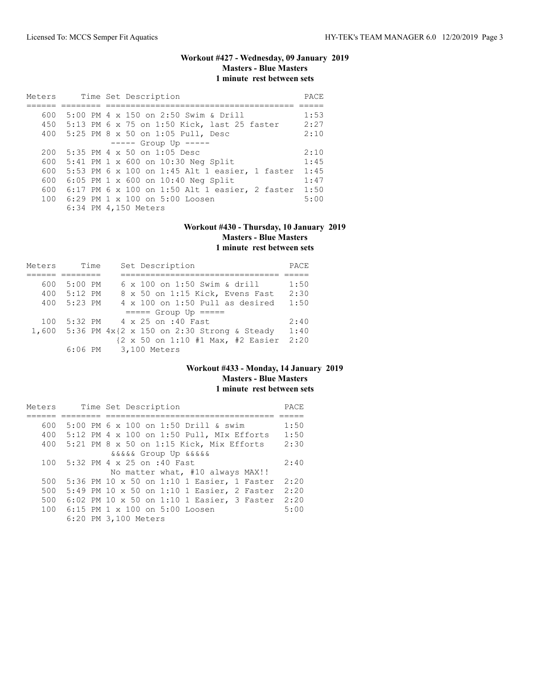# **Workout #427 - Wednesday, 09 January 2019 Masters - Blue Masters 1 minute rest between sets**

| Meters |  | Time Set Description                            |      |  |  |  |  |
|--------|--|-------------------------------------------------|------|--|--|--|--|
|        |  |                                                 |      |  |  |  |  |
| 600    |  | 5:00 PM 4 x 150 on 2:50 Swim & Drill            | 1:53 |  |  |  |  |
|        |  | 450 5:13 PM 6 x 75 on 1:50 Kick, last 25 faster | 2:27 |  |  |  |  |
|        |  | 400 5:25 PM 8 x 50 on 1:05 Pull, Desc           | 2:10 |  |  |  |  |
|        |  | $--- -$ Group Up $---$                          |      |  |  |  |  |
|        |  | $200$ 5:35 PM 4 x 50 on 1:05 Desc               | 2:10 |  |  |  |  |
|        |  | 600 5:41 PM 1 x 600 on 10:30 Neg Split          | 1:45 |  |  |  |  |
| 600    |  | 5:53 PM 6 x 100 on 1:45 Alt 1 easier, 1 faster  | 1:45 |  |  |  |  |
| 600    |  | 6:05 PM 1 x 600 on 10:40 Neg Split              | 1:47 |  |  |  |  |
| 600    |  | 6:17 PM 6 x 100 on 1:50 Alt 1 easier, 2 faster  | 1:50 |  |  |  |  |
|        |  | 100 6:29 PM 1 x 100 on 5:00 Loosen              | 5:00 |  |  |  |  |
|        |  | 6:34 PM 4,150 Meters                            |      |  |  |  |  |

#### **Workout #430 - Thursday, 10 January 2019 Masters - Blue Masters 1 minute rest between sets**

| Meters | Time      | Set Description                            | PACE |
|--------|-----------|--------------------------------------------|------|
|        |           |                                            |      |
| 600    | $5:00$ PM | 6 x 100 on 1:50 Swim & drill               | 1:50 |
| 400    | 5:12 PM   | 8 x 50 on 1:15 Kick, Evens Fast            | 2:30 |
| 400    | 5:23 PM   | $4 \times 100$ on 1:50 Pull as desired     | 1:50 |
|        |           | $====$ Group Up $====$                     |      |
| 100    |           | 5:32 PM 4 x 25 on :40 Fast                 | 2:40 |
| 1,600  |           | 5:36 PM 4x{2 x 150 on 2:30 Strong & Steady | 1:40 |
|        |           | {2 x 50 on 1:10 #1 Max, #2 Easier          | 2:20 |
|        |           | 6:06 PM 3,100 Meters                       |      |

### **Workout #433 - Monday, 14 January 2019 Masters - Blue Masters 1 minute rest between sets**

| Meters |  | Time Set Description                        | PACE |
|--------|--|---------------------------------------------|------|
|        |  |                                             |      |
| 600    |  | 5:00 PM 6 x 100 on 1:50 Drill & swim        | 1:50 |
| 400    |  | $5:12$ PM 4 x 100 on 1:50 Pull, MIx Efforts | 1:50 |
| 400    |  | 5:21 PM 8 x 50 on 1:15 Kick, Mix Efforts    | 2:30 |
|        |  | <i>aaaaa</i> Group Up aaaaa                 |      |
| 100    |  | 5:32 PM 4 x 25 on :40 Fast                  | 2:40 |
|        |  | No matter what, #10 always MAX!!            |      |
| 500    |  | 5:36 PM 10 x 50 on 1:10 1 Easier, 1 Faster  | 2:20 |
| 500    |  | 5:49 PM 10 x 50 on 1:10 1 Easier, 2 Faster  | 2:20 |
| 500    |  | 6:02 PM 10 x 50 on 1:10 1 Easier, 3 Faster  | 2:20 |
| 100    |  | 6:15 PM 1 x 100 on 5:00 Loosen              | 5:00 |
|        |  | 6:20 PM 3,100 Meters                        |      |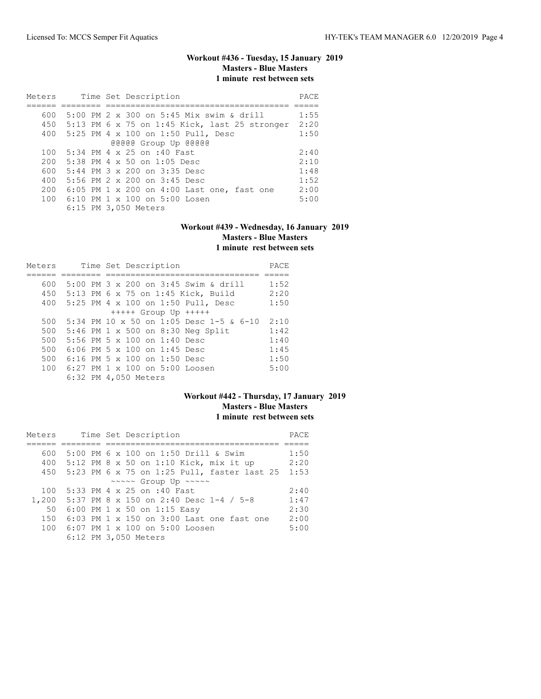# **Workout #436 - Tuesday, 15 January 2019 Masters - Blue Masters 1 minute rest between sets**

| Meters | Time Set Description                              | PACE |
|--------|---------------------------------------------------|------|
|        |                                                   |      |
| 600    | 5:00 PM 2 x 300 on 5:45 Mix swim & drill          | 1:55 |
|        | 450 5:13 PM 6 x 75 on 1:45 Kick, last 25 stronger | 2:20 |
|        | 400 5:25 PM 4 x 100 on 1:50 Pull, Desc            | 1:50 |
|        | @@@@@ Group Up @@@@@                              |      |
| 100    | 5:34 PM 4 x 25 on :40 Fast                        | 2:40 |
| 200    | $5:38$ PM 4 $\times$ 50 on 1:05 Desc              | 2:10 |
| 600    | 5:44 PM 3 x 200 on 3:35 Desc                      | 1:48 |
| 400    | 5:56 PM 2 x 200 on 3:45 Desc                      | 1:52 |
| 200    | 6:05 PM 1 x 200 on 4:00 Last one, fast one        | 2:00 |
| 100    | 6:10 PM $1 \times 100$ on $5:00$ Losen            | 5:00 |
|        | 6:15 PM 3,050 Meters                              |      |

#### **Workout #439 - Wednesday, 16 January 2019 Masters - Blue Masters 1 minute rest between sets**

| Meters |                                       |  |  | Time Set Description |                                           | PACE |
|--------|---------------------------------------|--|--|----------------------|-------------------------------------------|------|
|        |                                       |  |  |                      |                                           |      |
| 600    |                                       |  |  |                      | 5:00 PM 3 x 200 on 3:45 Swim & drill      | 1:52 |
| 450    |                                       |  |  |                      | 5:13 PM 6 x 75 on 1:45 Kick, Build        | 2:20 |
| 400    |                                       |  |  |                      | 5:25 PM 4 x 100 on 1:50 Pull, Desc        | 1:50 |
|        |                                       |  |  |                      | $++++$ Group Up $++++$                    |      |
| 500    |                                       |  |  |                      | 5:34 PM 10 x 50 on 1:05 Desc 1-5 & 6-10   | 2:10 |
| 500    |                                       |  |  |                      | 5:46 PM 1 x 500 on 8:30 Neg Split         | 1:42 |
| 500    | 5:56 PM 5 $\times$ 100 on 1:40 Desc   |  |  |                      |                                           | 1:40 |
| 500    | $6:06$ PM 5 $\times$ 100 on 1:45 Desc |  |  |                      |                                           | 1:45 |
| 500    | 6:16 PM 5 x 100 on 1:50 Desc          |  |  |                      |                                           | 1:50 |
| 100    |                                       |  |  |                      | $6:27$ PM $1 \times 100$ on $5:00$ Loosen | 5:00 |
|        | 6:32 PM 4,050 Meters                  |  |  |                      |                                           |      |

# **Workout #442 - Thursday, 17 January 2019 Masters - Blue Masters 1 minute rest between sets**

| Meters |  | Time Set Description                        | PACE |
|--------|--|---------------------------------------------|------|
|        |  |                                             |      |
| 600    |  | 5:00 PM 6 x 100 on 1:50 Drill & Swim        | 1:50 |
| 400    |  | 5:12 PM 8 x 50 on 1:10 Kick, mix it up      | 2:20 |
| 450    |  | 5:23 PM 6 x 75 on 1:25 Pull, faster last 25 | 1:53 |
|        |  | ~~~~~ Group Up ~~~~~                        |      |
| 100    |  | 5:33 PM 4 x 25 on :40 Fast                  | 2:40 |
| 1,200  |  | 5:37 PM 8 x 150 on 2:40 Desc 1-4 / 5-8      | 1:47 |
| 50     |  | 6:00 PM 1 x 50 on 1:15 Easy                 | 2:30 |
| 150    |  | $6:03$ PM 1 x 150 on 3:00 Last one fast one | 2:00 |
| 100    |  | 6:07 PM 1 x 100 on 5:00 Loosen              | 5:00 |
|        |  | 6:12 PM 3,050 Meters                        |      |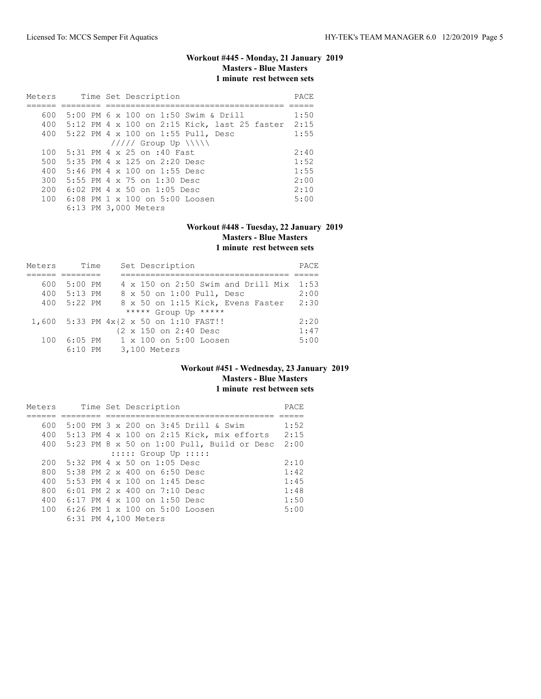# **Workout #445 - Monday, 21 January 2019 Masters - Blue Masters 1 minute rest between sets**

| Meters | Time Set Description                         | PACE |
|--------|----------------------------------------------|------|
|        |                                              |      |
| 600    | 5:00 PM 6 x 100 on 1:50 Swim & Drill         | 1:50 |
| 400    | 5:12 PM 4 x 100 on 2:15 Kick, last 25 faster | 2:15 |
|        | 400 5:22 PM 4 x 100 on 1:55 Pull, Desc       | 1:55 |
|        | $11111$ Group Up $\N\$                       |      |
| 100    | 5:31 PM 4 x 25 on :40 Fast                   | 2:40 |
| 500    | 5:35 PM 4 $\times$ 125 on 2:20 Desc          | 1:52 |
| 400    | $5:46$ PM 4 x 100 on 1:55 Desc               | 1:55 |
| 300    | 5:55 PM 4 x 75 on 1:30 Desc                  | 2:00 |
| 200    | 6:02 PM 4 x 50 on 1:05 Desc                  | 2:10 |
| 100    | $6:08$ PM $1 \times 100$ on $5:00$ Loosen    | 5:00 |
|        | 6:13 PM 3,000 Meters                         |      |

#### **Workout #448 - Tuesday, 22 January 2019 Masters - Blue Masters 1 minute rest between sets**

| Meters | Time        | Set Description                           | PACE |
|--------|-------------|-------------------------------------------|------|
|        |             |                                           |      |
| 600    | 5:00 PM     | $4 \times 150$ on 2:50 Swim and Drill Mix | 1:53 |
|        | 400 5:13 PM | 8 x 50 on 1:00 Pull, Desc                 | 2:00 |
| 400    | 5:22 PM     | 8 x 50 on 1:15 Kick, Evens Faster         | 2:30 |
|        |             | ***** Group Up *****                      |      |
|        |             | 1,600 5:33 PM 4x{2 x 50 on 1:10 FAST!!    | 2:20 |
|        |             | {2 x 150 on 2:40 Desc                     | 1:47 |
| 100    | 6:05 PM     | $1 \times 100$ on $5:00$ Loosen           | 5:00 |
|        | $6:10$ PM   | 3,100 Meters                              |      |

### **Workout #451 - Wednesday, 23 January 2019 Masters - Blue Masters 1 minute rest between sets**

| Meters |  | Time Set Description                         | PACE |
|--------|--|----------------------------------------------|------|
|        |  |                                              |      |
| 600    |  | 5:00 PM 3 x 200 on 3:45 Drill & Swim         | 1:52 |
| 400    |  | $5:13$ PM 4 x 100 on 2:15 Kick, mix efforts  | 2:15 |
| 400    |  | $5:23$ PM 8 x 50 on 1:00 Pull, Build or Desc | 2:00 |
|        |  | $:::::$ Group Up $:::::$                     |      |
| 200    |  | $5:32$ PM 4 x 50 on 1:05 Desc                | 2:10 |
| 800    |  | $5:38$ PM $2 \times 400$ on 6:50 Desc        | 1:42 |
| 400    |  | 5:53 PM 4 $\times$ 100 on 1:45 Desc          | 1:45 |
| 800    |  | $6:01$ PM $2 \times 400$ on $7:10$ Desc      | 1:48 |
| 400    |  | 6:17 PM 4 x 100 on 1:50 Desc                 | 1:50 |
| 100    |  | $6:26$ PM $1 \times 100$ on $5:00$ Loosen    | 5:00 |
|        |  | 6:31 PM 4,100 Meters                         |      |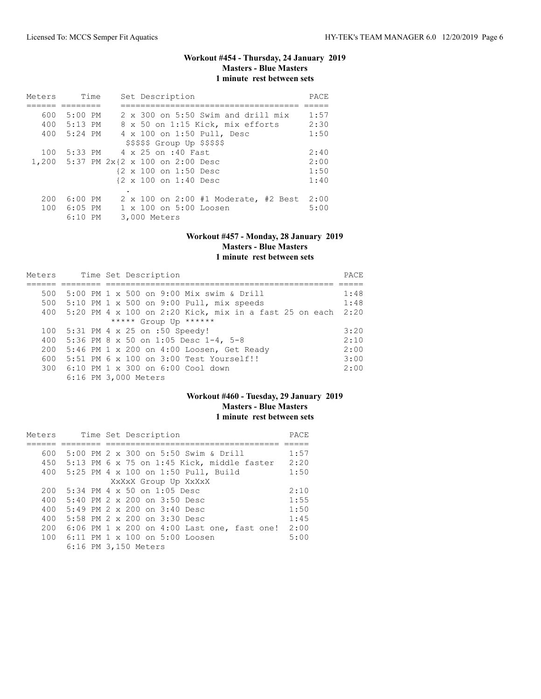# **Workout #454 - Thursday, 24 January 2019 Masters - Blue Masters 1 minute rest between sets**

| Meters |             | Time | Set Description                           | PACE |
|--------|-------------|------|-------------------------------------------|------|
|        |             |      |                                           |      |
| 600    | $5:00$ PM   |      | $2 \times 300$ on 5:50 Swim and drill mix | 1:57 |
|        | 400 5:13 PM |      | 8 x 50 on 1:15 Kick, mix efforts          | 2:30 |
|        | 400 5:24 PM |      | 4 x 100 on 1:50 Pull, Desc                | 1:50 |
|        |             |      | $$$ \$\$\$\$\$ Group Up \$\$\$\$\$        |      |
| 100    |             |      | 5:33 PM 4 x 25 on :40 Fast                | 2:40 |
|        |             |      | 1,200 5:37 PM 2x{2 x 100 on 2:00 Desc     | 2:00 |
|        |             |      | {2 x 100 on 1:50 Desc                     | 1:50 |
|        |             |      | {2 x 100 on 1:40 Desc                     | 1:40 |
|        |             |      |                                           |      |
| 200    | $6:00$ PM   |      | 2 x 100 on 2:00 #1 Moderate, #2 Best      | 2:00 |
|        | 100 6:05 PM |      | 1 x 100 on 5:00 Loosen                    | 5:00 |
|        | $6:10$ PM   |      | 3,000 Meters                              |      |

#### **Workout #457 - Monday, 28 January 2019 Masters - Blue Masters 1 minute rest between sets**

| Meters |  | Time Set Description                                          | PACE |
|--------|--|---------------------------------------------------------------|------|
|        |  |                                                               |      |
| 500    |  | 5:00 PM 1 x 500 on 9:00 Mix swim & Drill                      | 1:48 |
| 500    |  | $5:10$ PM 1 x 500 on 9:00 Pull, mix speeds                    | 1:48 |
| 400    |  | 5:20 PM $4 \times 100$ on 2:20 Kick, mix in a fast 25 on each | 2:20 |
|        |  | ***** Group Up ******                                         |      |
| 100    |  | 5:31 PM 4 x 25 on :50 Speedy!                                 | 3:20 |
| 400    |  | 5:36 PM 8 x 50 on 1:05 Desc 1-4, 5-8                          | 2:10 |
| 200    |  | 5:46 PM 1 x 200 on 4:00 Loosen, Get Ready                     | 2:00 |
| 600    |  | 5:51 PM 6 x 100 on 3:00 Test Yourself!!                       | 3:00 |
|        |  | 300 6:10 PM 1 x 300 on 6:00 Cool down                         | 2:00 |
|        |  | 6:16 PM 3,000 Meters                                          |      |

# **Workout #460 - Tuesday, 29 January 2019 Masters - Blue Masters 1 minute rest between sets**

| Meters |  | Time Set Description                        | <b>PACE</b> |
|--------|--|---------------------------------------------|-------------|
|        |  |                                             |             |
| 600    |  | 5:00 PM 2 x 300 on 5:50 Swim & Drill        | 1:57        |
| 450    |  | 5:13 PM 6 x 75 on 1:45 Kick, middle faster  | 2:20        |
| 400    |  | 5:25 PM 4 x 100 on 1:50 Pull, Build         | 1:50        |
|        |  | XxXxX Group Up XxXxX                        |             |
| 200    |  | $5:34$ PM 4 x 50 on 1:05 Desc               | 2:10        |
| 400    |  | $5:40$ PM 2 x 200 on 3:50 Desc              | 1:55        |
| 400    |  | $5:49$ PM 2 x 200 on $3:40$ Desc            | 1:50        |
| 400    |  | 5:58 PM $2 \times 200$ on $3:30$ Desc       | 1:45        |
| 200    |  | 6:06 PM 1 x 200 on 4:00 Last one, fast one! | 2:00        |
|        |  | 100 6:11 PM 1 x 100 on 5:00 Loosen          | 5:00        |
|        |  | 6:16 PM 3,150 Meters                        |             |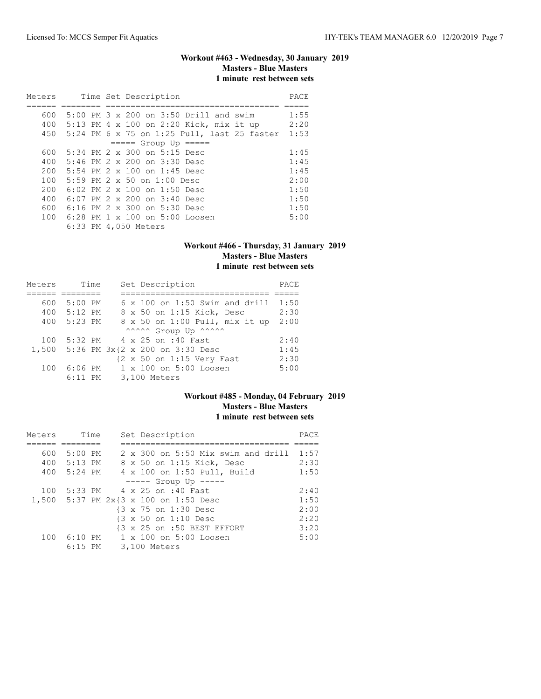# **Workout #463 - Wednesday, 30 January 2019 Masters - Blue Masters 1 minute rest between sets**

| Meters |  |  | Time Set Description                            | PACE |
|--------|--|--|-------------------------------------------------|------|
|        |  |  |                                                 |      |
| 600    |  |  | 5:00 PM 3 x 200 on 3:50 Drill and swim          | 1:55 |
| 400    |  |  | 5:13 PM 4 x 100 on 2:20 Kick, mix it up         | 2:20 |
|        |  |  | 450 5:24 PM 6 x 75 on 1:25 Pull, last 25 faster | 1:53 |
|        |  |  | $== == $ Group Up $== == $                      |      |
| 600    |  |  | 5:34 PM 2 x 300 on 5:15 Desc                    | 1:45 |
| 400    |  |  | $5:46$ PM $2 \times 200$ on $3:30$ Desc         | 1:45 |
| 200    |  |  | 5:54 PM 2 x 100 on 1:45 Desc                    | 1:45 |
| 100    |  |  | 5:59 PM $2 \times 50$ on $1:00$ Desc            | 2:00 |
| 200    |  |  | 6:02 PM 2 x 100 on 1:50 Desc                    | 1:50 |
| 400    |  |  | $6:07$ PM $2 \times 200$ on $3:40$ Desc         | 1:50 |
| 600    |  |  | 6:16 PM 2 x 300 on 5:30 Desc                    | 1:50 |
| 100    |  |  | $6:28$ PM $1 \times 100$ on $5:00$ Loosen       | 5:00 |
|        |  |  | 6:33 PM 4,050 Meters                            |      |

#### **Workout #466 - Thursday, 31 January 2019 Masters - Blue Masters 1 minute rest between sets**

| Meters | Time      |              | Set Description                       | PACE |
|--------|-----------|--------------|---------------------------------------|------|
|        |           |              |                                       |      |
| 600    | $5:00$ PM |              | $6 \times 100$ on 1:50 Swim and drill | 1:50 |
| 400    | 5:12 PM   |              | 8 x 50 on 1:15 Kick, Desc             | 2:30 |
| 400    | 5:23 PM   |              | 8 x 50 on 1:00 Pull, mix it up        | 2:00 |
|        |           |              | ^^^^^^ Group Up ^^^^^^                |      |
| 100    |           |              | 5:32 PM 4 x 25 on :40 Fast            | 2:40 |
|        |           |              | 1,500 5:36 PM 3x{2 x 200 on 3:30 Desc | 1:45 |
|        |           |              | {2 x 50 on 1:15 Very Fast             | 2:30 |
| 100    | $6:06$ PM |              | 1 x 100 on 5:00 Loosen                | 5:00 |
|        | $6:11$ PM | 3,100 Meters |                                       |      |

# **Workout #485 - Monday, 04 February 2019 Masters - Blue Masters 1 minute rest between sets**

| Meters |             | Time |  | Set Description                           | PACE |
|--------|-------------|------|--|-------------------------------------------|------|
|        |             |      |  |                                           |      |
| 600    | 5:00 PM     |      |  | $2 \times 300$ on 5:50 Mix swim and drill | 1:57 |
|        | 400 5:13 PM |      |  | 8 x 50 on 1:15 Kick, Desc                 | 2:30 |
|        | 400 5:24 PM |      |  | 4 x 100 on 1:50 Pull, Build               | 1:50 |
|        |             |      |  | $--- $ Group Up $--- $                    |      |
|        |             |      |  | 100 5:33 PM 4 x 25 on :40 Fast            | 2:40 |
|        |             |      |  | 1,500 5:37 PM 2x{3 x 100 on 1:50 Desc     | 1:50 |
|        |             |      |  | {3 x 75 on 1:30 Desc                      | 2:00 |
|        |             |      |  | {3 x 50 on 1:10 Desc                      | 2:20 |
|        |             |      |  | {3 x 25 on :50 BEST EFFORT                | 3:20 |
| 100    |             |      |  | 6:10 PM 1 x 100 on 5:00 Loosen            | 5:00 |
|        | $6:15$ PM   |      |  | 3,100 Meters                              |      |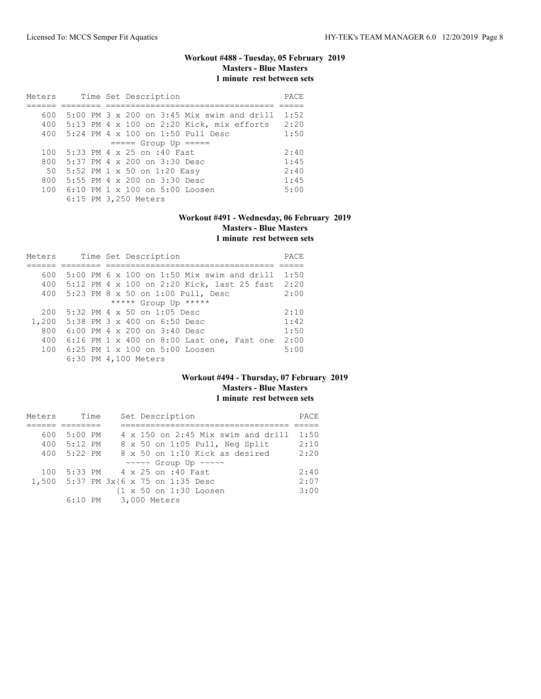# **Workout #488 - Tuesday, 05 February 2019 Masters - Blue Masters 1 minute rest between sets**

| Meters |  | Time Set Description                         | PACE |
|--------|--|----------------------------------------------|------|
|        |  |                                              |      |
| 600    |  | $5:00$ PM 3 x 200 on 3:45 Mix swim and drill | 1:52 |
| 400    |  | 5:13 PM 4 x 100 on 2:20 Kick, mix efforts    | 2:20 |
| 400    |  | 5:24 PM 4 x 100 on 1:50 Pull Desc            | 1:50 |
|        |  | $==== $ Group Up =====                       |      |
| 100    |  | 5:33 PM 4 x 25 on :40 Fast                   | 2:40 |
| 800    |  | 5:37 PM 4 x 200 on 3:30 Desc                 | 1:45 |
| 50     |  | 5:52 PM 1 x 50 on 1:20 Easy                  | 2:40 |
| 800    |  | 5:55 PM 4 x 200 on 3:30 Desc                 | 1:45 |
| 100    |  | $6:10$ PM $1 \times 100$ on $5:00$ Loosen    | 5:00 |
|        |  | 6:15 PM 3,250 Meters                         |      |

# **Workout #491 - Wednesday, 06 February 2019 Masters - Blue Masters 1 minute rest between sets**

| Meters |  | Time Set Description                         | PACE |
|--------|--|----------------------------------------------|------|
|        |  |                                              |      |
| 600    |  | $5:00$ PM 6 x 100 on 1:50 Mix swim and drill | 1:50 |
| 400    |  | 5:12 PM 4 x 100 on 2:20 Kick, last 25 fast   | 2:20 |
| 400    |  | 5:23 PM 8 x 50 on 1:00 Pull, Desc            | 2:00 |
|        |  | ***** Group Up *****                         |      |
| 200    |  | 5:32 PM 4 x 50 on 1:05 Desc                  | 2:10 |
| 1,200  |  | 5:38 PM 3 x 400 on 6:50 Desc                 | 1:42 |
| 800    |  | 6:00 PM 4 x 200 on 3:40 Desc                 | 1:50 |
| 400    |  | 6:16 PM 1 x 400 on 8:00 Last one, Fast one   | 2:00 |
| 100    |  | $6:25$ PM $1 \times 100$ on $5:00$ Loosen    | 5:00 |
|        |  | 6:30 PM 4,100 Meters                         |      |

### **Workout #494 - Thursday, 07 February 2019 Masters - Blue Masters 1 minute rest between sets**

| Meters |             | Time | Set Description                                   | PACE |
|--------|-------------|------|---------------------------------------------------|------|
|        |             |      |                                                   |      |
| 600    | $5:00$ PM   |      | $4 \times 150$ on 2:45 Mix swim and drill         | 1:50 |
|        | 400 5:12 PM |      | 8 x 50 on 1:05 Pull, Neg Split                    | 2:10 |
| 400    | 5:22 PM     |      | $8 \times 50$ on 1:10 Kick as desired             | 2:20 |
|        |             |      | ~~~~~ Group Up ~~~~~                              |      |
| 100    |             |      | 5:33 PM 4 x 25 on :40 Fast                        | 2:40 |
|        |             |      | 1,500 5:37 PM 3x{6 x 75 on 1:35 Desc              | 2:07 |
|        |             |      | $\{1 \times 50 \text{ on } 1:30 \text{ Loosen}\}$ | 3:00 |
|        |             |      | 6:10 PM 3,000 Meters                              |      |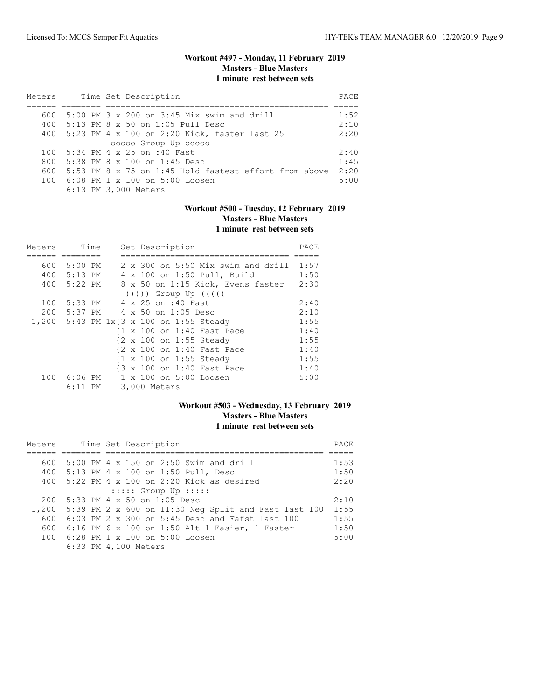### **Workout #497 - Monday, 11 February 2019 Masters - Blue Masters 1 minute rest between sets**

| Meters |  | Time Set Description                                  |      |
|--------|--|-------------------------------------------------------|------|
|        |  |                                                       |      |
| 600    |  | $5:00$ PM 3 x 200 on 3:45 Mix swim and drill          | 1:52 |
| 400    |  | 5:13 PM 8 x 50 on 1:05 Pull Desc                      | 2:10 |
|        |  | 400 5:23 PM 4 x 100 on 2:20 Kick, faster last 25      | 2:20 |
|        |  | 00000 Group Up 00000                                  |      |
| 100    |  | 5:34 PM 4 x 25 on :40 Fast                            | 2:40 |
| 800    |  | $5:38$ PM $8 \times 100$ on 1:45 Desc                 | 1:45 |
| 600    |  | 5:53 PM 8 x 75 on 1:45 Hold fastest effort from above | 2:20 |
|        |  | 100 6:08 PM 1 x 100 on 5:00 Loosen                    | 5:00 |
|        |  | 6:13 PM 3,000 Meters                                  |      |

### **Workout #500 - Tuesday, 12 February 2019 Masters - Blue Masters 1 minute rest between sets**

| Meters |             | Time | Set Description                                    | PACE |
|--------|-------------|------|----------------------------------------------------|------|
|        |             |      |                                                    |      |
| 600    | 5:00 PM     |      | 2 x 300 on 5:50 Mix swim and drill                 | 1:57 |
|        | 400 5:13 PM |      | 4 x 100 on 1:50 Pull, Build                        | 1:50 |
|        | 400 5:22 PM |      | 8 x 50 on 1:15 Kick, Evens faster                  | 2:30 |
|        |             |      | ( ( ( ( )                                          |      |
| 100    |             |      | 5:33 PM 4 x 25 on :40 Fast                         | 2:40 |
| 200    |             |      | 5:37 PM 4 x 50 on 1:05 Desc                        | 2:10 |
|        |             |      | 1,200 5:43 PM 1x{3 x 100 on 1:55 Steady            | 1:55 |
|        |             |      | {1 x 100 on 1:40 Fast Pace                         | 1:40 |
|        |             |      | {2 x 100 on 1:55 Steady                            | 1:55 |
|        |             |      | {2 x 100 on 1:40 Fast Pace                         | 1:40 |
|        |             |      | $\{1 \times 100 \text{ on } 1:55 \text{ Steady}\}$ | 1:55 |
|        |             |      | {3 x 100 on 1:40 Fast Pace                         | 1:40 |
|        |             |      | 100 6:06 PM 1 x 100 on 5:00 Loosen                 | 5:00 |
|        | $6:11$ PM   |      | 3,000 Meters                                       |      |

# **Workout #503 - Wednesday, 13 February 2019 Masters - Blue Masters 1 minute rest between sets**

| Meters |  | Time Set Description                                 | PACE |
|--------|--|------------------------------------------------------|------|
|        |  |                                                      |      |
| 600    |  | 5:00 PM 4 x 150 on 2:50 Swim and drill               | 1:53 |
| 400    |  | 5:13 PM 4 x 100 on 1:50 Pull, Desc                   | 1:50 |
| 400    |  | $5:22$ PM 4 x 100 on 2:20 Kick as desired            | 2:20 |
|        |  | $::::::$ Group Up $:::::$                            |      |
| 200    |  | $5:33$ PM 4 $\times$ 50 on 1:05 Desc                 | 2:10 |
| 1,200  |  | 5:39 PM 2 x 600 on 11:30 Neg Split and Fast last 100 | 1:55 |
| 600    |  | $6:03$ PM 2 x 300 on 5:45 Desc and Fafst last 100    | 1:55 |
| 600    |  | 6:16 PM 6 x 100 on 1:50 Alt 1 Easier, 1 Faster       | 1:50 |
| 100    |  | 6:28 PM 1 x 100 on 5:00 Loosen                       | 5:00 |
|        |  | 6:33 PM 4,100 Meters                                 |      |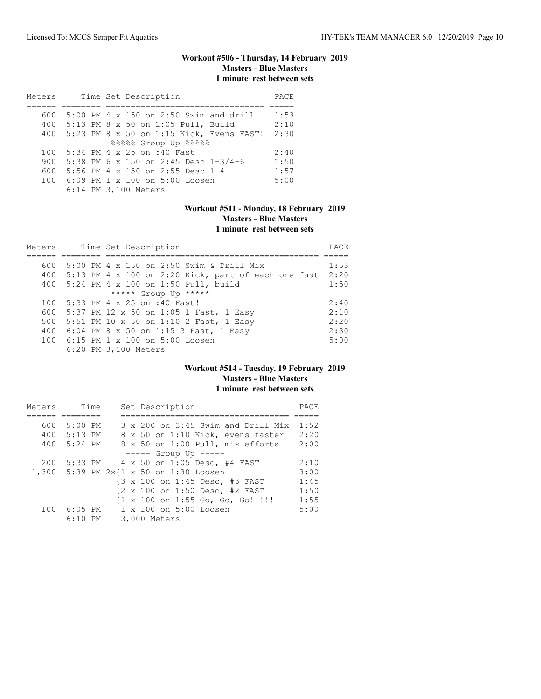# **Workout #506 - Thursday, 14 February 2019 Masters - Blue Masters 1 minute rest between sets**

| Meters | Time Set Description                       | PACE |
|--------|--------------------------------------------|------|
|        |                                            |      |
| 600    | 5:00 PM 4 x 150 on 2:50 Swim and drill     | 1:53 |
| 400    | 5:13 PM 8 x 50 on 1:05 Pull, Build         | 2:10 |
| 400    | $5:23$ PM 8 x 50 on 1:15 Kick, Evens FAST! | 2:30 |
|        | 88888 Group Up 88888                       |      |
| 100    | 5:34 PM 4 x 25 on :40 Fast                 | 2:40 |
| 900    | 5:38 PM 6 x 150 on 2:45 Desc 1-3/4-6       | 1:50 |
| 600    | 5:56 PM 4 x 150 on 2:55 Desc 1-4           | 1:57 |
| 100    | $6:09$ PM 1 x 100 on 5:00 Loosen           | 5:00 |
|        | 6:14 PM 3,100 Meters                       |      |

### **Workout #511 - Monday, 18 February 2019 Masters - Blue Masters 1 minute rest between sets**

| Meters |                                    |  | Time Set Description |                                                         | PACE |
|--------|------------------------------------|--|----------------------|---------------------------------------------------------|------|
|        |                                    |  |                      |                                                         |      |
| 600    |                                    |  |                      | 5:00 PM 4 x 150 on 2:50 Swim & Drill Mix                | 1:53 |
|        |                                    |  |                      | 400 5:13 PM 4 x 100 on 2:20 Kick, part of each one fast | 2:20 |
|        |                                    |  |                      | 400 5:24 PM 4 x 100 on 1:50 Pull, build                 | 1:50 |
|        |                                    |  | ***** Group Up ***** |                                                         |      |
|        | 100 5:33 PM 4 x 25 on :40 Fast!    |  |                      |                                                         | 2:40 |
|        |                                    |  |                      | 600 5:37 PM 12 x 50 on 1:05 1 Fast, 1 Easy              | 2:10 |
| 500    |                                    |  |                      | 5:51 PM 10 x 50 on 1:10 2 Fast, 1 Easy                  | 2:20 |
|        |                                    |  |                      | 400 6:04 PM 8 x 50 on 1:15 3 Fast, 1 Easy               | 2:30 |
|        | 100 6:15 PM 1 x 100 on 5:00 Loosen |  |                      |                                                         | 5:00 |
|        | 6:20 PM 3,100 Meters               |  |                      |                                                         |      |

### **Workout #514 - Tuesday, 19 February 2019 Masters - Blue Masters 1 minute rest between sets**

| Meters |           | Time |  | Set Description                        | PACE |
|--------|-----------|------|--|----------------------------------------|------|
|        |           |      |  |                                        |      |
| 600    | $5:00$ PM |      |  | 3 x 200 on 3:45 Swim and Drill Mix     | 1:52 |
| 400    | $5:13$ PM |      |  | 8 x 50 on 1:10 Kick, evens faster      | 2:20 |
| 400    | 5:24 PM   |      |  | 8 x 50 on 1:00 Pull, mix efforts       | 2:00 |
|        |           |      |  | $--- -$ Group Up $--- -$               |      |
| 200    |           |      |  | 5:33 PM 4 x 50 on 1:05 Desc, #4 FAST   | 2:10 |
|        |           |      |  | 1,300 5:39 PM 2x{1 x 50 on 1:30 Loosen | 3:00 |
|        |           |      |  | {3 x 100 on 1:45 Desc, #3 FAST         | 1:45 |
|        |           |      |  | {2 x 100 on 1:50 Desc, #2 FAST         | 1:50 |
|        |           |      |  | {1 x 100 on 1:55 Go, Go, Go!!!!!       | 1:55 |
| 100    | $6:05$ PM |      |  | $1 \times 100$ on $5:00$ Loosen        | 5:00 |
|        | $6:10$ PM |      |  | 3,000 Meters                           |      |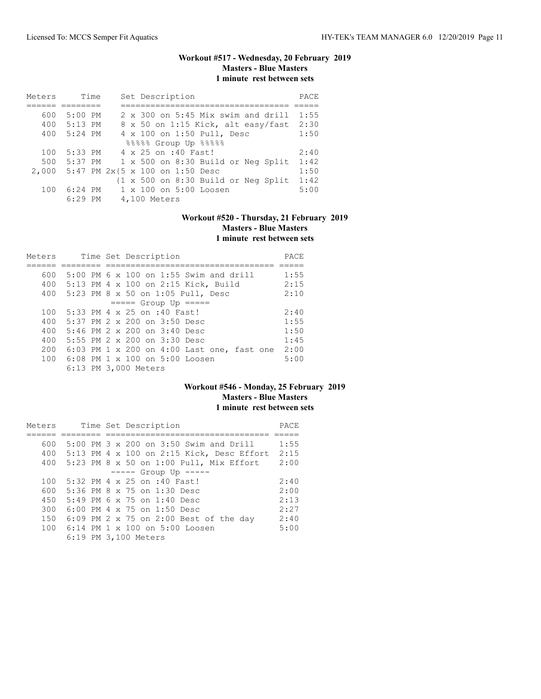# **Workout #517 - Wednesday, 20 February 2019 Masters - Blue Masters 1 minute rest between sets**

| Meters | Time      | Set Description                                                | PACE |
|--------|-----------|----------------------------------------------------------------|------|
|        |           |                                                                |      |
| 600    | $5:00$ PM | 2 x 300 on 5:45 Mix swim and drill                             | 1:55 |
| 400    | $5:13$ PM | 8 x 50 on 1:15 Kick, alt easy/fast                             | 2:30 |
| 400    | $5:24$ PM | 4 x 100 on 1:50 Pull, Desc                                     | 1:50 |
|        |           | 88888 Group Up 88888                                           |      |
| 100    | 5:33 PM   | 4 x 25 on :40 Fast!                                            | 2:40 |
| 500    | 5:37 PM   | 1 x 500 on 8:30 Build or Neg Split                             | 1:42 |
| 2,000  |           | $5:47$ PM $2x\{5 \times 100 \text{ on } 1:50 \text{ Desc}$     | 1:50 |
|        |           | $\{1 \times 500 \text{ on } 8:30 \text{ Build or Neg Split}\}$ | 1:42 |
| 100    | $6:24$ PM | 1 x 100 on 5:00 Loosen                                         | 5:00 |
|        | $6:29$ PM | 4,100 Meters                                                   |      |

# **Workout #520 - Thursday, 21 February 2019 Masters - Blue Masters 1 minute rest between sets**

| Meters |  | Time Set Description                       | PACE |
|--------|--|--------------------------------------------|------|
|        |  |                                            |      |
| 600    |  | $5:00$ PM 6 x 100 on 1:55 Swim and drill   | 1:55 |
| 400    |  | 5:13 PM 4 x 100 on 2:15 Kick, Build        | 2:15 |
| 400    |  | 5:23 PM 8 x 50 on 1:05 Pull, Desc          | 2:10 |
|        |  | $== == $ Group Up $== == $                 |      |
| 100    |  | 5:33 PM 4 x 25 on :40 Fast!                | 2:40 |
| 400    |  | 5:37 PM 2 x 200 on 3:50 Desc               | 1:55 |
| 400    |  | 5:46 PM 2 x 200 on 3:40 Desc               | 1:50 |
| 400    |  | 5:55 PM $2 \times 200$ on $3:30$ Desc      | 1:45 |
| 200    |  | 6:03 PM 1 x 200 on 4:00 Last one, fast one | 2:00 |
| 100    |  | $6:08$ PM $1 \times 100$ on $5:00$ Loosen  | 5:00 |
|        |  | 6:13 PM 3,000 Meters                       |      |

### **Workout #546 - Monday, 25 February 2019 Masters - Blue Masters 1 minute rest between sets**

| Meters |  | Time Set Description                        | PACE |
|--------|--|---------------------------------------------|------|
|        |  |                                             |      |
| 600    |  | 5:00 PM 3 x 200 on 3:50 Swim and Drill      | 1:55 |
| 400    |  | $5:13$ PM 4 x 100 on 2:15 Kick, Desc Effort | 2:15 |
| 400    |  | $5:23$ PM 8 x 50 on 1:00 Pull, Mix Effort   | 2:00 |
|        |  | $---$ Group Up $---$                        |      |
| 100    |  | 5:32 PM 4 x 25 on :40 Fast!                 | 2:40 |
| 600    |  | 5:36 PM 8 x 75 on 1:30 Desc                 | 2:00 |
| 450    |  | $5:49$ PM 6 x 75 on 1:40 Desc               | 2:13 |
| 300    |  | 6:00 PM 4 x 75 on 1:50 Desc                 | 2:27 |
| 150    |  | 6:09 PM 2 x 75 on 2:00 Best of the day      | 2:40 |
| 100    |  | $6:14$ PM $1 \times 100$ on $5:00$ Loosen   | 5:00 |
|        |  | 6:19 PM 3,100 Meters                        |      |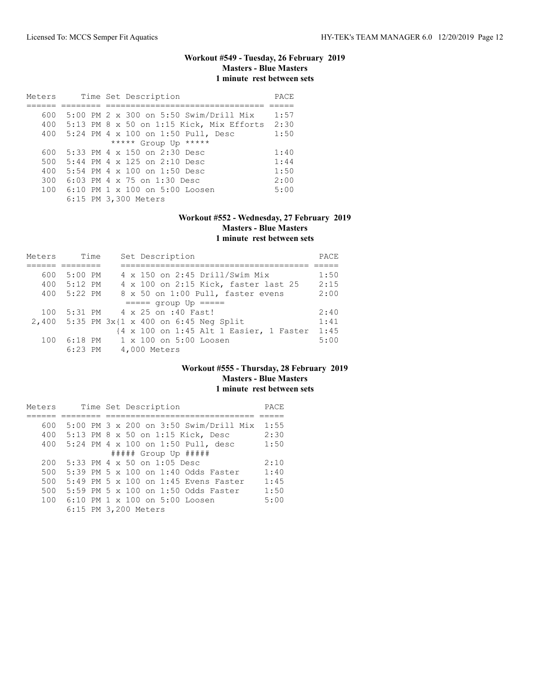# **Workout #549 - Tuesday, 26 February 2019 Masters - Blue Masters 1 minute rest between sets**

| Meters |  | Time Set Description                              | PACE |
|--------|--|---------------------------------------------------|------|
|        |  |                                                   |      |
| 600    |  | 5:00 PM 2 x 300 on 5:50 Swim/Drill Mix            | 1:57 |
|        |  | 400 5:13 PM 8 x 50 on 1:15 Kick, Mix Efforts 2:30 |      |
| 400    |  | $5:24$ PM $4 \times 100$ on 1:50 Pull, Desc       | 1:50 |
|        |  | ***** Group Up *****                              |      |
| 600    |  | 5:33 PM 4 x 150 on 2:30 Desc                      | 1:40 |
| 500    |  | 5:44 PM 4 x 125 on 2:10 Desc                      | 1:44 |
| 400    |  | $5:54$ PM 4 x 100 on 1:50 Desc                    | 1:50 |
| 300    |  | 6:03 PM 4 $\times$ 75 on 1:30 Desc                | 2:00 |
|        |  | 100 6:10 PM 1 x 100 on 5:00 Loosen                | 5:00 |
|        |  | 6:15 PM 3,300 Meters                              |      |

# **Workout #552 - Wednesday, 27 February 2019 Masters - Blue Masters 1 minute rest between sets**

| Meters | Time        |  | Set Description                                    | PACE |
|--------|-------------|--|----------------------------------------------------|------|
|        |             |  |                                                    |      |
| 600    | $5:00$ PM   |  | 4 x 150 on 2:45 Drill/Swim Mix                     | 1:50 |
|        | 400 5:12 PM |  | 4 x 100 on 2:15 Kick, faster last 25               | 2:15 |
| 400    | 5:22 PM     |  | 8 x 50 on 1:00 Pull, faster evens                  | 2:00 |
|        |             |  | $====$ group Up $====$                             |      |
| 100    |             |  | 5:31 PM 4 x 25 on :40 Fast!                        | 2:40 |
|        |             |  | 2,400 5:35 PM $3x(1 \times 400)$ on 6:45 Neg Split | 1:41 |
|        |             |  | {4 x 100 on 1:45 Alt 1 Easier, 1 Faster            | 1:45 |
| 100    | 6:18 PM     |  | $1 \times 100$ on $5:00$ Loosen                    | 5:00 |
|        | $6:23$ PM   |  | 4,000 Meters                                       |      |

### **Workout #555 - Thursday, 28 February 2019 Masters - Blue Masters 1 minute rest between sets**

| Meters |  | Time Set Description                      | PACE |
|--------|--|-------------------------------------------|------|
|        |  |                                           |      |
| 600    |  | 5:00 PM 3 x 200 on 3:50 Swim/Drill Mix    | 1:55 |
| 400    |  | 5:13 PM 8 x 50 on 1:15 Kick, Desc         | 2:30 |
| 400    |  | 5:24 PM 4 x 100 on 1:50 Pull, desc        | 1:50 |
|        |  | ##### Group Up #####                      |      |
| 200    |  | $5:33$ PM 4 x 50 on 1:05 Desc             | 2:10 |
| 500    |  | 5:39 PM 5 x 100 on 1:40 Odds Faster       | 1:40 |
| 500    |  | 5:49 PM 5 x 100 on 1:45 Evens Faster      | 1:45 |
| 500    |  | 5:59 PM 5 x 100 on 1:50 Odds Faster       | 1:50 |
| 100    |  | $6:10$ PM $1 \times 100$ on $5:00$ Loosen | 5:00 |
|        |  | 6:15 PM 3,200 Meters                      |      |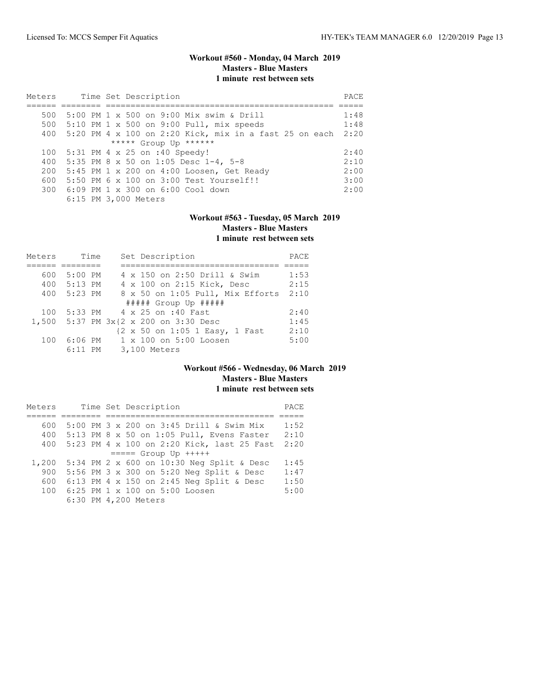### **Workout #560 - Monday, 04 March 2019 Masters - Blue Masters 1 minute rest between sets**

| Meters |  | Time Set Description                                   | PACE |
|--------|--|--------------------------------------------------------|------|
|        |  |                                                        |      |
| 500    |  | 5:00 PM 1 x 500 on 9:00 Mix swim & Drill               | 1:48 |
|        |  | 500 5:10 PM 1 x 500 on 9:00 Pull, mix speeds           | 1:48 |
| 400    |  | 5:20 PM 4 x 100 on 2:20 Kick, mix in a fast 25 on each | 2:20 |
|        |  | ***** Group Up ******                                  |      |
| 100    |  | 5:31 PM 4 x 25 on :40 Speedy!                          | 2:40 |
| 400    |  | 5:35 PM 8 x 50 on 1:05 Desc 1-4, 5-8                   | 2:10 |
| 200    |  | 5:45 PM 1 x 200 on 4:00 Loosen, Get Ready              | 2:00 |
| 600    |  | 5:50 PM 6 x 100 on 3:00 Test Yourself!!                | 3:00 |
|        |  | 300 6:09 PM 1 x 300 on 6:00 Cool down                  | 2:00 |
|        |  | 6:15 PM 3,000 Meters                                   |      |

# **Workout #563 - Tuesday, 05 March 2019 Masters - Blue Masters 1 minute rest between sets**

| Meters | Time        | Set Description                  | PACE |
|--------|-------------|----------------------------------|------|
|        |             |                                  |      |
| 600    | $5:00$ PM   | 4 x 150 on 2:50 Drill & Swim     | 1:53 |
|        | 400 5:13 PM | 4 x 100 on 2:15 Kick, Desc       | 2:15 |
| 400    | 5:23 PM     | 8 x 50 on 1:05 Pull, Mix Efforts | 2:10 |
|        |             | $\#$ #### Group Up $\#$ ####     |      |
| 100    |             | 5:33 PM 4 x 25 on :40 Fast       | 2:40 |
| 1,500  |             | 5:37 PM 3x{2 x 200 on 3:30 Desc  | 1:45 |
|        |             | {2 x 50 on 1:05 1 Easy, 1 Fast   | 2:10 |
| 100    | $6:06$ PM   | 1 x 100 on 5:00 Loosen           | 5:00 |
|        | $6:11$ PM   | 3,100 Meters                     |      |

### **Workout #566 - Wednesday, 06 March 2019 Masters - Blue Masters 1 minute rest between sets**

| Meters |  | Time Set Description                       | PACE |
|--------|--|--------------------------------------------|------|
|        |  |                                            |      |
| 600    |  | 5:00 PM 3 x 200 on 3:45 Drill & Swim Mix   | 1:52 |
| 400    |  | 5:13 PM 8 x 50 on 1:05 Pull, Evens Faster  | 2:10 |
| 400    |  | 5:23 PM 4 x 100 on 2:20 Kick, last 25 Fast | 2:20 |
|        |  | $== == $ Group Up $++++$                   |      |
| 1,200  |  | 5:34 PM 2 x 600 on 10:30 Neg Split & Desc  | 1:45 |
| 900    |  | 5:56 PM 3 x 300 on 5:20 Neg Split & Desc   | 1:47 |
| 600    |  | 6:13 PM 4 x 150 on 2:45 Neq Split & Desc   | 1:50 |
| 100    |  | 6:25 PM 1 x 100 on 5:00 Loosen             | 5:00 |
|        |  | 6:30 PM 4,200 Meters                       |      |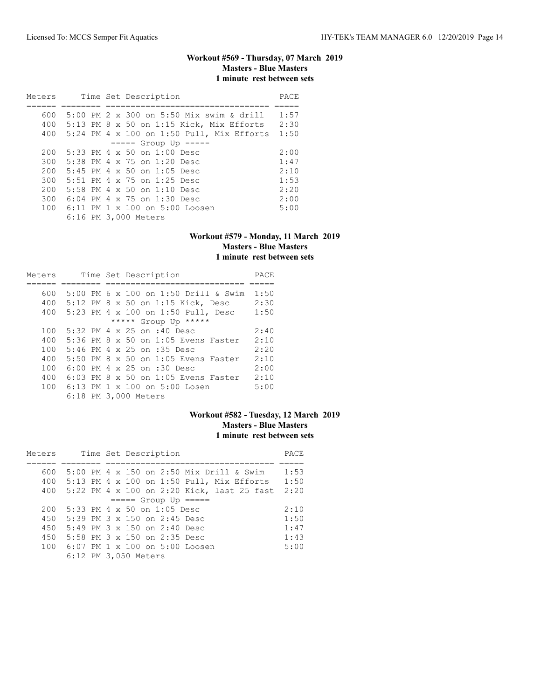# **Workout #569 - Thursday, 07 March 2019 Masters - Blue Masters 1 minute rest between sets**

| Meters |  | Time Set Description                            | PACE |
|--------|--|-------------------------------------------------|------|
|        |  |                                                 |      |
| 600    |  | 5:00 PM $2 \times 300$ on 5:50 Mix swim & drill | 1:57 |
| 400    |  | $5:13$ PM 8 x 50 on 1:15 Kick, Mix Efforts      | 2:30 |
| 400    |  | $5:24$ PM 4 x 100 on 1:50 Pull, Mix Efforts     | 1:50 |
|        |  | $--- $ Group Up $---$                           |      |
| 200    |  | $5:33$ PM 4 x 50 on $1:00$ Desc                 | 2:00 |
| 300    |  | 5:38 PM 4 x 75 on 1:20 Desc                     | 1:47 |
| 200    |  | $5:45$ PM 4 x 50 on 1:05 Desc                   | 2:10 |
| 300    |  | 5:51 PM 4 x 75 on 1:25 Desc                     | 1:53 |
| 200    |  | $5:58$ PM 4 x 50 on 1:10 Desc                   | 2:20 |
| 300    |  | $6:04$ PM 4 x 75 on 1:30 Desc                   | 2:00 |
| 100    |  | 6:11 PM 1 x 100 on 5:00 Loosen                  | 5:00 |
|        |  | 6:16 PM 3,000 Meters                            |      |

### **Workout #579 - Monday, 11 March 2019 Masters - Blue Masters 1 minute rest between sets**

| Meters |  | Time Set Description                   | PACE |
|--------|--|----------------------------------------|------|
|        |  |                                        |      |
| 600    |  | 5:00 PM 6 x 100 on 1:50 Drill & Swim   | 1:50 |
| 400    |  | 5:12 PM 8 x 50 on 1:15 Kick, Desc      | 2:30 |
| 400    |  | 5:23 PM 4 x 100 on 1:50 Pull, Desc     | 1:50 |
|        |  | ***** Group Up *****                   |      |
| 100    |  | 5:32 PM 4 x 25 on :40 Desc             | 2:40 |
| 400    |  | 5:36 PM 8 x 50 on 1:05 Evens Faster    | 2:10 |
| 100    |  | 5:46 PM 4 x 25 on :35 Desc             | 2:20 |
| 400    |  | 5:50 PM 8 x 50 on 1:05 Evens Faster    | 2:10 |
| 100    |  | 6:00 PM 4 x 25 on :30 Desc             | 2:00 |
| 400    |  | 6:03 PM 8 x 50 on 1:05 Evens Faster    | 2:10 |
| 100    |  | 6:13 PM $1 \times 100$ on $5:00$ Losen | 5:00 |
|        |  | 6:18 PM 3,000 Meters                   |      |

### **Workout #582 - Tuesday, 12 March 2019 Masters - Blue Masters 1 minute rest between sets**

| Meters |  | Time Set Description                        | PACE |
|--------|--|---------------------------------------------|------|
|        |  |                                             |      |
| 600    |  | 5:00 PM 4 x 150 on 2:50 Mix Drill & Swim    | 1:53 |
| 400    |  | $5:13$ PM 4 x 100 on 1:50 Pull, Mix Efforts | 1:50 |
| 400    |  | 5:22 PM 4 x 100 on 2:20 Kick, last 25 fast  | 2:20 |
|        |  | $====$ Group Up $====$                      |      |
| 200    |  | $5:33$ PM 4 x 50 on 1:05 Desc               | 2:10 |
| 450    |  | 5:39 PM $3 \times 150$ on 2:45 Desc         | 1:50 |
| 450    |  | 5:49 PM 3 x 150 on 2:40 Desc                | 1:47 |
| 450    |  | 5:58 PM 3 x 150 on 2:35 Desc                | 1:43 |
| 100    |  | $6:07$ PM $1 \times 100$ on $5:00$ Loosen   | 5:00 |
|        |  | 6:12 PM 3,050 Meters                        |      |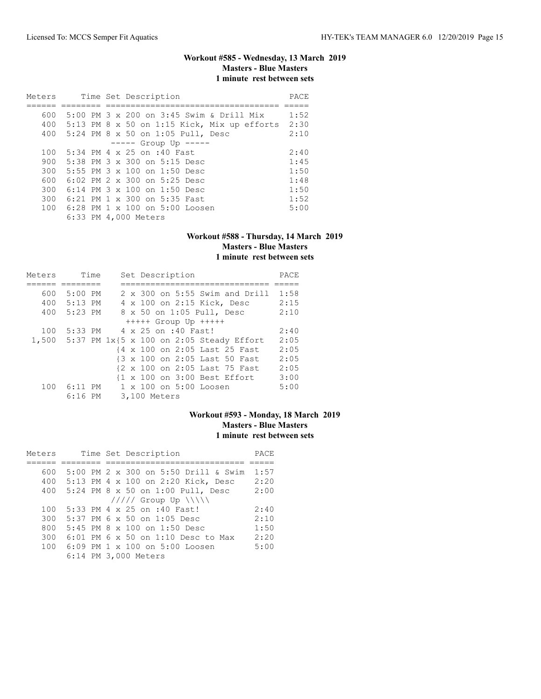# **Workout #585 - Wednesday, 13 March 2019 Masters - Blue Masters 1 minute rest between sets**

| Meters |  | Time Set Description                            | PACE |
|--------|--|-------------------------------------------------|------|
|        |  |                                                 |      |
| 600    |  | 5:00 PM 3 $\times$ 200 on 3:45 Swim & Drill Mix | 1:52 |
| 400    |  | 5:13 PM 8 x 50 on 1:15 Kick, Mix up efforts     | 2:30 |
|        |  | 400 5:24 PM 8 x 50 on 1:05 Pull, Desc           | 2:10 |
|        |  | $--- $ Group Up $--- $                          |      |
| 100    |  | 5:34 PM 4 x 25 on :40 Fast                      | 2:40 |
| 900    |  | $5:38$ PM $3 \times 300$ on $5:15$ Desc         | 1:45 |
| 300    |  | 5:55 PM $3 \times 100$ on 1:50 Desc             | 1:50 |
| 600    |  | $6:02$ PM $2 \times 300$ on $5:25$ Desc         | 1:48 |
| 300    |  | 6:14 PM 3 x 100 on 1:50 Desc                    | 1:50 |
| 300    |  | 6:21 PM 1 x 300 on 5:35 Fast                    | 1:52 |
| 100    |  | 6:28 PM 1 x 100 on 5:00 Loosen                  | 5:00 |
|        |  | 6:33 PM 4,000 Meters                            |      |

#### **Workout #588 - Thursday, 14 March 2019 Masters - Blue Masters 1 minute rest between sets**

| Meters | Time        |  | Set Description                                         | PACE |
|--------|-------------|--|---------------------------------------------------------|------|
|        |             |  |                                                         |      |
| 600    | $5:00$ PM   |  | 2 x 300 on 5:55 Swim and Drill                          | 1:58 |
|        | 400 5:13 PM |  | 4 x 100 on 2:15 Kick, Desc                              | 2:15 |
| 400    | 5:23 PM     |  | 8 x 50 on 1:05 Pull, Desc                               | 2:10 |
|        |             |  | $++++$ Group Up $++++$                                  |      |
| 100    | 5:33 PM     |  | 4 x 25 on :40 Fast!                                     | 2:40 |
|        |             |  | 1,500 5:37 PM 1x{5 x 100 on 2:05 Steady Effort          | 2:05 |
|        |             |  | {4 x 100 on 2:05 Last 25 Fast                           | 2:05 |
|        |             |  | {3 x 100 on 2:05 Last 50 Fast                           | 2:05 |
|        |             |  | {2 x 100 on 2:05 Last 75 Fast                           | 2:05 |
|        |             |  | $\{1 \times 100 \text{ on } 3:00 \text{ Best Effect}\}$ | 3:00 |
| 100    | $6:11$ PM   |  | $1 \times 100$ on $5:00$ Loosen                         | 5:00 |
|        | $6:16$ PM   |  | 3,100 Meters                                            |      |

### **Workout #593 - Monday, 18 March 2019 Masters - Blue Masters 1 minute rest between sets**

| Meters | Time Set Description                      | PACE |
|--------|-------------------------------------------|------|
|        |                                           |      |
| 600    | 5:00 PM 2 x 300 on 5:50 Drill & Swim      | 1:57 |
| 400    | 5:13 PM 4 x 100 on 2:20 Kick, Desc        | 2:20 |
|        | 400 5:24 PM 8 x 50 on 1:00 Pull, Desc     | 2:00 |
|        | $11111$ Group Up $\N\$                    |      |
| 100    | 5:33 PM 4 x 25 on :40 Fast!               | 2:40 |
| 300    | $5:37$ PM 6 x 50 on 1:05 Desc             | 2:10 |
| 800    | $5:45$ PM $8 \times 100$ on $1:50$ Desc   | 1:50 |
| 300    | 6:01 PM 6 x 50 on 1:10 Desc to Max        | 2:20 |
| 100    | $6:09$ PM $1 \times 100$ on $5:00$ Loosen | 5:00 |
|        | 6:14 PM 3,000 Meters                      |      |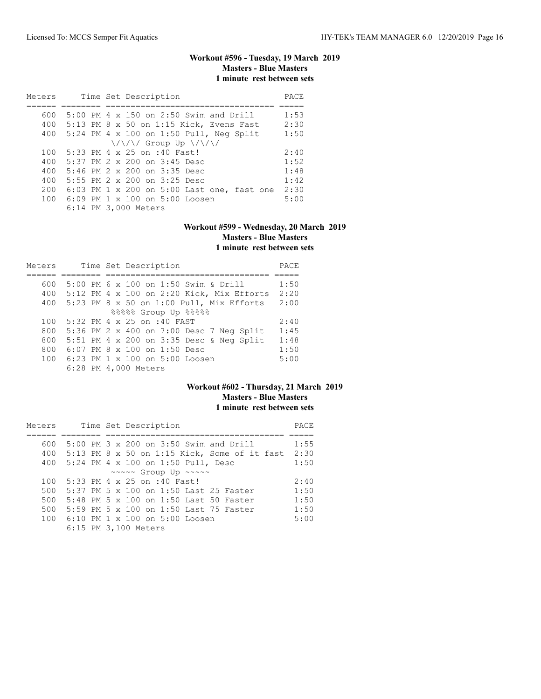# **Workout #596 - Tuesday, 19 March 2019 Masters - Blue Masters 1 minute rest between sets**

| Meters | Time Set Description                                         | PACE |
|--------|--------------------------------------------------------------|------|
|        |                                                              |      |
| 600    | 5:00 PM 4 x 150 on 2:50 Swim and Drill                       | 1:53 |
| 400    | 5:13 PM 8 x 50 on 1:15 Kick, Evens Fast                      | 2:30 |
| 400    | 5:24 PM 4 x 100 on 1:50 Pull, Neg Split                      | 1:50 |
|        | $\{\frac{\sqrt{3}}{2} \}$ Group Up $\{\frac{\sqrt{3}}{2} \}$ |      |
| 100    | 5:33 PM 4 x 25 on :40 Fast!                                  | 2:40 |
| 400    | 5:37 PM 2 x 200 on 3:45 Desc                                 | 1:52 |
| 400    | 5:46 PM $2 \times 200$ on $3:35$ Desc                        | 1:48 |
| 400    | 5:55 PM 2 x 200 on 3:25 Desc                                 | 1:42 |
| 200    | 6:03 PM 1 x 200 on 5:00 Last one, fast one                   | 2:30 |
| 100    | $6:09$ PM $1 \times 100$ on $5:00$ Loosen                    | 5:00 |
|        | 6:14 PM 3,000 Meters                                         |      |

#### **Workout #599 - Wednesday, 20 March 2019 Masters - Blue Masters 1 minute rest between sets**

| Meters | Time Set Description                        | PACE |
|--------|---------------------------------------------|------|
|        |                                             |      |
| 600    | 5:00 PM 6 x 100 on 1:50 Swim & Drill        | 1:50 |
| 400    | $5:12$ PM 4 x 100 on 2:20 Kick, Mix Efforts | 2:20 |
| 400    | 5:23 PM 8 x 50 on 1:00 Pull, Mix Efforts    | 2:00 |
|        | 88888 Group Up 88888                        |      |
| 100    | 5:32 PM 4 x 25 on :40 FAST                  | 2:40 |
| 800    | 5:36 PM 2 x 400 on 7:00 Desc 7 Neg Split    | 1:45 |
| 800    | 5:51 PM 4 x 200 on 3:35 Desc & Neg Split    | 1:48 |
| 800    | 6:07 PM 8 x 100 on 1:50 Desc                | 1:50 |
| 100    | $6:23$ PM $1 \times 100$ on $5:00$ Loosen   | 5:00 |
|        | 6:28 PM 4,000 Meters                        |      |

#### **Workout #602 - Thursday, 21 March 2019 Masters - Blue Masters 1 minute rest between sets**

| Meters |  | Time Set Description                                      | PACE |
|--------|--|-----------------------------------------------------------|------|
|        |  |                                                           |      |
| 600    |  | 5:00 PM 3 x 200 on 3:50 Swim and Drill                    | 1:55 |
|        |  | 400 5:13 PM 8 x 50 on 1:15 Kick, Some of it fast          | 2:30 |
| 400    |  | 5:24 PM 4 x 100 on 1:50 Pull, Desc                        | 1:50 |
|        |  | $\sim$ $\sim$ $\sim$ Group Up $\sim$ $\sim$ $\sim$ $\sim$ |      |
| 100    |  | 5:33 PM 4 x 25 on :40 Fast!                               | 2:40 |
| 500    |  | 5:37 PM 5 $\times$ 100 on 1:50 Last 25 Faster             | 1:50 |
| 500    |  | 5:48 PM 5 x 100 on 1:50 Last 50 Faster                    | 1:50 |
| 500    |  | 5:59 PM 5 x 100 on 1:50 Last 75 Faster                    | 1:50 |
| 100    |  | 6:10 PM $1 \times 100$ on $5:00$ Loosen                   | 5:00 |
|        |  | 6:15 PM 3,100 Meters                                      |      |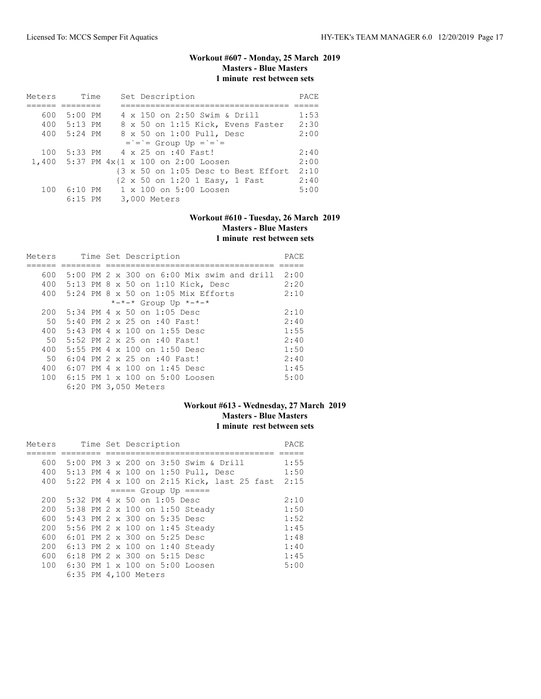# **Workout #607 - Monday, 25 March 2019 Masters - Blue Masters 1 minute rest between sets**

| Meters | Time        | Set Description                            | PACE |
|--------|-------------|--------------------------------------------|------|
|        |             |                                            |      |
| 600    | 5:00 PM     | 4 x 150 on 2:50 Swim & Drill               | 1:53 |
|        | 400 5:13 PM | 8 x 50 on 1:15 Kick, Evens Faster          | 2:30 |
|        | 400 5:24 PM | 8 x 50 on 1:00 Pull, Desc                  | 2:00 |
|        |             | $=$ = $=$ Group Up = $=$ =                 |      |
| 100    |             | 5:33 PM 4 x 25 on :40 Fast!                | 2:40 |
|        |             | 1,400 5:37 PM $4x{1 x} 100$ on 2:00 Loosen | 2:00 |
|        |             | {3 x 50 on 1:05 Desc to Best Effort        | 2:10 |
|        |             | {2 x 50 on 1:20 1 Easy, 1 Fast             | 2:40 |
| 100    |             | 6:10 PM 1 x 100 on 5:00 Loosen             | 5:00 |
|        | $6:15$ PM   | 3,000 Meters                               |      |

# **Workout #610 - Tuesday, 26 March 2019 Masters - Blue Masters 1 minute rest between sets**

| Meters          |  |  |  | Time Set Description                           | PACE |
|-----------------|--|--|--|------------------------------------------------|------|
|                 |  |  |  |                                                |      |
| 600             |  |  |  | $5:00$ PM 2 x 300 on $6:00$ Mix swim and drill | 2:00 |
| 400             |  |  |  | 5:13 PM 8 x 50 on 1:10 Kick, Desc              | 2:20 |
| 400             |  |  |  | $5:24$ PM $8 \times 50$ on 1:05 Mix Efforts    | 2:10 |
|                 |  |  |  | $*-*-*$ Group Up $*-*-*$                       |      |
| 200             |  |  |  | $5:34$ PM 4 x 50 on 1:05 Desc                  | 2:10 |
| 50              |  |  |  | 5:40 PM 2 x 25 on :40 Fast!                    | 2:40 |
| 400             |  |  |  | $5:43$ PM 4 x 100 on 1:55 Desc                 | 1:55 |
| 50 <sup>°</sup> |  |  |  | 5:52 PM 2 x 25 on :40 Fast!                    | 2:40 |
| 400             |  |  |  | 5:55 PM $4 \times 100$ on 1:50 Desc            | 1:50 |
| 50              |  |  |  | 6:04 PM 2 x 25 on :40 Fast!                    | 2:40 |
| 400             |  |  |  | 6:07 PM 4 x 100 on 1:45 Desc                   | 1:45 |
| 100             |  |  |  | 6:15 PM 1 x 100 on 5:00 Loosen                 | 5:00 |
|                 |  |  |  | 6:20 PM 3,050 Meters                           |      |

# **Workout #613 - Wednesday, 27 March 2019 Masters - Blue Masters 1 minute rest between sets**

| Meters |  | Time Set Description                       | PACE |
|--------|--|--------------------------------------------|------|
|        |  |                                            |      |
| 600    |  | 5:00 PM 3 x 200 on 3:50 Swim & Drill       | 1:55 |
| 400    |  | 5:13 PM 4 x 100 on 1:50 Pull, Desc         | 1:50 |
| 400    |  | 5:22 PM 4 x 100 on 2:15 Kick, last 25 fast | 2:15 |
|        |  | $== == $ Group Up $== == $                 |      |
| 200    |  | 5:32 PM 4 x 50 on 1:05 Desc                | 2:10 |
| 200    |  | 5:38 PM 2 x 100 on 1:50 Steady             | 1:50 |
| 600    |  | 5:43 PM 2 x 300 on 5:35 Desc               | 1:52 |
| 200    |  | 5:56 PM 2 x 100 on 1:45 Steady             | 1:45 |
| 600    |  | 6:01 PM 2 x 300 on 5:25 Desc               | 1:48 |
| 200    |  | 6:13 PM 2 x 100 on 1:40 Steady             | 1:40 |
| 600    |  | 6:18 PM 2 x 300 on 5:15 Desc               | 1:45 |
| 100    |  | 6:30 PM 1 x 100 on 5:00 Loosen             | 5:00 |
|        |  | 6:35 PM 4,100 Meters                       |      |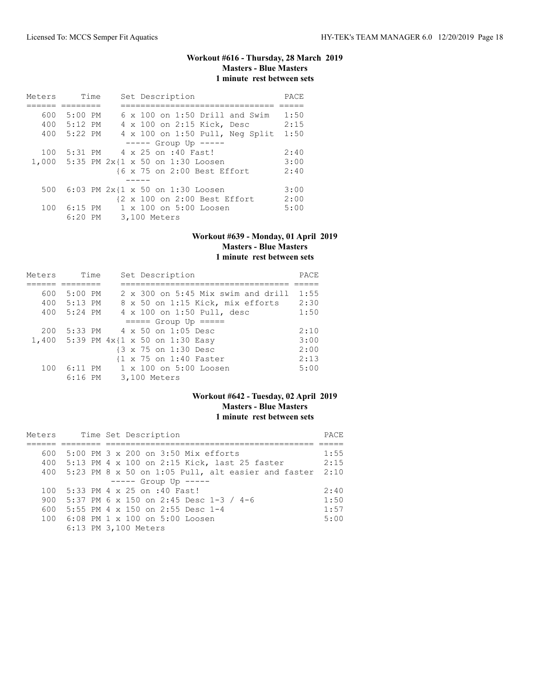# **Workout #616 - Thursday, 28 March 2019 Masters - Blue Masters 1 minute rest between sets**

| Meters | Time        |  | Set Description                          | PACE |
|--------|-------------|--|------------------------------------------|------|
|        |             |  |                                          |      |
| 600    | 5:00 PM     |  | $6 \times 100$ on 1:50 Drill and Swim    | 1:50 |
|        | 400 5:12 PM |  | 4 x 100 on 2:15 Kick, Desc               | 2:15 |
| 400    | 5:22 PM     |  | 4 x 100 on 1:50 Pull, Neg Split          | 1:50 |
|        |             |  | $--- $ Group Up $--- $                   |      |
| 100    | 5:31 PM     |  | 4 x 25 on :40 Fast!                      | 2:40 |
|        |             |  | 1,000 5:35 PM 2x{1 x 50 on 1:30 Loosen   | 3:00 |
|        |             |  | {6 x 75 on 2:00 Best Effort              | 2:40 |
|        |             |  |                                          |      |
| 500    |             |  | 6:03 PM $2x(1 \times 50)$ on 1:30 Loosen | 3:00 |
|        |             |  | {2 x 100 on 2:00 Best Effort             | 2:00 |
| 100    |             |  | 6:15 PM 1 x 100 on 5:00 Loosen           | 5:00 |
|        |             |  | 6:20 PM 3,100 Meters                     |      |

#### **Workout #639 - Monday, 01 April 2019 Masters - Blue Masters 1 minute rest between sets**

| Meters | Time      | Set Description                         | PACE |
|--------|-----------|-----------------------------------------|------|
|        |           |                                         |      |
| 600    | $5:00$ PM | 2 x 300 on 5:45 Mix swim and drill      | 1:55 |
| 400    | 5:13 PM   | 8 x 50 on 1:15 Kick, mix efforts        | 2:30 |
| 400    | 5:24 PM   | 4 x 100 on 1:50 Pull, desc              | 1:50 |
|        |           | $====$ Group Up $====$                  |      |
| 200    |           | 5:33 PM 4 x 50 on 1:05 Desc             | 2:10 |
|        |           | 1,400 5:39 PM $4x$ {1 x 50 on 1:30 Easy | 3:00 |
|        |           | {3 x 75 on 1:30 Desc                    | 2:00 |
|        |           | {1 x 75 on 1:40 Faster                  | 2:13 |
| 100    |           | 6:11 PM 1 x 100 on 5:00 Loosen          | 5:00 |
|        | $6:16$ PM | 3,100 Meters                            |      |

# **Workout #642 - Tuesday, 02 April 2019 Masters - Blue Masters 1 minute rest between sets**

| Meters |  | Time Set Description                                   |      |  |
|--------|--|--------------------------------------------------------|------|--|
|        |  |                                                        |      |  |
| 600    |  | 5:00 PM 3 x 200 on 3:50 Mix efforts                    | 1:55 |  |
|        |  | 400 5:13 PM 4 x 100 on 2:15 Kick, last 25 faster       | 2:15 |  |
|        |  | 400 5:23 PM 8 x 50 on 1:05 Pull, alt easier and faster | 2:10 |  |
|        |  | $--- -$ Group Up $---$                                 |      |  |
|        |  | 100 5:33 PM 4 x 25 on :40 Fast!                        | 2:40 |  |
| 900    |  | 5:37 PM 6 x 150 on 2:45 Desc 1-3 / 4-6                 | 1:50 |  |
| 600    |  | 5:55 PM 4 $\times$ 150 on 2:55 Desc 1-4                | 1:57 |  |
|        |  | 100 6:08 PM 1 x 100 on 5:00 Loosen                     | 5:00 |  |
|        |  | 6:13 PM 3,100 Meters                                   |      |  |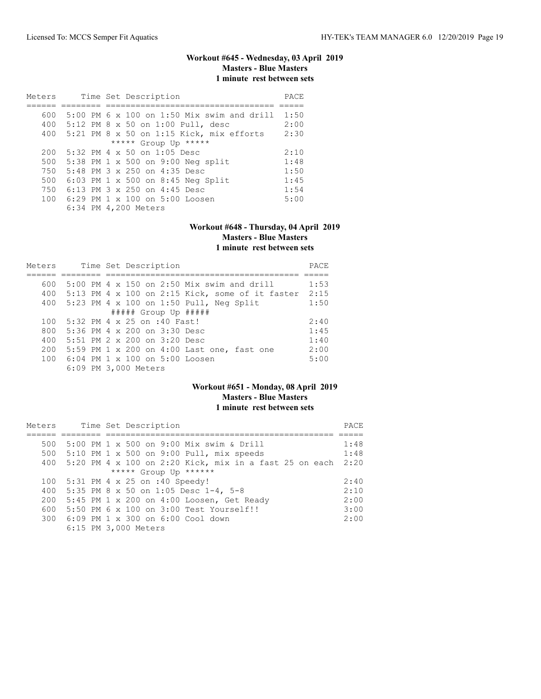# **Workout #645 - Wednesday, 03 April 2019 Masters - Blue Masters 1 minute rest between sets**

| Meters | Time Set Description                         | PACE |
|--------|----------------------------------------------|------|
|        |                                              |      |
| 600    | $5:00$ PM 6 x 100 on 1:50 Mix swim and drill | 1:50 |
|        | 400 5:12 PM 8 x 50 on 1:00 Pull, desc        | 2:00 |
| 400    | $5:21$ PM 8 x 50 on 1:15 Kick, mix efforts   | 2:30 |
|        | ***** Group Up *****                         |      |
| 200    | $5:32$ PM 4 x 50 on 1:05 Desc                | 2:10 |
| 500    | 5:38 PM 1 x 500 on 9:00 Neg split            | 1:48 |
| 750    | 5:48 PM 3 x 250 on 4:35 Desc                 | 1:50 |
| 500    | 6:03 PM 1 x 500 on 8:45 Neg Split            | 1:45 |
| 750    | $6:13$ PM $3 \times 250$ on $4:45$ Desc      | 1:54 |
| 100    | 6:29 PM $1 \times 100$ on $5:00$ Loosen      | 5:00 |
|        | 6:34 PM 4,200 Meters                         |      |

#### **Workout #648 - Thursday, 04 April 2019 Masters - Blue Masters 1 minute rest between sets**

| Meters |  | Time Set Description                                | PACE |
|--------|--|-----------------------------------------------------|------|
|        |  |                                                     |      |
| 600    |  | $5:00$ PM 4 x 150 on 2:50 Mix swim and drill        | 1:53 |
|        |  | 400 5:13 PM 4 x 100 on 2:15 Kick, some of it faster | 2:15 |
|        |  | 400 5:23 PM 4 x 100 on 1:50 Pull, Neg Split         | 1:50 |
|        |  | ##### Group Up #####                                |      |
| 100    |  | 5:32 PM 4 x 25 on :40 Fast!                         | 2:40 |
| 800    |  | 5:36 PM 4 x 200 on 3:30 Desc                        | 1:45 |
| 400    |  | 5:51 PM 2 x 200 on 3:20 Desc                        | 1:40 |
| 200    |  | 5:59 PM 1 x 200 on 4:00 Last one, fast one          | 2:00 |
| 100    |  | 6:04 PM 1 x 100 on 5:00 Loosen                      | 5:00 |
|        |  | 6:09 PM 3,000 Meters                                |      |

### **Workout #651 - Monday, 08 April 2019 Masters - Blue Masters 1 minute rest between sets**

| Meters |  | Time Set Description                                          | PACE |
|--------|--|---------------------------------------------------------------|------|
|        |  |                                                               |      |
| 500    |  | 5:00 PM 1 x 500 on 9:00 Mix swim & Drill                      | 1:48 |
| 500    |  | $5:10$ PM 1 x 500 on 9:00 Pull, mix speeds                    | 1:48 |
| 400    |  | 5:20 PM $4 \times 100$ on 2:20 Kick, mix in a fast 25 on each | 2:20 |
|        |  | ***** Group Up ******                                         |      |
| 100    |  | 5:31 PM 4 x 25 on :40 Speedy!                                 | 2:40 |
| 400    |  | 5:35 PM 8 x 50 on 1:05 Desc 1-4, 5-8                          | 2:10 |
| 200    |  | 5:45 PM 1 x 200 on 4:00 Loosen, Get Ready                     | 2:00 |
| 600    |  | 5:50 PM 6 x 100 on 3:00 Test Yourself!!                       | 3:00 |
|        |  | 300 6:09 PM 1 x 300 on 6:00 Cool down                         | 2:00 |
|        |  | 6:15 PM 3,000 Meters                                          |      |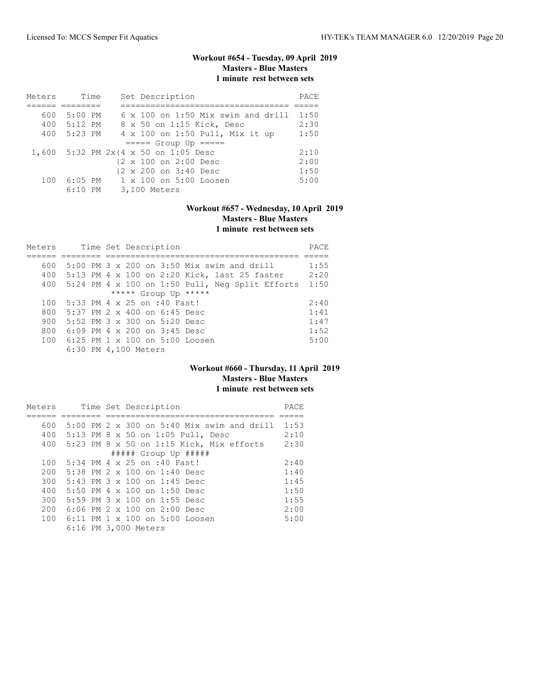# **Workout #654 - Tuesday, 09 April 2019 Masters - Blue Masters 1 minute rest between sets**

| Meters |             | Time |  | Set Description                           | PACE |
|--------|-------------|------|--|-------------------------------------------|------|
|        |             |      |  |                                           |      |
| 600    | $5:00$ PM   |      |  | $6 \times 100$ on 1:50 Mix swim and drill | 1:50 |
|        | 400 5:12 PM |      |  | 8 x 50 on 1:15 Kick, Desc                 | 2:30 |
| 400    | 5:23 PM     |      |  | 4 x 100 on 1:50 Pull, Mix it up           | 1:50 |
|        |             |      |  | $== == $ Group Up $== == $                |      |
|        |             |      |  | 1,600 5:32 PM 2x{4 x 50 on 1:05 Desc      | 2:10 |
|        |             |      |  | {2 x 100 on 2:00 Desc                     | 2:00 |
|        |             |      |  | {2 x 200 on 3:40 Desc                     | 1:50 |
| 100    |             |      |  | 6:05 PM 1 x 100 on 5:00 Loosen            | 5:00 |
|        | $6:10$ PM   |      |  | 3,100 Meters                              |      |

# **Workout #657 - Wednesday, 10 April 2019 Masters - Blue Masters 1 minute rest between sets**

| Meters               |                                           |  | Time Set Description         |  |                                                     | PACE |  |  |
|----------------------|-------------------------------------------|--|------------------------------|--|-----------------------------------------------------|------|--|--|
|                      |                                           |  |                              |  |                                                     |      |  |  |
| 600                  |                                           |  |                              |  | $5:00$ PM 3 x 200 on 3:50 Mix swim and drill        | 1:55 |  |  |
| 400                  |                                           |  |                              |  | 5:13 PM 4 x 100 on 2:20 Kick, last 25 faster        | 2:20 |  |  |
|                      |                                           |  |                              |  | 400 5:24 PM 4 x 100 on 1:50 Pull, Neg Split Efforts | 1:50 |  |  |
| ***** Group Up ***** |                                           |  |                              |  |                                                     |      |  |  |
| 100                  | 5:33 PM 4 x 25 on :40 Fast!               |  |                              |  |                                                     | 2:40 |  |  |
| 800                  |                                           |  | 5:37 PM 2 x 400 on 6:45 Desc |  |                                                     | 1:41 |  |  |
| 900                  |                                           |  | 5:52 PM 3 x 300 on 5:20 Desc |  |                                                     | 1:47 |  |  |
| 800                  |                                           |  | 6:09 PM 4 x 200 on 3:45 Desc |  |                                                     | 1:52 |  |  |
| 100                  | $6:25$ PM $1 \times 100$ on $5:00$ Loosen |  |                              |  |                                                     | 5:00 |  |  |
|                      |                                           |  | 6:30 PM 4,100 Meters         |  |                                                     |      |  |  |

### **Workout #660 - Thursday, 11 April 2019 Masters - Blue Masters 1 minute rest between sets**

| Meters |  |  | Time Set Description                                | PACE |
|--------|--|--|-----------------------------------------------------|------|
|        |  |  |                                                     |      |
| 600    |  |  | $5:00$ PM 2 $\times$ 300 on 5:40 Mix swim and drill | 1:53 |
| 400    |  |  | 5:13 PM 8 x 50 on 1:05 Pull, Desc                   | 2:10 |
| 400    |  |  | 5:23 PM 8 x 50 on 1:15 Kick, Mix efforts            | 2:30 |
|        |  |  | ##### Group Up #####                                |      |
| 100    |  |  | 5:34 PM 4 x 25 on :40 Fast!                         | 2:40 |
| 200    |  |  | 5:38 PM 2 x 100 on 1:40 Desc                        | 1:40 |
| 300    |  |  | 5:43 PM 3 x 100 on 1:45 Desc                        | 1:45 |
| 400    |  |  | 5:50 PM 4 x 100 on 1:50 Desc                        | 1:50 |
| 300    |  |  | 5:59 PM 3 x 100 on 1:55 Desc                        | 1:55 |
| 200    |  |  | $6:06$ PM $2 \times 100$ on $2:00$ Desc             | 2:00 |
| 100    |  |  | 6:11 PM 1 x 100 on 5:00 Loosen                      | 5:00 |
|        |  |  | 6:16 PM 3,000 Meters                                |      |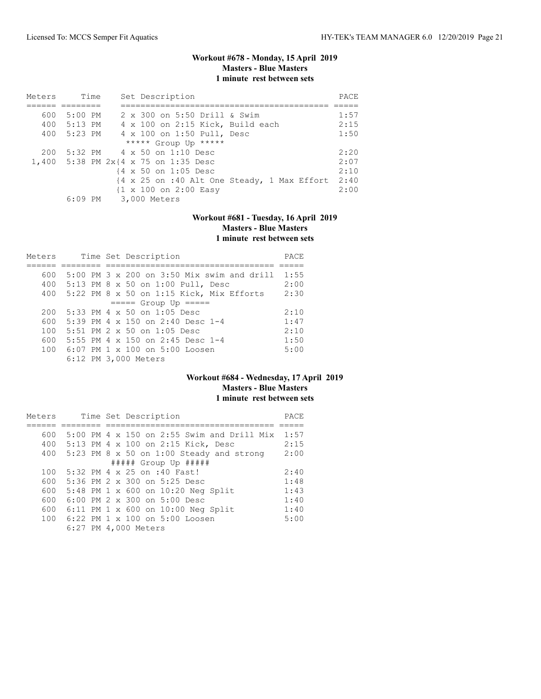### **Workout #678 - Monday, 15 April 2019 Masters - Blue Masters 1 minute rest between sets**

| Meters | Time        | Set Description                                                                | PACE |
|--------|-------------|--------------------------------------------------------------------------------|------|
|        |             |                                                                                |      |
| 600    | 5:00 PM     | 2 x 300 on 5:50 Drill & Swim                                                   | 1:57 |
|        | 400 5:13 PM | 4 x 100 on 2:15 Kick, Build each                                               | 2:15 |
|        | 400 5:23 PM | 4 x 100 on 1:50 Pull, Desc                                                     | 1:50 |
|        |             | ***** Group Up *****                                                           |      |
| 200    |             | 5:32 PM 4 x 50 on 1:10 Desc                                                    | 2:20 |
|        |             | 1,400 5:38 PM 2x{4 x 75 on 1:35 Desc                                           | 2:07 |
|        |             | {4 x 50 on 1:05 Desc                                                           | 2:10 |
|        |             | $\{4 \times 25 \text{ on } : 40 \text{ Alt One Steady, } 1 \text{ Max Effect}$ | 2:40 |
|        |             | $\{1 \times 100 \text{ on } 2:00 \text{ Easy}\}$                               | 2:00 |
|        | 6:09 PM     | 3,000 Meters                                                                   |      |

# **Workout #681 - Tuesday, 16 April 2019 Masters - Blue Masters 1 minute rest between sets**

| Meters |  | Time Set Description                       | PACE |
|--------|--|--------------------------------------------|------|
|        |  |                                            |      |
| 600    |  | 5:00 PM 3 x 200 on 3:50 Mix swim and drill | 1:55 |
| 400    |  | 5:13 PM 8 x 50 on 1:00 Pull, Desc          | 2:00 |
| 400    |  | $5:22$ PM 8 x 50 on 1:15 Kick, Mix Efforts | 2:30 |
|        |  | $====$ Group Up $====$                     |      |
| 200    |  | $5:33$ PM 4 $\times$ 50 on 1:05 Desc       | 2:10 |
| 600    |  | 5:39 PM 4 x 150 on 2:40 Desc 1-4           | 1:47 |
| 100    |  | $5:51$ PM $2 \times 50$ on $1:05$ Desc     | 2:10 |
| 600    |  | 5:55 PM 4 $\times$ 150 on 2:45 Desc 1-4    | 1:50 |
| 100    |  | $6:07$ PM $1 \times 100$ on $5:00$ Loosen  | 5:00 |
|        |  | 6:12 PM 3,000 Meters                       |      |

# **Workout #684 - Wednesday, 17 April 2019 Masters - Blue Masters 1 minute rest between sets**

| Meters |  | Time Set Description                              | PACE |
|--------|--|---------------------------------------------------|------|
|        |  |                                                   |      |
| 600    |  | 5:00 PM $4 \times 150$ on 2:55 Swim and Drill Mix | 1:57 |
| 400    |  | 5:13 PM 4 x 100 on 2:15 Kick, Desc                | 2:15 |
| 400    |  | $5:23$ PM 8 x 50 on 1:00 Steady and strong        | 2:00 |
|        |  | ##### Group Up #####                              |      |
| 100    |  | 5:32 PM 4 x 25 on :40 Fast!                       | 2:40 |
| 600    |  | 5:36 PM 2 x 300 on 5:25 Desc                      | 1:48 |
| 600    |  | 5:48 PM 1 x 600 on 10:20 Neg Split                | 1:43 |
| 600    |  | $6:00$ PM $2 \times 300$ on $5:00$ Desc           | 1:40 |
| 600    |  | 6:11 PM 1 x 600 on $10:00$ Neg Split              | 1:40 |
| 100    |  | $6:22$ PM $1 \times 100$ on $5:00$ Loosen         | 5:00 |
|        |  | 6:27 PM 4,000 Meters                              |      |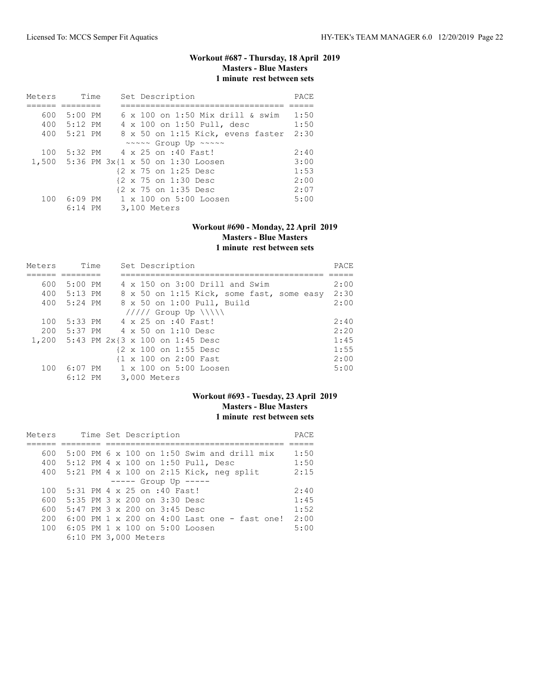# **Workout #687 - Thursday, 18 April 2019 Masters - Blue Masters 1 minute rest between sets**

| Meters | Time        |  | Set Description                         | PACE |
|--------|-------------|--|-----------------------------------------|------|
|        |             |  |                                         |      |
| 600    | 5:00 PM     |  | $6 \times 100$ on 1:50 Mix drill & swim | 1:50 |
|        | 400 5:12 PM |  | 4 x 100 on 1:50 Pull, desc              | 1:50 |
|        | 400 5:21 PM |  | 8 x 50 on 1:15 Kick, evens faster       | 2:30 |
|        |             |  | ~~~~~ Group Up ~~~~~                    |      |
| 100    |             |  | 5:32 PM 4 x 25 on :40 Fast!             | 2:40 |
|        |             |  | 1,500 5:36 PM 3x{1 x 50 on 1:30 Loosen  | 3:00 |
|        |             |  | {2 x 75 on 1:25 Desc                    | 1:53 |
|        |             |  | {2 x 75 on 1:30 Desc                    | 2:00 |
|        |             |  | {2 x 75 on 1:35 Desc                    | 2:07 |
| 100    |             |  | 6:09 PM 1 x 100 on 5:00 Loosen          | 5:00 |
|        | $6:14$ PM   |  | 3,100 Meters                            |      |

#### **Workout #690 - Monday, 22 April 2019 Masters - Blue Masters 1 minute rest between sets**

| Meters | Time        | Set Description                           | PACE |
|--------|-------------|-------------------------------------------|------|
|        |             |                                           |      |
| 600    | $5:00$ PM   | 4 x 150 on 3:00 Drill and Swim            | 2:00 |
|        | 400 5:13 PM | 8 x 50 on 1:15 Kick, some fast, some easy | 2:30 |
| 400    | 5:24 PM     | 8 x 50 on 1:00 Pull, Build                | 2:00 |
|        |             | $11111$ Group Up $\{\{\}\}\$              |      |
| 100    | 5:33 PM     | 4 x 25 on :40 Fast!                       | 2:40 |
| 200    | 5:37 PM     | 4 x 50 on 1:10 Desc                       | 2:20 |
|        |             | 1,200 5:43 PM 2x{3 x 100 on 1:45 Desc     | 1:45 |
|        |             | {2 x 100 on 1:55 Desc                     | 1:55 |
|        |             | {1 x 100 on 2:00 Fast                     | 2:00 |
| 100    | $6:07$ PM   | 1 x 100 on 5:00 Loosen                    | 5:00 |
|        | $6:12$ PM   | 3,000 Meters                              |      |

# **Workout #693 - Tuesday, 23 April 2019 Masters - Blue Masters 1 minute rest between sets**

| Meters |  | Time Set Description                           | PACE |
|--------|--|------------------------------------------------|------|
|        |  |                                                |      |
| 600    |  | $5:00$ PM 6 x 100 on 1:50 Swim and drill mix   | 1:50 |
| 400    |  | 5:12 PM 4 x 100 on 1:50 Pull, Desc             | 1:50 |
| 400    |  | 5:21 PM 4 x 100 on 2:15 Kick, neg split        | 2:15 |
|        |  | $---$ Group Up $---$                           |      |
| 100    |  | 5:31 PM 4 x 25 on :40 Fast!                    | 2:40 |
| 600    |  | 5:35 PM 3 x 200 on 3:30 Desc                   | 1:45 |
| 600    |  | $5:47$ PM $3 \times 200$ on $3:45$ Desc        | 1:52 |
| 200    |  | $6:00$ PM 1 x 200 on 4:00 Last one - fast one! | 2:00 |
| 100    |  | 6:05 PM $1 \times 100$ on 5:00 Loosen          | 5:00 |
|        |  | 6:10 PM 3,000 Meters                           |      |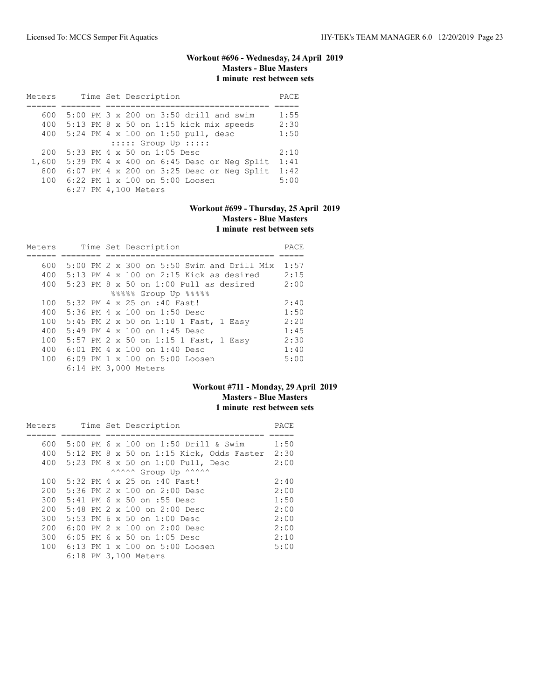# **Workout #696 - Wednesday, 24 April 2019 Masters - Blue Masters 1 minute rest between sets**

| Meters |  | Time Set Description                      | PACE |
|--------|--|-------------------------------------------|------|
|        |  |                                           |      |
| 600    |  | 5:00 PM 3 x 200 on 3:50 drill and swim    | 1:55 |
| 400    |  | $5:13$ PM 8 x 50 on 1:15 kick mix speeds  | 2:30 |
| 400    |  | 5:24 PM 4 x 100 on 1:50 pull, desc        | 1:50 |
|        |  | $:::::$ Group Up $:::::$                  |      |
| 200    |  | 5:33 PM 4 x 50 on 1:05 Desc               | 2:10 |
| 1,600  |  | 5:39 PM 4 x 400 on 6:45 Desc or Neg Split | 1:41 |
| 800    |  | 6:07 PM 4 x 200 on 3:25 Desc or Neg Split | 1:42 |
| 100    |  | 6:22 PM 1 x 100 on 5:00 Loosen            | 5:00 |
|        |  | 6:27 PM 4,100 Meters                      |      |

### **Workout #699 - Thursday, 25 April 2019 Masters - Blue Masters 1 minute rest between sets**

| Meters |  | Time Set Description                              | PACE |
|--------|--|---------------------------------------------------|------|
|        |  |                                                   |      |
| 600    |  | 5:00 PM 2 x 300 on 5:50 Swim and Drill Mix        | 1:57 |
| 400    |  | 5:13 PM $4 \times 100$ on 2:15 Kick as desired    | 2:15 |
| 400    |  | $5:23$ PM $8 \times 50$ on $1:00$ Pull as desired | 2:00 |
|        |  | 88888 Group Up 88888                              |      |
| 100    |  | 5:32 PM 4 x 25 on :40 Fast!                       | 2:40 |
| 400    |  | 5:36 PM 4 x 100 on 1:50 Desc                      | 1:50 |
| 100    |  | 5:45 PM 2 x 50 on 1:10 1 Fast, 1 Easy             | 2:20 |
| 400    |  | 5:49 PM 4 x 100 on 1:45 Desc                      | 1:45 |
| 100    |  | 5:57 PM 2 x 50 on 1:15 1 Fast, 1 Easy             | 2:30 |
| 400    |  | $6:01$ PM 4 $\times$ 100 on 1:40 Desc             | 1:40 |
| 100    |  | 6:09 PM 1 x 100 on 5:00 Loosen                    | 5:00 |
|        |  | 6:14 PM 3,000 Meters                              |      |

### **Workout #711 - Monday, 29 April 2019 Masters - Blue Masters 1 minute rest between sets**

| Meters |  |  | Time Set Description                     | PACE |
|--------|--|--|------------------------------------------|------|
|        |  |  |                                          |      |
| 600    |  |  | 5:00 PM 6 x 100 on 1:50 Drill & Swim     | 1:50 |
| 400    |  |  | 5:12 PM 8 x 50 on 1:15 Kick, Odds Faster | 2:30 |
| 400    |  |  | 5:23 PM 8 x 50 on 1:00 Pull, Desc        | 2:00 |
|        |  |  | ^^^^^^ Group Up ^^^^^^                   |      |
| 100    |  |  | 5:32 PM 4 x 25 on :40 Fast!              | 2:40 |
| 200    |  |  | 5:36 PM 2 x 100 on 2:00 Desc             | 2:00 |
| 300    |  |  | 5:41 PM 6 x 50 on :55 Desc               | 1:50 |
| 200    |  |  | 5:48 PM 2 x 100 on 2:00 Desc             | 2:00 |
| 300    |  |  | 5:53 PM $6 \times 50$ on 1:00 Desc       | 2:00 |
| 200    |  |  | 6:00 PM 2 x 100 on 2:00 Desc             | 2:00 |
| 300    |  |  | $6:05$ PM $6 \times 50$ on 1:05 Desc     | 2:10 |
| 100    |  |  | 6:13 PM 1 x 100 on 5:00 Loosen           | 5:00 |
|        |  |  | 6:18 PM 3,100 Meters                     |      |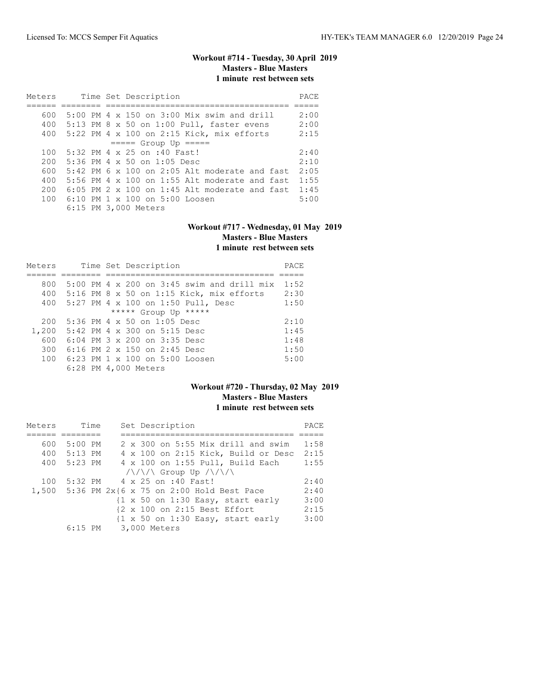# **Workout #714 - Tuesday, 30 April 2019 Masters - Blue Masters 1 minute rest between sets**

| Meters |  | Time Set Description                                   | PACE |
|--------|--|--------------------------------------------------------|------|
|        |  |                                                        |      |
| 600    |  | $5:00$ PM 4 $\times$ 150 on 3:00 Mix swim and drill    | 2:00 |
| 400    |  | $5:13$ PM 8 x 50 on 1:00 Pull, faster evens            | 2:00 |
| 400    |  | $5:22$ PM 4 x 100 on 2:15 Kick, mix efforts            | 2:15 |
|        |  | $== == $ Group Up $== == $                             |      |
| 100    |  | 5:32 PM 4 x 25 on :40 Fast!                            | 2:40 |
| 200    |  | 5:36 PM 4 x 50 on 1:05 Desc                            | 2:10 |
| 600    |  | $5:42$ PM 6 x 100 on 2:05 Alt moderate and fast        | 2:05 |
| 400    |  | 5:56 PM $4 \times 100$ on 1:55 Alt moderate and fast   | 1:55 |
| 200    |  | $6:05$ PM $2 \times 100$ on 1:45 Alt moderate and fast | 1:45 |
| 100    |  | $6:10$ PM $1 \times 100$ on $5:00$ Loosen              | 5:00 |
|        |  | 6:15 PM 3,000 Meters                                   |      |

#### **Workout #717 - Wednesday, 01 May 2019 Masters - Blue Masters 1 minute rest between sets**

| Meters |  | Time Set Description                              | PACE |
|--------|--|---------------------------------------------------|------|
|        |  |                                                   |      |
| 800    |  | 5:00 PM $4 \times 200$ on 3:45 swim and drill mix | 1:52 |
| 400    |  | $5:16$ PM 8 x 50 on 1:15 Kick, mix efforts        | 2:30 |
| 400    |  | 5:27 PM 4 x 100 on 1:50 Pull, Desc                | 1:50 |
|        |  | ***** Group Up *****                              |      |
| 200    |  | 5:36 PM 4 x 50 on 1:05 Desc                       | 2:10 |
| 1,200  |  | 5:42 PM 4 x 300 on 5:15 Desc                      | 1:45 |
| 600    |  | $6:04$ PM $3 \times 200$ on $3:35$ Desc           | 1:48 |
| 300    |  | 6:16 PM 2 x 150 on 2:45 Desc                      | 1:50 |
| 100    |  | $6:23$ PM $1 \times 100$ on $5:00$ Loosen         | 5:00 |
|        |  | 6:28 PM 4,000 Meters                              |      |

#### **Workout #720 - Thursday, 02 May 2019 Masters - Blue Masters 1 minute rest between sets**

| Meters | Time        | Set Description                                                                                                           | PACE |
|--------|-------------|---------------------------------------------------------------------------------------------------------------------------|------|
|        |             |                                                                                                                           |      |
| 600    | 5:00 PM     | 2 x 300 on 5:55 Mix drill and swim                                                                                        | 1:58 |
|        | 400 5:13 PM | 4 x 100 on 2:15 Kick, Build or Desc                                                                                       | 2:15 |
| 400    | 5:23 PM     | 4 x 100 on 1:55 Pull, Build Each                                                                                          | 1:55 |
|        |             | $\sqrt{\langle \langle \rangle / \langle \rangle}$ Group Up $\langle \langle \rangle / \langle \rangle / \langle \rangle$ |      |
| 100    |             | 5:32 PM 4 x 25 on :40 Fast!                                                                                               | 2:40 |
|        |             | 1,500 5:36 PM 2x{6 x 75 on 2:00 Hold Best Pace                                                                            | 2:40 |
|        |             | $\{1 \times 50 \text{ on } 1:30 \text{ Easy}, \text{ start early}\}$                                                      | 3:00 |
|        |             | {2 x 100 on 2:15 Best Effort                                                                                              | 2:15 |
|        |             | $\{1 \times 50 \text{ on } 1:30 \text{ Easy}, \text{ start early}\}$                                                      | 3:00 |
|        | 6:15 PM     | 3,000 Meters                                                                                                              |      |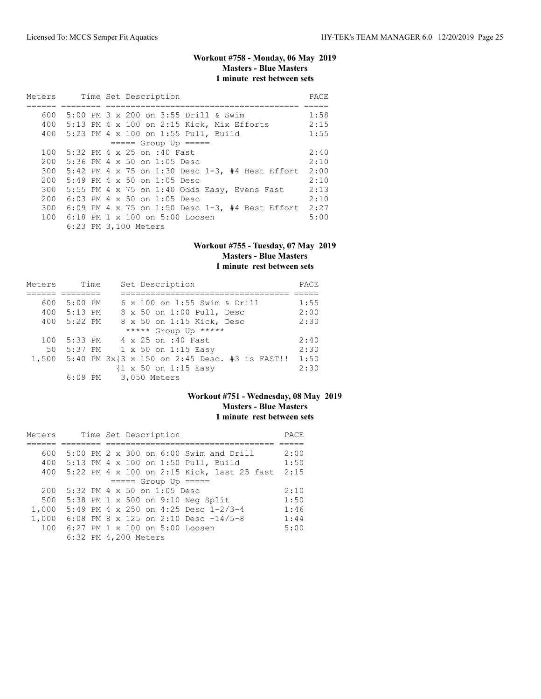# **Workout #758 - Monday, 06 May 2019 Masters - Blue Masters 1 minute rest between sets**

| Meters |  | Time Set Description                                | PACE |
|--------|--|-----------------------------------------------------|------|
|        |  |                                                     |      |
| 600    |  | 5:00 PM 3 x 200 on 3:55 Drill & Swim                | 1:58 |
| 400    |  | 5:13 PM 4 x 100 on 2:15 Kick, Mix Efforts           | 2:15 |
|        |  | 400 5:23 PM 4 x 100 on 1:55 Pull, Build             | 1:55 |
|        |  | $====$ Group Up $====$                              |      |
| 100    |  | 5:32 PM 4 x 25 on :40 Fast                          | 2:40 |
| 200    |  | $5:36$ PM 4 x 50 on 1:05 Desc                       | 2:10 |
| 300    |  | 5:42 PM 4 x 75 on 1:30 Desc $1-3$ , #4 Best Effort  | 2:00 |
| 200    |  | $5:49$ PM 4 x 50 on 1:05 Desc                       | 2:10 |
| 300    |  | 5:55 PM 4 $\times$ 75 on 1:40 Odds Easy, Evens Fast | 2:13 |
| 200    |  | $6:03$ PM 4 $\times$ 50 on 1:05 Desc                | 2:10 |
| 300    |  | 6:09 PM 4 x 75 on 1:50 Desc 1-3, #4 Best Effort     | 2:27 |
| 100    |  | 6:18 PM 1 x 100 on 5:00 Loosen                      | 5:00 |
|        |  | 6:23 PM 3,100 Meters                                |      |

### **Workout #755 - Tuesday, 07 May 2019 Masters - Blue Masters 1 minute rest between sets**

| Meters | Time      | Set Description                                            | PACE |
|--------|-----------|------------------------------------------------------------|------|
|        |           |                                                            |      |
| 600    | 5:00 PM   | 6 x 100 on 1:55 Swim & Drill                               | 1:55 |
| 400    | $5:13$ PM | 8 x 50 on 1:00 Pull, Desc                                  | 2:00 |
| 400    | $5:22$ PM | 8 x 50 on 1:15 Kick, Desc                                  | 2:30 |
|        |           | ***** Group Up *****                                       |      |
| 100    | $5:33$ PM | 4 x 25 on :40 Fast                                         | 2:40 |
| 50     |           | 5:37 PM 1 x 50 on 1:15 Easy                                | 2:30 |
| 1,500  |           | 5:40 PM $3x$ $(3 \times 150)$ on $2:45$ Desc. #3 is FAST!! | 1:50 |
|        |           | $\{1 \times 50 \text{ on } 1:15 \text{ Easy}\}$            | 2:30 |
|        | $6:09$ PM | 3,050 Meters                                               |      |

# **Workout #751 - Wednesday, 08 May 2019 Masters - Blue Masters 1 minute rest between sets**

| Meters |  |  | Time Set Description        |                                            | PACE |
|--------|--|--|-----------------------------|--------------------------------------------|------|
|        |  |  |                             |                                            |      |
| 600    |  |  |                             | 5:00 PM 2 x 300 on 6:00 Swim and Drill     | 2:00 |
| 400    |  |  |                             | 5:13 PM 4 x 100 on 1:50 Pull, Build        | 1:50 |
| 400    |  |  |                             | 5:22 PM 4 x 100 on 2:15 Kick, last 25 fast | 2:15 |
|        |  |  | $====$ Group Up $====$      |                                            |      |
| 200    |  |  | 5:32 PM 4 x 50 on 1:05 Desc |                                            | 2:10 |
| 500    |  |  |                             | 5:38 PM 1 x 500 on 9:10 Neg Split          | 1:50 |
| 1,000  |  |  |                             | 5:49 PM 4 x 250 on 4:25 Desc 1-2/3-4       | 1:46 |
| 1,000  |  |  |                             | 6:08 PM 8 x 125 on 2:10 Desc -14/5-8       | 1:44 |
| 100    |  |  |                             | 6:27 PM 1 x 100 on 5:00 Loosen             | 5:00 |
|        |  |  | 6:32 PM 4,200 Meters        |                                            |      |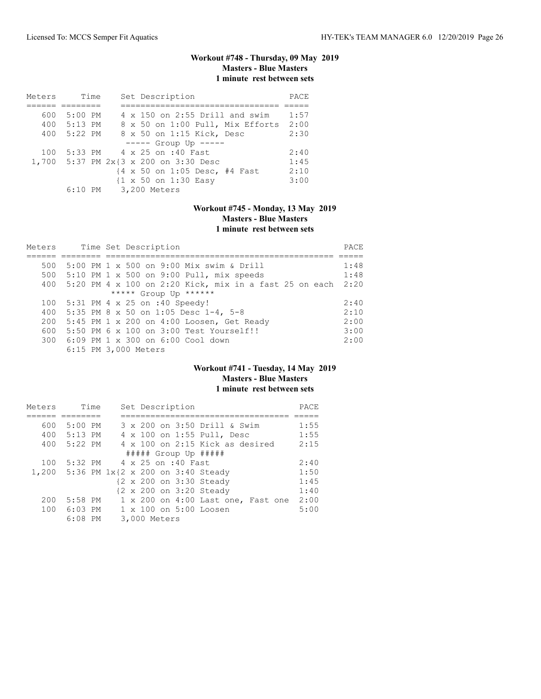# **Workout #748 - Thursday, 09 May 2019 Masters - Blue Masters 1 minute rest between sets**

| Meters | Time        | Set Description                       | PACE |
|--------|-------------|---------------------------------------|------|
|        |             |                                       |      |
| 600    | $5:00$ PM   | 4 x 150 on 2:55 Drill and swim        | 1:57 |
|        | 400 5:13 PM | 8 x 50 on 1:00 Pull, Mix Efforts      | 2:00 |
| 400    | 5:22 PM     | 8 x 50 on 1:15 Kick, Desc             | 2:30 |
|        |             | $--- $ Group Up $---$                 |      |
| 100    |             | 5:33 PM 4 x 25 on :40 Fast            | 2:40 |
|        |             | 1,700 5:37 PM 2x{3 x 200 on 3:30 Desc | 1:45 |
|        |             | {4 x 50 on 1:05 Desc, #4 Fast         | 2:10 |
|        |             | {1 x 50 on 1:30 Easy                  | 3:00 |
|        |             | 6:10 PM 3,200 Meters                  |      |

### **Workout #745 - Monday, 13 May 2019 Masters - Blue Masters 1 minute rest between sets**

| Meters |  | Time Set Description                                          | PACE |
|--------|--|---------------------------------------------------------------|------|
|        |  |                                                               |      |
| 500    |  | 5:00 PM 1 x 500 on 9:00 Mix swim & Drill                      | 1:48 |
| 500    |  | $5:10$ PM 1 x 500 on 9:00 Pull, mix speeds                    | 1:48 |
| 400    |  | 5:20 PM $4 \times 100$ on 2:20 Kick, mix in a fast 25 on each | 2:20 |
|        |  | ***** Group Up ******                                         |      |
| 100    |  | 5:31 PM 4 x 25 on :40 Speedy!                                 | 2:40 |
| 400    |  | 5:35 PM 8 x 50 on 1:05 Desc 1-4, 5-8                          | 2:10 |
| 200    |  | 5:45 PM 1 x 200 on 4:00 Loosen, Get Ready                     | 2:00 |
| 600    |  | $5:50$ PM $6 \times 100$ on $3:00$ Test Yourself!!            | 3:00 |
|        |  | 300 6:09 PM 1 x 300 on 6:00 Cool down                         | 2:00 |
|        |  | 6:15 PM 3,000 Meters                                          |      |

### **Workout #741 - Tuesday, 14 May 2019 Masters - Blue Masters 1 minute rest between sets**

| Meters | Time        |                                         | Set Description |  |                                    | PACE |
|--------|-------------|-----------------------------------------|-----------------|--|------------------------------------|------|
|        |             |                                         |                 |  |                                    |      |
| 600    | $5:00$ PM   |                                         |                 |  | 3 x 200 on 3:50 Drill & Swim       | 1:55 |
| 400    | 5:13 PM     |                                         |                 |  | 4 x 100 on 1:55 Pull, Desc         | 1:55 |
|        | 400 5:22 PM |                                         |                 |  | 4 x 100 on 2:15 Kick as desired    | 2:15 |
|        |             |                                         |                 |  | $\#$ #### Group Up $\#$ ####       |      |
| 100    |             | 5:32 PM 4 x 25 on :40 Fast              |                 |  |                                    | 2:40 |
|        |             | 1,200 5:36 PM 1x{2 x 200 on 3:40 Steady |                 |  |                                    | 1:50 |
|        |             |                                         |                 |  | {2 x 200 on 3:30 Steady            | 1:45 |
|        |             |                                         |                 |  | {2 x 200 on 3:20 Steady            | 1:40 |
| 200    | 5:58 PM     |                                         |                 |  | 1 x 200 on 4:00 Last one, Fast one | 2:00 |
| 100    | 6:03 PM     |                                         |                 |  | $1 \times 100$ on $5:00$ Loosen    | 5:00 |
|        | $6:08$ PM   |                                         | 3,000 Meters    |  |                                    |      |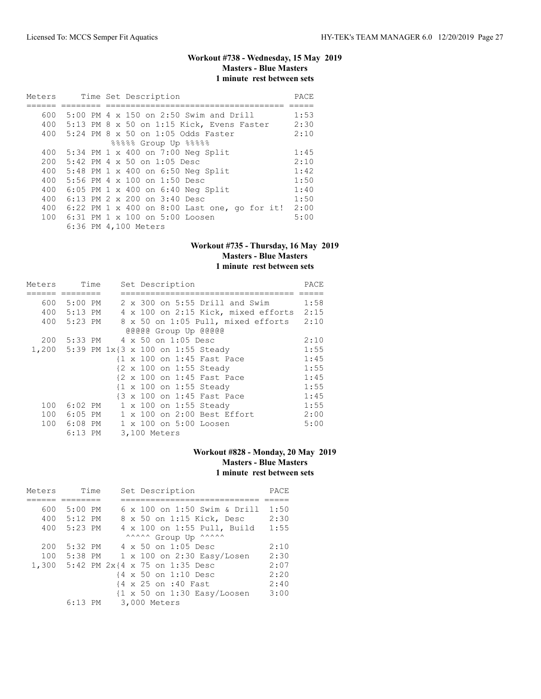# **Workout #738 - Wednesday, 15 May 2019 Masters - Blue Masters 1 minute rest between sets**

| Meters |  | Time Set Description                           | PACE |
|--------|--|------------------------------------------------|------|
|        |  |                                                |      |
| 600    |  | 5:00 PM 4 x 150 on 2:50 Swim and Drill         | 1:53 |
| 400    |  | 5:13 PM 8 x 50 on 1:15 Kick, Evens Faster      | 2:30 |
| 400    |  | 5:24 PM 8 x 50 on 1:05 Odds Faster             | 2:10 |
|        |  | 88888 Group Up 88888                           |      |
| 400    |  | 5:34 PM 1 x 400 on 7:00 Neg Split              | 1:45 |
| 200    |  | $5:42$ PM 4 x 50 on 1:05 Desc                  | 2:10 |
| 400    |  | 5:48 PM 1 x 400 on 6:50 Neg Split              | 1:42 |
| 400    |  | 5:56 PM $4 \times 100$ on 1:50 Desc            | 1:50 |
| 400    |  | 6:05 PM 1 x 400 on 6:40 Neg Split              | 1:40 |
| 400    |  | 6:13 PM $2 \times 200$ on $3:40$ Desc          | 1:50 |
| 400    |  | $6:22$ PM 1 x 400 on 8:00 Last one, go for it! | 2:00 |
| 100    |  | 6:31 PM 1 x 100 on 5:00 Loosen                 | 5:00 |
|        |  | 6:36 PM 4,100 Meters                           |      |

### **Workout #735 - Thursday, 16 May 2019 Masters - Blue Masters 1 minute rest between sets**

| Meters |             | Time | Set Description                                    | PACE |
|--------|-------------|------|----------------------------------------------------|------|
|        |             |      |                                                    |      |
| 600    | $5:00$ PM   |      | 2 x 300 on 5:55 Drill and Swim                     | 1:58 |
|        | 400 5:13 PM |      | 4 x 100 on 2:15 Kick, mixed efforts                | 2:15 |
|        | 400 5:23 PM |      | 8 x 50 on 1:05 Pull, mixed efforts                 | 2:10 |
|        |             |      | @@@@@ Group Up @@@@@                               |      |
| 200    |             |      | 5:33 PM 4 x 50 on 1:05 Desc                        | 2:10 |
|        |             |      | 1,200 5:39 PM 1x{3 x 100 on 1:55 Steady            | 1:55 |
|        |             |      | {1 x 100 on 1:45 Fast Pace                         | 1:45 |
|        |             |      | {2 x 100 on 1:55 Steady                            | 1:55 |
|        |             |      | {2 x 100 on 1:45 Fast Pace                         | 1:45 |
|        |             |      | $\{1 \times 100 \text{ on } 1:55 \text{ Steady}\}$ | 1:55 |
|        |             |      | {3 x 100 on 1:45 Fast Pace                         | 1:45 |
| 100    | 6:02 PM     |      | $1 \times 100$ on 1:55 Steady                      | 1:55 |
|        | 100 6:05 PM |      | 1 x 100 on 2:00 Best Effort                        | 2:00 |
|        | 100 6:08 PM |      | 1 x 100 on 5:00 Loosen                             | 5:00 |
|        | $6:13$ PM   |      | 3,100 Meters                                       |      |

# **Workout #828 - Monday, 20 May 2019 Masters - Blue Masters 1 minute rest between sets**

| Meters |           | Time | Set Description                                        | PACE |
|--------|-----------|------|--------------------------------------------------------|------|
|        |           |      |                                                        |      |
| 600    | $5:00$ PM |      | 6 x 100 on 1:50 Swim & Drill                           | 1:50 |
| 400    | 5:12 PM   |      | 8 x 50 on 1:15 Kick, Desc                              | 2:30 |
| 400    | 5:23 PM   |      | 4 x 100 on 1:55 Pull, Build                            | 1:55 |
|        |           |      | ^^^^^^ Group Up ^^^^^^                                 |      |
| 200    | 5:32 PM   |      | $4 \times 50$ on 1:05 Desc                             | 2:10 |
| 100    |           |      | 5:38 PM 1 x 100 on 2:30 Easy/Losen                     | 2:30 |
| 1,300  |           |      | 5:42 PM 2x{4 x 75 on 1:35 Desc                         | 2:07 |
|        |           |      | {4 x 50 on 1:10 Desc                                   | 2:20 |
|        |           |      | {4 x 25 on :40 Fast                                    | 2:40 |
|        |           |      | $\{1 \times 50 \text{ on } 1:30 \text{ Easy/Loosen}\}$ | 3:00 |
|        | $6:13$ PM |      | 3,000 Meters                                           |      |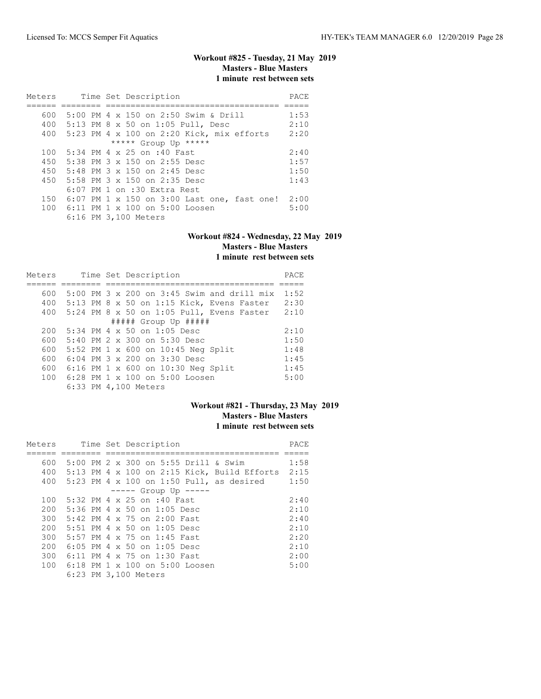# **Workout #825 - Tuesday, 21 May 2019 Masters - Blue Masters 1 minute rest between sets**

| Meters |  | Time Set Description                        | PACE |
|--------|--|---------------------------------------------|------|
|        |  |                                             |      |
| 600    |  | 5:00 PM 4 x 150 on 2:50 Swim & Drill        | 1:53 |
| 400    |  | 5:13 PM 8 x 50 on 1:05 Pull, Desc           | 2:10 |
| 400    |  | 5:23 PM 4 x 100 on 2:20 Kick, mix efforts   | 2:20 |
|        |  | ***** Group Up *****                        |      |
| 100    |  | 5:34 PM 4 x 25 on :40 Fast                  | 2:40 |
| 450    |  | 5:38 PM 3 x 150 on 2:55 Desc                | 1:57 |
| 450    |  | 5:48 PM $3 \times 150$ on 2:45 Desc         | 1:50 |
| 450    |  | 5:58 PM $3 \times 150$ on 2:35 Desc         | 1:43 |
|        |  | $6:07$ PM 1 on $:30$ Extra Rest             |      |
| 150    |  | 6:07 PM 1 x 150 on 3:00 Last one, fast one! | 2:00 |
| 100    |  | 6:11 PM 1 x 100 on 5:00 Loosen              | 5:00 |
|        |  | 6:16 PM 3,100 Meters                        |      |

#### **Workout #824 - Wednesday, 22 May 2019 Masters - Blue Masters 1 minute rest between sets**

| Meters |  | Time Set Description                         | PACE |
|--------|--|----------------------------------------------|------|
|        |  |                                              |      |
| 600    |  | $5:00$ PM 3 x 200 on 3:45 Swim and drill mix | 1:52 |
| 400    |  | $5:13$ PM 8 x 50 on 1:15 Kick, Evens Faster  | 2:30 |
| 400    |  | 5:24 PM 8 x 50 on 1:05 Pull, Evens Faster    | 2:10 |
|        |  | $\#$ #### Group Up $\#$ ####                 |      |
| 200    |  | $5:34$ PM 4 x 50 on 1:05 Desc                | 2:10 |
| 600    |  | $5:40$ PM $2 \times 300$ on $5:30$ Desc      | 1:50 |
| 600    |  | 5:52 PM 1 x 600 on 10:45 Neg Split           | 1:48 |
| 600    |  | $6:04$ PM $3 \times 200$ on $3:30$ Desc      | 1:45 |
| 600    |  | $6:16$ PM 1 x 600 on 10:30 Neg Split         | 1:45 |
| 100    |  | 6:28 PM 1 x 100 on 5:00 Loosen               | 5:00 |
|        |  | 6:33 PM 4,100 Meters                         |      |

# **Workout #821 - Thursday, 23 May 2019 Masters - Blue Masters 1 minute rest between sets**

| Meters |  | Time Set Description                        | PACE |
|--------|--|---------------------------------------------|------|
|        |  |                                             |      |
| 600    |  | 5:00 PM 2 x 300 on 5:55 Drill & Swim        | 1:58 |
| 400    |  | 5:13 PM 4 x 100 on 2:15 Kick, Build Efforts | 2:15 |
| 400    |  | 5:23 PM 4 x 100 on 1:50 Pull, as desired    | 1:50 |
|        |  | $--- $ Group Up $--- $                      |      |
| 100    |  | 5:32 PM 4 x 25 on :40 Fast                  | 2:40 |
| 200    |  | 5:36 PM 4 x 50 on 1:05 Desc                 | 2:10 |
| 300    |  | 5:42 PM 4 x 75 on 2:00 Fast                 | 2:40 |
| 200    |  | $5:51$ PM 4 x 50 on 1:05 Desc               | 2:10 |
| 300    |  | 5:57 PM 4 x 75 on 1:45 Fast                 | 2:20 |
| 200    |  | $6:05$ PM 4 x 50 on 1:05 Desc               | 2:10 |
| 300    |  | 6:11 PM 4 x 75 on 1:30 Fast                 | 2:00 |
| 100    |  | 6:18 PM $1 \times 100$ on $5:00$ Loosen     | 5:00 |
|        |  | 6:23 PM 3,100 Meters                        |      |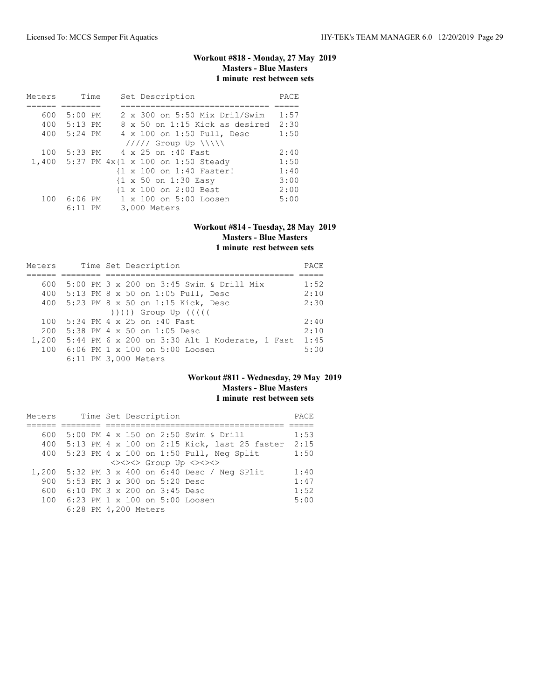# **Workout #818 - Monday, 27 May 2019 Masters - Blue Masters 1 minute rest between sets**

| Meters | Time        |  | Set Description                                 | PACE |
|--------|-------------|--|-------------------------------------------------|------|
|        |             |  |                                                 |      |
| 600    | 5:00 PM     |  | 2 x 300 on 5:50 Mix Dril/Swim                   | 1:57 |
|        | 400 5:13 PM |  | 8 x 50 on 1:15 Kick as desired                  | 2:30 |
| 400    | 5:24 PM     |  | 4 x 100 on 1:50 Pull, Desc                      | 1:50 |
|        |             |  | $11111$ Group Up $\{\{\}\}\$                    |      |
| 100    | 5:33 PM     |  | 4 x 25 on :40 Fast                              | 2:40 |
|        |             |  | 1,400 5:37 PM 4x{1 x 100 on 1:50 Steady         | 1:50 |
|        |             |  | {1 x 100 on 1:40 Faster!                        | 1:40 |
|        |             |  | $\{1 \times 50 \text{ on } 1:30 \text{ Easy}\}$ | 3:00 |
|        |             |  | {1 x 100 on 2:00 Best                           | 2:00 |
| 100    | 6:06 PM     |  | $1 \times 100$ on $5:00$ Loosen                 | 5:00 |
|        | $6:11$ PM   |  | 3,000 Meters                                    |      |

# **Workout #814 - Tuesday, 28 May 2019 Masters - Blue Masters**

# **1 minute rest between sets**

| Meters | Time Set Description                                 | <b>PACE</b> |
|--------|------------------------------------------------------|-------------|
|        |                                                      |             |
| 600    | 5:00 PM 3 x 200 on 3:45 Swim & Drill Mix             | 1:52        |
|        | 400 5:13 PM 8 x 50 on 1:05 Pull, Desc                | 2:10        |
|        | 400 5:23 PM 8 x 50 on 1:15 Kick, Desc                | 2:30        |
|        | $( ) )$ ))) Group Up $( ( )$                         |             |
| 100    | 5:34 PM 4 x 25 on :40 Fast                           | 2:40        |
| 200    | 5:38 PM 4 x 50 on 1:05 Desc                          | 2:10        |
|        | 1,200 5:44 PM 6 x 200 on 3:30 Alt 1 Moderate, 1 Fast | 1:45        |
|        | 100 6:06 PM 1 x 100 on 5:00 Loosen                   | 5:00        |
|        | 6:11 PM 3,000 Meters                                 |             |

### **Workout #811 - Wednesday, 29 May 2019 Masters - Blue Masters 1 minute rest between sets**

| Meters |                              |  |  | Time Set Description |                                              | PACE |
|--------|------------------------------|--|--|----------------------|----------------------------------------------|------|
|        |                              |  |  |                      |                                              |      |
| 600    |                              |  |  |                      | 5:00 PM 4 x 150 on 2:50 Swim & Drill         | 1:53 |
| 400    |                              |  |  |                      | 5:13 PM 4 x 100 on 2:15 Kick, last 25 faster | 2:15 |
| 400    |                              |  |  |                      | $5:23$ PM 4 x 100 on 1:50 Pull, Neq Split    | 1:50 |
|        |                              |  |  |                      | <><><> Group Up <><><>                       |      |
| 1,200  |                              |  |  |                      | 5:32 PM 3 x 400 on 6:40 Desc / Neg SPlit     | 1:40 |
| 900    | 5:53 PM 3 x 300 on 5:20 Desc |  |  |                      |                                              | 1:47 |
| 600    | 6:10 PM 3 x 200 on 3:45 Desc |  |  |                      |                                              | 1:52 |
| 100    |                              |  |  |                      | 6:23 PM 1 x 100 on 5:00 Loosen               | 5:00 |
|        | 6:28 PM 4,200 Meters         |  |  |                      |                                              |      |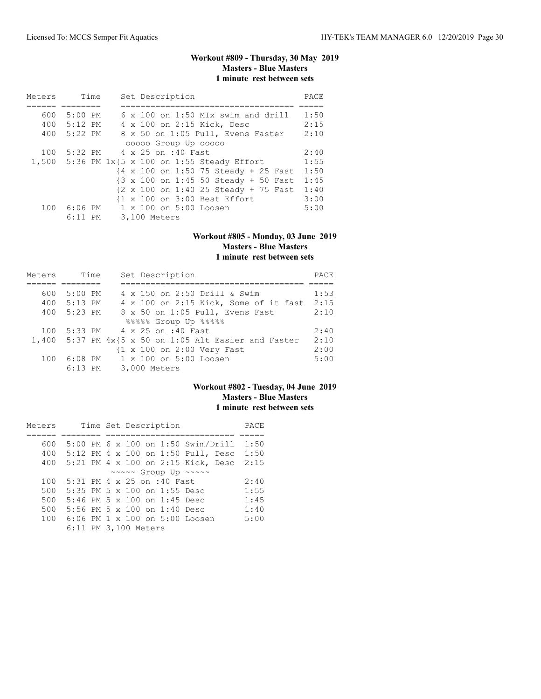# **Workout #809 - Thursday, 30 May 2019 Masters - Blue Masters 1 minute rest between sets**

| Meters | Time        |  | Set Description                                                           | PACE |
|--------|-------------|--|---------------------------------------------------------------------------|------|
|        |             |  |                                                                           |      |
|        | 600 5:00 PM |  | 6 x 100 on 1:50 MIx swim and drill                                        | 1:50 |
|        | 400 5:12 PM |  | 4 x 100 on 2:15 Kick, Desc                                                | 2:15 |
|        | 400 5:22 PM |  | 8 x 50 on 1:05 Pull, Evens Faster                                         | 2:10 |
|        |             |  | 00000 Group Up 00000                                                      |      |
|        |             |  | 100 5:32 PM 4 x 25 on :40 Fast                                            | 2:40 |
|        |             |  | 1,500 5:36 PM 1x{5 x 100 on 1:55 Steady Effort                            | 1:55 |
|        |             |  | $\{4 \times 100 \text{ on } 1:50\}$ 75 Steady + 25 Fast                   | 1:50 |
|        |             |  | $\{3 \times 100 \text{ on } 1:45 \text{ 50 Steady } + 50 \text{ Fast} \}$ | 1:45 |
|        |             |  | {2 x 100 on 1:40 25 Steady + 75 Fast                                      | 1:40 |
|        |             |  | {1 x 100 on 3:00 Best Effort                                              | 3:00 |
| 100    | 6:06 PM     |  | $1 \times 100$ on $5:00$ Loosen                                           | 5:00 |
|        | $6:11$ PM   |  | 3,100 Meters                                                              |      |

#### **Workout #805 - Monday, 03 June 2019 Masters - Blue Masters 1 minute rest between sets**

| Meters | Time        | Set Description                                          | PACE |
|--------|-------------|----------------------------------------------------------|------|
|        |             |                                                          |      |
| 600    | $5:00$ PM   | 4 x 150 on 2:50 Drill & Swim                             | 1:53 |
| 400    | 5:13 PM     | 4 x 100 on 2:15 Kick, Some of it fast                    | 2:15 |
|        | 400 5:23 PM | 8 x 50 on 1:05 Pull, Evens Fast                          | 2:10 |
|        |             | %%%%% Group Up %%%%%                                     |      |
| 100    |             | 5:33 PM 4 x 25 on :40 Fast                               | 2:40 |
|        |             | 1,400 5:37 PM $4x$ {5 x 50 on 1:05 Alt Easier and Faster | 2:10 |
|        |             | {1 x 100 on 2:00 Very Fast                               | 2:00 |
| 100    | $6:08$ PM   | 1 x 100 on 5:00 Loosen                                   | 5:00 |
|        | $6:13$ PM   | 3,000 Meters                                             |      |

# **Workout #802 - Tuesday, 04 June 2019 Masters - Blue Masters 1 minute rest between sets**

| Meters |                                         |  |  | Time Set Description |                                                      | PACE |
|--------|-----------------------------------------|--|--|----------------------|------------------------------------------------------|------|
|        |                                         |  |  |                      |                                                      |      |
| 600    |                                         |  |  |                      | 5:00 PM 6 x 100 on 1:50 Swim/Drill 1:50              |      |
| 400    |                                         |  |  |                      | 5:12 PM 4 x 100 on 1:50 Pull, Desc                   | 1:50 |
| 400    |                                         |  |  |                      | 5:21 PM 4 x 100 on 2:15 Kick, Desc                   | 2:15 |
|        |                                         |  |  |                      | $\sim \sim \sim \sim$ Group Up $\sim \sim \sim \sim$ |      |
| 100    | 5:31 PM 4 x 25 on :40 Fast              |  |  |                      |                                                      | 2:40 |
| 500    | 5:35 PM 5 x 100 on 1:55 Desc            |  |  |                      |                                                      | 1:55 |
| 500    | 5:46 PM 5 x 100 on 1:45 Desc            |  |  |                      |                                                      | 1:45 |
| 500    | 5:56 PM 5 x 100 on 1:40 Desc            |  |  |                      |                                                      | 1:40 |
| 100    | 6:06 PM $1 \times 100$ on $5:00$ Loosen |  |  |                      |                                                      | 5:00 |
|        | 6:11 PM 3,100 Meters                    |  |  |                      |                                                      |      |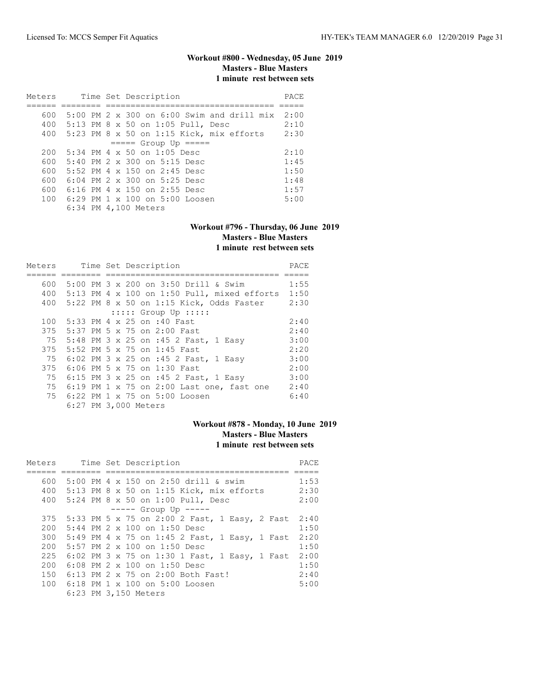# **Workout #800 - Wednesday, 05 June 2019 Masters - Blue Masters 1 minute rest between sets**

| Meters |  | Time Set Description                       | PACE |
|--------|--|--------------------------------------------|------|
|        |  |                                            |      |
| 600    |  | 5:00 PM 2 x 300 on 6:00 Swim and drill mix | 2:00 |
| 400    |  | 5:13 PM 8 x 50 on 1:05 Pull, Desc          | 2:10 |
| 400    |  | 5:23 PM 8 x 50 on 1:15 Kick, mix efforts   | 2:30 |
|        |  | $====$ Group Up $====$                     |      |
| 200    |  | $5:34$ PM 4 x 50 on 1:05 Desc              | 2:10 |
| 600    |  | $5:40$ PM $2 \times 300$ on $5:15$ Desc    | 1:45 |
| 600    |  | 5:52 PM 4 $\times$ 150 on 2:45 Desc        | 1:50 |
| 600    |  | $6:04$ PM $2 \times 300$ on $5:25$ Desc    | 1:48 |
| 600    |  | 6:16 PM 4 x 150 on 2:55 Desc               | 1:57 |
| 100    |  | $6:29$ PM $1 \times 100$ on $5:00$ Loosen  | 5:00 |
|        |  | 6:34 PM 4,100 Meters                       |      |

#### **Workout #796 - Thursday, 06 June 2019 Masters - Blue Masters 1 minute rest between sets**

| Meters |  | Time Set Description                          | PACE |
|--------|--|-----------------------------------------------|------|
|        |  |                                               |      |
| 600    |  | 5:00 PM 3 x 200 on 3:50 Drill & Swim          | 1:55 |
| 400    |  | $5:13$ PM 4 x 100 on 1:50 Pull, mixed efforts | 1:50 |
| 400    |  | 5:22 PM 8 x 50 on 1:15 Kick, Odds Faster      | 2:30 |
|        |  | $:::::$ Group Up $:::::$                      |      |
| 100    |  | 5:33 PM 4 x 25 on :40 Fast                    | 2:40 |
| 375    |  | 5:37 PM 5 x 75 on 2:00 Fast                   | 2:40 |
| 75     |  | 5:48 PM 3 x 25 on :45 2 Fast, 1 Easy          | 3:00 |
| 375    |  | 5:52 PM 5 x 75 on 1:45 Fast                   | 2:20 |
| 75     |  | 6:02 PM 3 x 25 on :45 2 Fast, 1 Easy          | 3:00 |
| 375    |  | 6:06 PM 5 x 75 on 1:30 Fast                   | 2:00 |
| 75     |  | 6:15 PM 3 x 25 on :45 2 Fast, 1 Easy          | 3:00 |
| 75     |  | $6:19$ PM 1 x 75 on 2:00 Last one, fast one   | 2:40 |
| 75     |  | $6:22$ PM $1 \times 75$ on $5:00$ Loosen      | 6:40 |
|        |  | 6:27 PM 3,000 Meters                          |      |

# **Workout #878 - Monday, 10 June 2019 Masters - Blue Masters 1 minute rest between sets**

| Meters | Time Set Description                         |                                               | PACE |
|--------|----------------------------------------------|-----------------------------------------------|------|
|        |                                              |                                               |      |
| 600    | 5:00 PM 4 x 150 on 2:50 drill & swim         |                                               | 1:53 |
|        | 400 5:13 PM 8 x 50 on 1:15 Kick, mix efforts |                                               | 2:30 |
|        | 400 5:24 PM 8 x 50 on 1:00 Pull, Desc        |                                               | 2:00 |
|        | $--- $ Group Up $---$                        |                                               |      |
| 375    |                                              | 5:33 PM 5 x 75 on 2:00 2 Fast, 1 Easy, 2 Fast | 2:40 |
| 200    | $5:44$ PM $2 \times 100$ on 1:50 Desc        |                                               | 1:50 |
| 300    |                                              | 5:49 PM 4 x 75 on 1:45 2 Fast, 1 Easy, 1 Fast | 2:20 |
| 200    | $5:57$ PM $2 \times 100$ on $1:50$ Desc      |                                               | 1:50 |
| 225    |                                              | 6:02 PM 3 x 75 on 1:30 1 Fast, 1 Easy, 1 Fast | 2:00 |
| 200    | $6:08$ PM $2 \times 100$ on 1:50 Desc        |                                               | 1:50 |
| 150    | 6:13 PM 2 x 75 on 2:00 Both Fast!            |                                               | 2:40 |
| 100    | $6:18$ PM 1 x 100 on 5:00 Loosen             |                                               | 5:00 |
|        | 6:23 PM 3,150 Meters                         |                                               |      |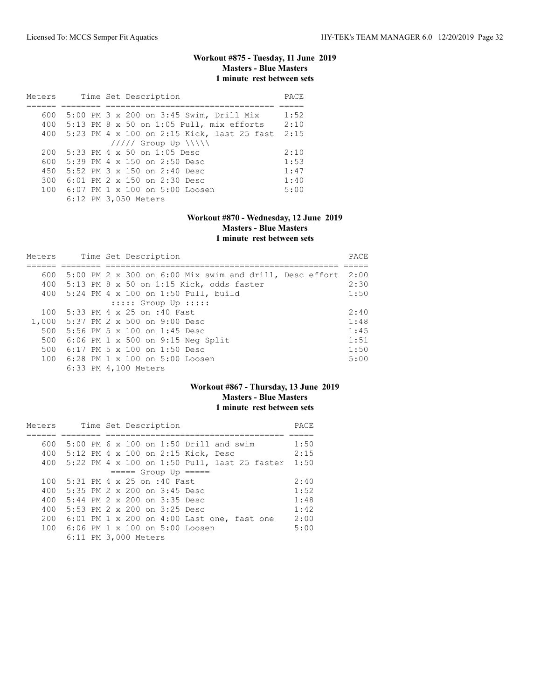# **Workout #875 - Tuesday, 11 June 2019 Masters - Blue Masters 1 minute rest between sets**

| Meters | Time Set Description                       | PACE |
|--------|--------------------------------------------|------|
|        |                                            |      |
| 600    | 5:00 PM 3 x 200 on 3:45 Swim, Drill Mix    | 1:52 |
| 400    | $5:13$ PM 8 x 50 on 1:05 Pull, mix efforts | 2:10 |
| 400    | 5:23 PM 4 x 100 on 2:15 Kick, last 25 fast | 2:15 |
|        | $11111$ Group Up $\N\$                     |      |
| 200    | 5:33 PM 4 x 50 on 1:05 Desc                | 2:10 |
| 600    | 5:39 PM 4 x 150 on 2:50 Desc               | 1:53 |
| 450    | 5:52 PM $3 \times 150$ on $2:40$ Desc      | 1:47 |
| 300    | 6:01 PM 2 x 150 on 2:30 Desc               | 1:40 |
| 100    | $6:07$ PM $1 \times 100$ on $5:00$ Loosen  | 5:00 |
|        | 6:12 PM 3,050 Meters                       |      |

# **Workout #870 - Wednesday, 12 June 2019 Masters - Blue Masters 1 minute rest between sets**

| Meters |  | Time Set Description                                    | PACE |
|--------|--|---------------------------------------------------------|------|
|        |  |                                                         |      |
| 600    |  | 5:00 PM 2 x 300 on 6:00 Mix swim and drill, Desc effort | 2:00 |
| 400    |  | $5:13$ PM 8 x 50 on 1:15 Kick, odds faster              | 2:30 |
| 400    |  | 5:24 PM 4 x 100 on 1:50 Pull, build                     | 1:50 |
|        |  | $:::::$ Group Up $:::::$                                |      |
| 100    |  | 5:33 PM 4 x 25 on :40 Fast                              | 2:40 |
| 1,000  |  | 5:37 PM 2 x 500 on 9:00 Desc                            | 1:48 |
| 500    |  | 5:56 PM 5 $\times$ 100 on 1:45 Desc                     | 1:45 |
| 500    |  | $6:06$ PM 1 x 500 on 9:15 Neq Split                     | 1:51 |
| 500    |  | 6:17 PM 5 $\times$ 100 on 1:50 Desc                     | 1:50 |
| 100    |  | 6:28 PM 1 x 100 on 5:00 Loosen                          | 5:00 |
|        |  | 6:33 PM 4,100 Meters                                    |      |

### **Workout #867 - Thursday, 13 June 2019 Masters - Blue Masters 1 minute rest between sets**

| Meters |  | Time Set Description                             | PACE |
|--------|--|--------------------------------------------------|------|
|        |  |                                                  |      |
| 600    |  | 5:00 PM 6 x 100 on 1:50 Drill and swim           | 1:50 |
|        |  | 400 5:12 PM 4 x 100 on 2:15 Kick, Desc           | 2:15 |
|        |  | 400 5:22 PM 4 x 100 on 1:50 Pull, last 25 faster | 1:50 |
|        |  | $== == $ Group Up $== == $                       |      |
| 100    |  | 5:31 PM 4 x 25 on :40 Fast                       | 2:40 |
| 400    |  | 5:35 PM $2 \times 200$ on $3:45$ Desc            | 1:52 |
| 400    |  | $5:44$ PM $2 \times 200$ on $3:35$ Desc          | 1:48 |
| 400    |  | 5:53 PM 2 x 200 on 3:25 Desc                     | 1:42 |
| 200    |  | $6:01$ PM 1 x 200 on 4:00 Last one, fast one     | 2:00 |
|        |  | 100 6:06 PM 1 x 100 on 5:00 Loosen               | 5:00 |
|        |  | 6:11 PM 3,000 Meters                             |      |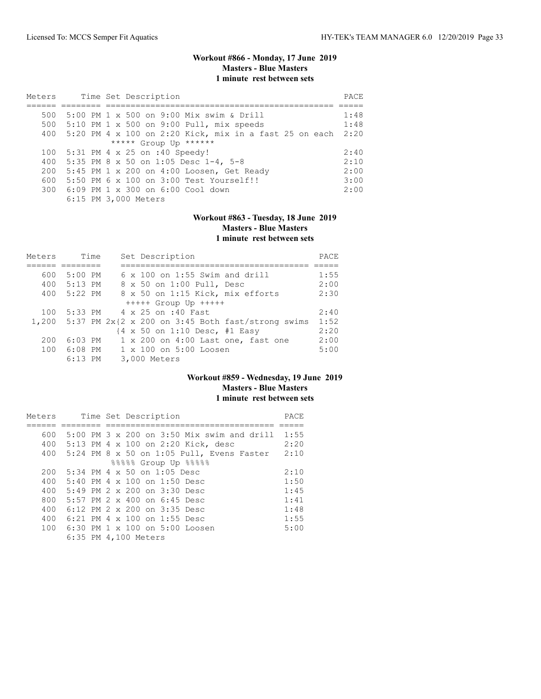### **Workout #866 - Monday, 17 June 2019 Masters - Blue Masters 1 minute rest between sets**

| Meters |  | Time Set Description                                       | PACE |
|--------|--|------------------------------------------------------------|------|
|        |  |                                                            |      |
| 500    |  | 5:00 PM 1 x 500 on 9:00 Mix swim & Drill                   | 1:48 |
|        |  | 500 5:10 PM 1 x 500 on 9:00 Pull, mix speeds               | 1:48 |
|        |  | 400 5:20 PM 4 x 100 on 2:20 Kick, mix in a fast 25 on each | 2:20 |
|        |  | ***** Group Up ******                                      |      |
| 100    |  | 5:31 PM 4 x 25 on :40 Speedy!                              | 2:40 |
| 400    |  | 5:35 PM 8 x 50 on 1:05 Desc 1-4, 5-8                       | 2:10 |
| 200    |  | 5:45 PM 1 x 200 on 4:00 Loosen, Get Ready                  | 2:00 |
| 600    |  | 5:50 PM 6 x 100 on 3:00 Test Yourself!!                    | 3:00 |
|        |  | 300 6:09 PM 1 x 300 on 6:00 Cool down                      | 2:00 |
|        |  | 6:15 PM 3,000 Meters                                       |      |

### **Workout #863 - Tuesday, 18 June 2019 Masters - Blue Masters 1 minute rest between sets**

| Meters | Time        | Set Description                                           | PACE |
|--------|-------------|-----------------------------------------------------------|------|
|        |             |                                                           |      |
| 600    | $5:00$ PM   | $6 \times 100$ on 1:55 Swim and drill                     | 1:55 |
|        | 400 5:13 PM | 8 x 50 on 1:00 Pull, Desc                                 | 2:00 |
|        | 400 5:22 PM | 8 x 50 on 1:15 Kick, mix efforts                          | 2:30 |
|        |             | $++++$ Group Up $++++$                                    |      |
| 100    |             | 5:33 PM 4 x 25 on :40 Fast                                | 2:40 |
|        |             | 1,200 5:37 PM $2x{2 x 200$ on 3:45 Both fast/strong swims | 1:52 |
|        |             | {4 x 50 on 1:10 Desc, #1 Easy                             | 2:20 |
| 200    | $6:03$ PM   | 1 x 200 on 4:00 Last one, fast one                        | 2:00 |
|        | 100 6:08 PM | $1 \times 100$ on $5:00$ Loosen                           | 5:00 |
|        | $6:13$ PM   | 3,000 Meters                                              |      |

### **Workout #859 - Wednesday, 19 June 2019 Masters - Blue Masters 1 minute rest between sets**

| Meters |  |  | Time Set Description                        | PACE |
|--------|--|--|---------------------------------------------|------|
|        |  |  |                                             |      |
| 600    |  |  | 5:00 PM 3 x 200 on 3:50 Mix swim and drill  | 1:55 |
| 400    |  |  | 5:13 PM 4 x 100 on 2:20 Kick, desc          | 2:20 |
| 400    |  |  | $5:24$ PM 8 x 50 on 1:05 Pull, Evens Faster | 2:10 |
|        |  |  | %%%%% Group Up %%%%                         |      |
| 200    |  |  | $5:34$ PM 4 x 50 on 1:05 Desc               | 2:10 |
| 400    |  |  | 5:40 PM 4 x 100 on 1:50 Desc                | 1:50 |
| 400    |  |  | $5:49$ PM $2 \times 200$ on $3:30$ Desc     | 1:45 |
| 800    |  |  | $5:57$ PM $2 \times 400$ on $6:45$ Desc     | 1:41 |
| 400    |  |  | 6:12 PM 2 x 200 on 3:35 Desc                | 1:48 |
| 400    |  |  | 6:21 PM 4 $\times$ 100 on 1:55 Desc         | 1:55 |
|        |  |  | 100 6:30 PM 1 x 100 on 5:00 Loosen          | 5:00 |
|        |  |  | 6:35 PM 4,100 Meters                        |      |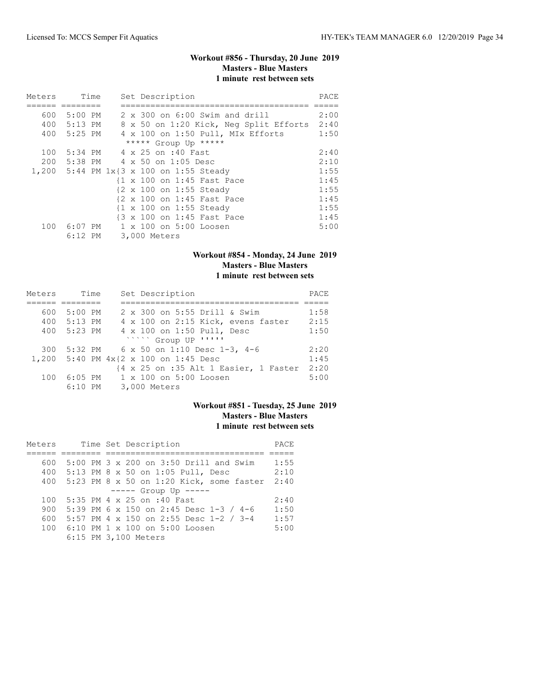# **Workout #856 - Thursday, 20 June 2019 Masters - Blue Masters 1 minute rest between sets**

| Meters                                  |                                    | Time |  |              | Set Description |                                                    |                                         |                                        | PACE |
|-----------------------------------------|------------------------------------|------|--|--------------|-----------------|----------------------------------------------------|-----------------------------------------|----------------------------------------|------|
|                                         |                                    |      |  |              |                 |                                                    |                                         |                                        |      |
| 600                                     | 5:00 PM                            |      |  |              |                 |                                                    | $2 \times 300$ on $6:00$ Swim and drill |                                        | 2:00 |
|                                         | 400 5:13 PM                        |      |  |              |                 |                                                    |                                         | 8 x 50 on 1:20 Kick, Neg Split Efforts | 2:40 |
|                                         | 400 5:25 PM                        |      |  |              |                 |                                                    | 4 x 100 on 1:50 Pull, MIx Efforts       |                                        | 1:50 |
|                                         |                                    |      |  |              |                 | ***** Group Up *****                               |                                         |                                        |      |
| 100                                     | 5:34 PM 4 x 25 on :40 Fast         |      |  |              |                 |                                                    |                                         |                                        | 2:40 |
|                                         | 200 5:38 PM 4 x 50 on 1:05 Desc    |      |  |              |                 |                                                    |                                         |                                        | 2:10 |
| 1,200 5:44 PM 1x{3 x 100 on 1:55 Steady |                                    |      |  |              |                 |                                                    |                                         |                                        | 1:55 |
|                                         |                                    |      |  |              |                 | {1 x 100 on 1:45 Fast Pace                         |                                         |                                        | 1:45 |
|                                         |                                    |      |  |              |                 | {2 x 100 on 1:55 Steady                            |                                         |                                        | 1:55 |
|                                         |                                    |      |  |              |                 | {2 x 100 on 1:45 Fast Pace                         |                                         |                                        | 1:45 |
|                                         |                                    |      |  |              |                 | $\{1 \times 100 \text{ on } 1:55 \text{ Steady}\}$ |                                         |                                        | 1:55 |
|                                         |                                    |      |  |              |                 | {3 x 100 on 1:45 Fast Pace                         |                                         |                                        | 1:45 |
|                                         | 100 6:07 PM 1 x 100 on 5:00 Loosen |      |  |              |                 |                                                    |                                         |                                        | 5:00 |
|                                         | $6:12$ PM                          |      |  | 3,000 Meters |                 |                                                    |                                         |                                        |      |

# **Workout #854 - Monday, 24 June 2019 Masters - Blue Masters 1 minute rest between sets**

| Meters | Time        | Set Description                       | PACE |
|--------|-------------|---------------------------------------|------|
|        |             |                                       |      |
| 600    | $5:00$ PM   | 2 x 300 on 5:55 Drill & Swim          | 1:58 |
|        | 400 5:13 PM | 4 x 100 on 2:15 Kick, evens faster    | 2:15 |
| 400    | 5:23 PM     | 4 x 100 on 1:50 Pull, Desc            | 1:50 |
|        |             | ***** Group UP '''''                  |      |
| 300    |             | 5:32 PM 6 x 50 on 1:10 Desc 1-3, 4-6  | 2:20 |
|        |             | 1,200 5:40 PM 4x{2 x 100 on 1:45 Desc | 1:45 |
|        |             | {4 x 25 on :35 Alt 1 Easier, 1 Faster | 2:20 |
| 100    | $6:05$ PM   | 1 x 100 on 5:00 Loosen                | 5:00 |
|        | $6:10$ PM   | 3,000 Meters                          |      |

# **Workout #851 - Tuesday, 25 June 2019 Masters - Blue Masters 1 minute rest between sets**

| Meters |  | Time Set Description                       | PACE |
|--------|--|--------------------------------------------|------|
|        |  |                                            |      |
| 600    |  | 5:00 PM 3 x 200 on 3:50 Drill and Swim     | 1:55 |
| 400    |  | 5:13 PM 8 x 50 on 1:05 Pull, Desc          | 2:10 |
| 400    |  | $5:23$ PM 8 x 50 on 1:20 Kick, some faster | 2:40 |
|        |  | $--- -$ Group Up $---$                     |      |
| 100    |  | 5:35 PM 4 x 25 on :40 Fast                 | 2:40 |
| 900    |  | 5:39 PM 6 x 150 on 2:45 Desc 1-3 / 4-6     | 1:50 |
| 600    |  | 5:57 PM 4 x 150 on 2:55 Desc 1-2 / 3-4     | 1:57 |
| 100    |  | $6:10$ PM $1 \times 100$ on $5:00$ Loosen  | 5:00 |
|        |  | 6:15 PM 3,100 Meters                       |      |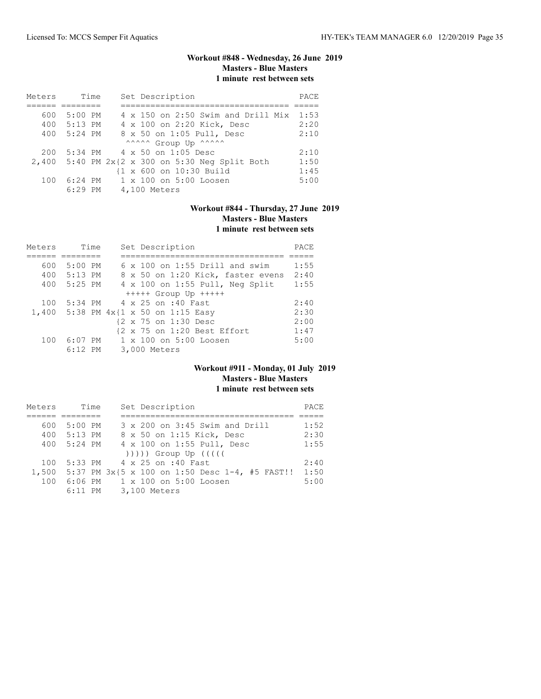# **Workout #848 - Wednesday, 26 June 2019 Masters - Blue Masters 1 minute rest between sets**

| Meters | Time      | Set Description                                 | PACE |
|--------|-----------|-------------------------------------------------|------|
|        |           |                                                 |      |
| 600    | $5:00$ PM | $4 \times 150$ on 2:50 Swim and Drill Mix       | 1:53 |
| 400    | $5:13$ PM | 4 x 100 on 2:20 Kick, Desc                      | 2:20 |
| 400    | 5:24 PM   | 8 x 50 on 1:05 Pull, Desc                       | 2:10 |
|        |           | ^^^^^^ Group Up ^^^^^^                          |      |
| 200    |           | 5:34 PM 4 x 50 on 1:05 Desc                     | 2:10 |
|        |           | 2,400 5:40 PM 2x{2 x 300 on 5:30 Neq Split Both | 1:50 |
|        |           | {1 x 600 on 10:30 Build                         | 1:45 |
| 100    | $6:24$ PM | 1 x 100 on 5:00 Loosen                          | 5:00 |
|        | $6:29$ PM | 4,100 Meters                                    |      |

# **Workout #844 - Thursday, 27 June 2019 Masters - Blue Masters 1 minute rest between sets**

| Meters |           | Time | Set Description                       | PACE |
|--------|-----------|------|---------------------------------------|------|
|        |           |      |                                       |      |
| 600    | $5:00$ PM |      | $6 \times 100$ on 1:55 Drill and swim | 1:55 |
| 400    | $5:13$ PM |      | 8 x 50 on 1:20 Kick, faster evens     | 2:40 |
| 400    | $5:25$ PM |      | 4 x 100 on 1:55 Pull, Neg Split       | 1:55 |
|        |           |      | $++++$ Group Up $++++$                |      |
| 100    | 5:34 PM   |      | 4 x 25 on :40 Fast                    | 2:40 |
|        |           |      | 1,400 5:38 PM 4x{1 x 50 on 1:15 Easy  | 2:30 |
|        |           |      | {2 x 75 on 1:30 Desc                  | 2:00 |
|        |           |      | {2 x 75 on 1:20 Best Effort           | 1:47 |
| 100    | $6:07$ PM |      | $1 \times 100$ on $5:00$ Loosen       | 5:00 |
|        | $6:12$ PM |      | 3,000 Meters                          |      |

### **Workout #911 - Monday, 01 July 2019 Masters - Blue Masters 1 minute rest between sets**

| Meters | Time        | Set Description                                      | PACE |
|--------|-------------|------------------------------------------------------|------|
|        |             |                                                      |      |
| 600    | 5:00 PM     | 3 x 200 on 3:45 Swim and Drill                       | 1:52 |
|        | 400 5:13 PM | 8 x 50 on 1:15 Kick, Desc                            | 2:30 |
|        | 400 5:24 PM | 4 x 100 on 1:55 Pull, Desc                           | 1:55 |
|        |             | $( ) )$ ))) Group Up $( ( )$                         |      |
| 100    |             | 5:33 PM 4 x 25 on :40 Fast                           | 2:40 |
|        |             | 1,500 5:37 PM 3x{5 x 100 on 1:50 Desc 1-4, #5 FAST!! | 1:50 |
| 100    |             | 6:06 PM = 1 x 100 on 5:00 Loosen                     | 5:00 |
|        |             | 6:11 PM 3,100 Meters                                 |      |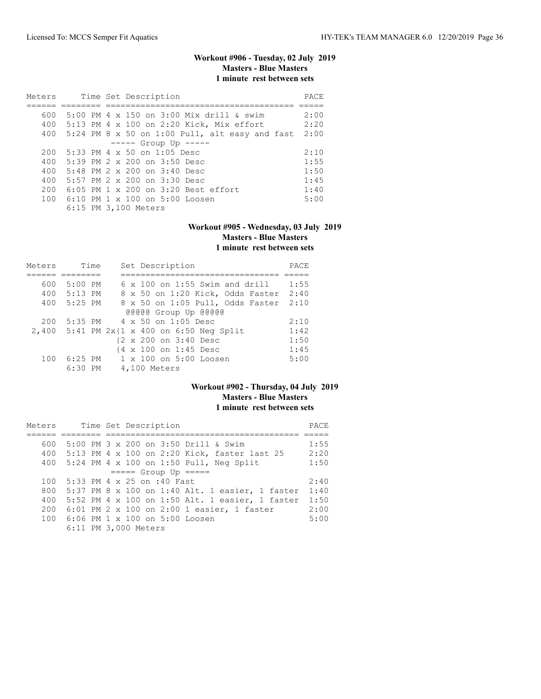# **Workout #906 - Tuesday, 02 July 2019 Masters - Blue Masters 1 minute rest between sets**

| Meters |  | Time Set Description                                 | PACE |
|--------|--|------------------------------------------------------|------|
|        |  |                                                      |      |
| 600    |  | 5:00 PM $4 \times 150$ on 3:00 Mix drill & swim      | 2:00 |
| 400    |  | 5:13 PM 4 x 100 on 2:20 Kick, Mix effort             | 2:20 |
|        |  | 400 $5:24$ PM 8 x 50 on 1:00 Pull, alt easy and fast | 2:00 |
|        |  | $--- $ Group Up $--- $                               |      |
| 200    |  | $5:33$ PM 4 x 50 on 1:05 Desc                        | 2:10 |
| 400    |  | $5:39$ PM $2 \times 200$ on $3:50$ Desc              | 1:55 |
| 400    |  | $5:48$ PM $2 \times 200$ on $3:40$ Desc              | 1:50 |
| 400    |  | 5:57 PM $2 \times 200$ on $3:30$ Desc                | 1:45 |
| 200    |  | $6:05$ PM $1 \times 200$ on $3:20$ Best effort       | 1:40 |
| 100    |  | 6:10 PM $1 \times 100$ on $5:00$ Loosen              | 5:00 |
|        |  | 6:15 PM 3,100 Meters                                 |      |

#### **Workout #905 - Wednesday, 03 July 2019 Masters - Blue Masters 1 minute rest between sets**

| Meters | Time      | Set Description                            | PACE |
|--------|-----------|--------------------------------------------|------|
|        |           |                                            |      |
| 600    | $5:00$ PM | $6 \times 100$ on 1:55 Swim and drill      | 1:55 |
| 400    | 5:13 PM   | 8 x 50 on 1:20 Kick, Odds Faster           | 2:40 |
| 400    | $5:25$ PM | 8 x 50 on 1:05 Pull, Odds Faster           | 2:10 |
|        |           | @@@@@ Group Up @@@@@                       |      |
| 200    | 5:35 PM   | 4 x 50 on 1:05 Desc                        | 2:10 |
|        |           | 2,400 5:41 PM 2x{1 x 400 on 6:50 Neg Split | 1:42 |
|        |           | {2 x 200 on 3:40 Desc                      | 1:50 |
|        |           | {4 x 100 on 1:45 Desc                      | 1:45 |
| 100    |           | 6:25 PM 1 x 100 on 5:00 Loosen             | 5:00 |
|        | 6:30 PM   | 4,100 Meters                               |      |

### **Workout #902 - Thursday, 04 July 2019 Masters - Blue Masters 1 minute rest between sets**

| Meters |  | Time Set Description                                | PACE |
|--------|--|-----------------------------------------------------|------|
|        |  |                                                     |      |
| 600    |  | 5:00 PM 3 x 200 on 3:50 Drill & Swim                | 1:55 |
|        |  | 400 5:13 PM 4 x 100 on 2:20 Kick, faster last 25    | 2:20 |
|        |  | 400 5:24 PM 4 x 100 on 1:50 Pull, Neg Split         | 1:50 |
|        |  | $====$ Group Up $====$                              |      |
| 100    |  | 5:33 PM 4 x 25 on :40 Fast                          | 2:40 |
|        |  | 800 5:37 PM 8 x 100 on 1:40 Alt. 1 easier, 1 faster | 1:40 |
| 400    |  | 5:52 PM 4 x 100 on 1:50 Alt. 1 easier, 1 faster     | 1:50 |
|        |  | 200 6:01 PM 2 x 100 on 2:00 1 easier, 1 faster      | 2:00 |
|        |  | 100 6:06 PM 1 x 100 on 5:00 Loosen                  | 5:00 |
|        |  | 6:11 PM 3,000 Meters                                |      |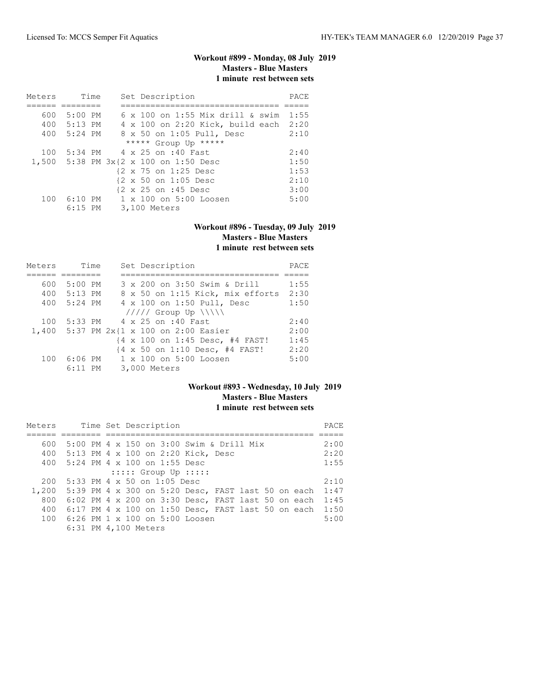# **Workout #899 - Monday, 08 July 2019 Masters - Blue Masters 1 minute rest between sets**

| Meters |             | Time | Set Description                           | PACE |
|--------|-------------|------|-------------------------------------------|------|
|        |             |      |                                           |      |
| 600    | $5:00$ PM   |      | $6 \times 100$ on 1:55 Mix drill & swim   | 1:55 |
|        | 400 5:13 PM |      | 4 x 100 on 2:20 Kick, build each          | 2:20 |
|        | 400 5:24 PM |      | 8 x 50 on 1:05 Pull, Desc                 | 2:10 |
|        |             |      | ***** Group Up *****                      |      |
| 100    |             |      | 5:34 PM 4 x 25 on :40 Fast                | 2:40 |
|        |             |      | 1,500 5:38 PM 3x{2 x 100 on 1:50 Desc     | 1:50 |
|        |             |      | {2 x 75 on 1:25 Desc                      | 1:53 |
|        |             |      | {2 x 50 on 1:05 Desc                      | 2:10 |
|        |             |      | {2 x 25 on :45 Desc                       | 3:00 |
| 100    |             |      | $6:10$ PM $1 \times 100$ on $5:00$ Loosen | 5:00 |
|        | $6:15$ PM   |      | 3,100 Meters                              |      |

#### **Workout #896 - Tuesday, 09 July 2019 Masters - Blue Masters 1 minute rest between sets**

| Meters | Time      | Set Description                         | PACE |
|--------|-----------|-----------------------------------------|------|
|        |           |                                         |      |
| 600    | 5:00 PM   | 3 x 200 on 3:50 Swim & Drill            | 1:55 |
| 400    | 5:13 PM   | 8 x 50 on 1:15 Kick, mix efforts        | 2:30 |
| 400    | 5:24 PM   | 4 x 100 on 1:50 Pull, Desc              | 1:50 |
|        |           | $11111$ Group Up $\{\{\}\}\$            |      |
| 100    | 5:33 PM   | 4 x 25 on :40 Fast                      | 2:40 |
|        |           | 1,400 5:37 PM 2x{1 x 100 on 2:00 Easier | 2:00 |
|        |           | {4 x 100 on 1:45 Desc, #4 FAST!         | 1:45 |
|        |           | {4 x 50 on 1:10 Desc, #4 FAST!          | 2:20 |
| 100    |           | 6:06 PM 1 x 100 on 5:00 Loosen          | 5:00 |
|        | $6:11$ PM | 3,000 Meters                            |      |

### **Workout #893 - Wednesday, 10 July 2019 Masters - Blue Masters 1 minute rest between sets**

| Meters |                                                    |  |  | Time Set Description |                          |                                                      |  |  | PACE |
|--------|----------------------------------------------------|--|--|----------------------|--------------------------|------------------------------------------------------|--|--|------|
|        |                                                    |  |  |                      |                          |                                                      |  |  |      |
| 600    |                                                    |  |  |                      |                          | 5:00 PM 4 x 150 on 3:00 Swim & Drill Mix             |  |  | 2:00 |
| 400    | 5:13 PM 4 x 100 on 2:20 Kick, Desc                 |  |  |                      |                          |                                                      |  |  | 2:20 |
| 400    | $5:24$ PM $4 \times 100$ on 1:55 Desc              |  |  |                      |                          |                                                      |  |  | 1:55 |
|        |                                                    |  |  |                      | $:::::$ Group Up $:::::$ |                                                      |  |  |      |
| 200    | 5:33 PM 4 x 50 on 1:05 Desc                        |  |  |                      |                          |                                                      |  |  | 2:10 |
| 1,200  | 5:39 PM 4 x 300 on 5:20 Desc, FAST last 50 on each |  |  |                      |                          |                                                      |  |  | 1:47 |
| 800    |                                                    |  |  |                      |                          | $6:02$ PM 4 x 200 on 3:30 Desc, FAST last 50 on each |  |  | 1:45 |
| 400    |                                                    |  |  |                      |                          | $6:17$ PM 4 x 100 on 1:50 Desc, FAST last 50 on each |  |  | 1:50 |
|        | 100 6:26 PM 1 x 100 on 5:00 Loosen                 |  |  |                      |                          |                                                      |  |  | 5:00 |
|        | 6:31 PM 4,100 Meters                               |  |  |                      |                          |                                                      |  |  |      |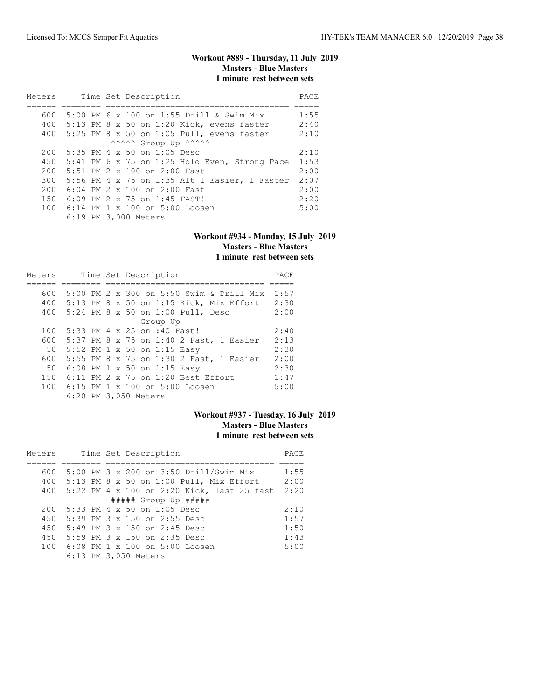# **Workout #889 - Thursday, 11 July 2019 Masters - Blue Masters 1 minute rest between sets**

| Meters |  | Time Set Description                          | PACE |
|--------|--|-----------------------------------------------|------|
|        |  |                                               |      |
| 600    |  | 5:00 PM 6 x 100 on 1:55 Drill & Swim Mix      | 1:55 |
| 400    |  | $5:13$ PM 8 x 50 on 1:20 Kick, evens faster   | 2:40 |
|        |  | 400 5:25 PM 8 x 50 on 1:05 Pull, evens faster | 2:10 |
|        |  | ^^^^^^ Group Up ^^^^^^                        |      |
| 200    |  | 5:35 PM 4 x 50 on 1:05 Desc                   | 2:10 |
| 450    |  | 5:41 PM 6 x 75 on 1:25 Hold Even, Strong Pace | 1:53 |
| 200    |  | 5:51 PM $2 \times 100$ on $2:00$ Fast.        | 2:00 |
| 300    |  | 5:56 PM 4 x 75 on 1:35 Alt 1 Easier, 1 Faster | 2:07 |
| 200    |  | 6:04 PM 2 x 100 on 2:00 Fast                  | 2:00 |
| 150    |  | $6:09$ PM 2 x 75 on 1:45 FAST!                | 2:20 |
| 100    |  | 6:14 PM 1 x 100 on 5:00 Loosen                | 5:00 |
|        |  | 6:19 PM 3,000 Meters                          |      |

#### **Workout #934 - Monday, 15 July 2019 Masters - Blue Masters 1 minute rest between sets**

| Meters | Time Set Description |                                               | PACE |
|--------|----------------------|-----------------------------------------------|------|
|        |                      |                                               |      |
| 600    |                      | 5:00 PM 2 x 300 on 5:50 Swim & Drill Mix      | 1:57 |
| 400    |                      | $5:13$ PM 8 x 50 on 1:15 Kick, Mix Effort     | 2:30 |
| 400    |                      | 5:24 PM 8 x 50 on 1:00 Pull, Desc             | 2:00 |
|        |                      | $== == $ Group Up $== == $                    |      |
| 100    |                      | 5:33 PM 4 x 25 on :40 Fast!                   | 2:40 |
| 600    |                      | 5:37 PM 8 x 75 on 1:40 2 Fast, 1 Easier       | 2:13 |
| 50     |                      | 5:52 PM 1 x 50 on 1:15 Easy                   | 2:30 |
| 600    |                      | 5:55 PM 8 x 75 on 1:30 2 Fast, 1 Easier       | 2:00 |
| 50     |                      | 6:08 PM 1 x 50 on 1:15 Easy                   | 2:30 |
| 150    |                      | $6:11$ PM $2 \times 75$ on $1:20$ Best Effort | 1:47 |
|        |                      | 100 6:15 PM 1 x 100 on 5:00 Loosen            | 5:00 |
|        |                      | 6:20 PM 3,050 Meters                          |      |

### **Workout #937 - Tuesday, 16 July 2019 Masters - Blue Masters 1 minute rest between sets**

| Meters |  | Time Set Description                       | PACE |
|--------|--|--------------------------------------------|------|
|        |  |                                            |      |
| 600    |  | 5:00 PM 3 x 200 on 3:50 Drill/Swim Mix     | 1:55 |
| 400    |  | $5:13$ PM 8 x 50 on 1:00 Pull, Mix Effort  | 2:00 |
| 400    |  | 5:22 PM 4 x 100 on 2:20 Kick, last 25 fast | 2:20 |
|        |  | $\#$ #### Group Up $\#$ ####               |      |
| 200    |  | $5:33$ PM 4 x 50 on 1:05 Desc              | 2:10 |
| 450    |  | 5:39 PM $3 \times 150$ on 2:55 Desc        | 1:57 |
| 450    |  | 5:49 PM $3 \times 150$ on 2:45 Desc        | 1:50 |
| 450    |  | 5:59 PM $3 \times 150$ on 2:35 Desc        | 1:43 |
| 100    |  | $6:08$ PM $1 \times 100$ on $5:00$ Loosen  | 5:00 |
|        |  | 6:13 PM 3,050 Meters                       |      |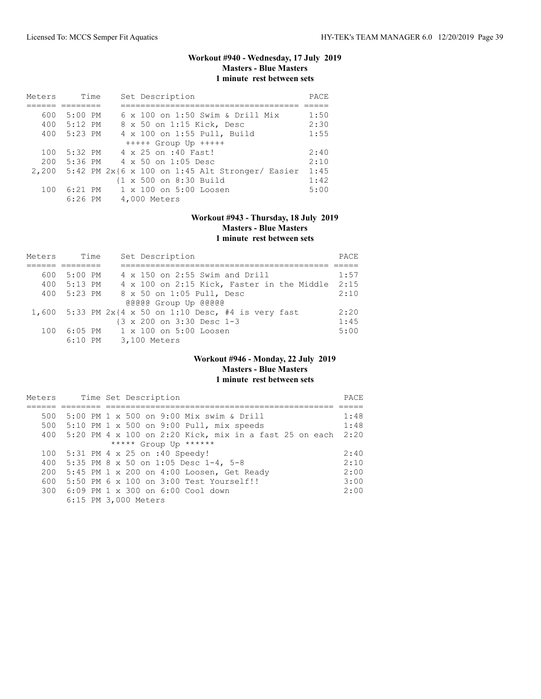# **Workout #940 - Wednesday, 17 July 2019 Masters - Blue Masters 1 minute rest between sets**

| Meters | Time        |  | Set Description                                            | PACE |
|--------|-------------|--|------------------------------------------------------------|------|
|        |             |  |                                                            |      |
| 600    | $5:00$ PM   |  | $6 \times 100$ on 1:50 Swim & Drill Mix                    | 1:50 |
|        | 400 5:12 PM |  | 8 x 50 on 1:15 Kick, Desc                                  | 2:30 |
|        | 400 5:23 PM |  | 4 x 100 on 1:55 Pull, Build                                | 1:55 |
|        |             |  | $++++$ Group Up $++++$                                     |      |
| 100    | 5:32 PM     |  | 4 x 25 on :40 Fast!                                        | 2:40 |
|        |             |  | $200$ 5:36 PM $4 \times 50$ on 1:05 Desc                   | 2:10 |
|        |             |  | $2,200$ 5:42 PM $2x$ {6 x 100 on 1:45 Alt Stronger/ Easier | 1:45 |
|        |             |  | {1 x 500 on 8:30 Build                                     | 1:42 |
| 100    |             |  | 6:21 PM 1 x 100 on 5:00 Loosen                             | 5:00 |
|        |             |  | 6:26 PM 4,000 Meters                                       |      |

# **Workout #943 - Thursday, 18 July 2019 Masters - Blue Masters 1 minute rest between sets**

| Meters | Time      | Set Description                                              | PACE |
|--------|-----------|--------------------------------------------------------------|------|
|        |           |                                                              |      |
| 600    | 5:00 PM   | 4 x 150 on 2:55 Swim and Drill                               | 1:57 |
| 400    | $5:13$ PM | 4 x 100 on 2:15 Kick, Faster in the Middle                   | 2:15 |
| 400    | 5:23 PM   | 8 x 50 on 1:05 Pull, Desc                                    | 2:10 |
|        |           | @@@@@ Group Up @@@@@                                         |      |
|        |           | 1,600 5:33 PM $2x(4 \times 50$ on 1:10 Desc, #4 is very fast | 2:20 |
|        |           | {3 x 200 on 3:30 Desc 1-3                                    | 1:45 |
| 100    |           | 6:05 PM 1 x 100 on 5:00 Loosen                               | 5:00 |
|        | $6:10$ PM | 3,100 Meters                                                 |      |

### **Workout #946 - Monday, 22 July 2019 Masters - Blue Masters 1 minute rest between sets**

| Meters |  | Time Set Description                                          | PACE |
|--------|--|---------------------------------------------------------------|------|
|        |  |                                                               |      |
| 500    |  | 5:00 PM 1 x 500 on 9:00 Mix swim & Drill                      | 1:48 |
|        |  | 500 5:10 PM 1 x 500 on 9:00 Pull, mix speeds                  | 1:48 |
| 400    |  | 5:20 PM $4 \times 100$ on 2:20 Kick, mix in a fast 25 on each | 2:20 |
|        |  | ***** Group Up ******                                         |      |
| 100    |  | 5:31 PM 4 x 25 on :40 Speedy!                                 | 2:40 |
| 400    |  | 5:35 PM 8 x 50 on 1:05 Desc 1-4, 5-8                          | 2:10 |
| 200    |  | 5:45 PM 1 x 200 on 4:00 Loosen, Get Ready                     | 2:00 |
| 600    |  | 5:50 PM 6 x 100 on 3:00 Test Yourself!!                       | 3:00 |
|        |  | 300 6:09 PM 1 x 300 on 6:00 Cool down                         | 2:00 |
|        |  | 6:15 PM 3,000 Meters                                          |      |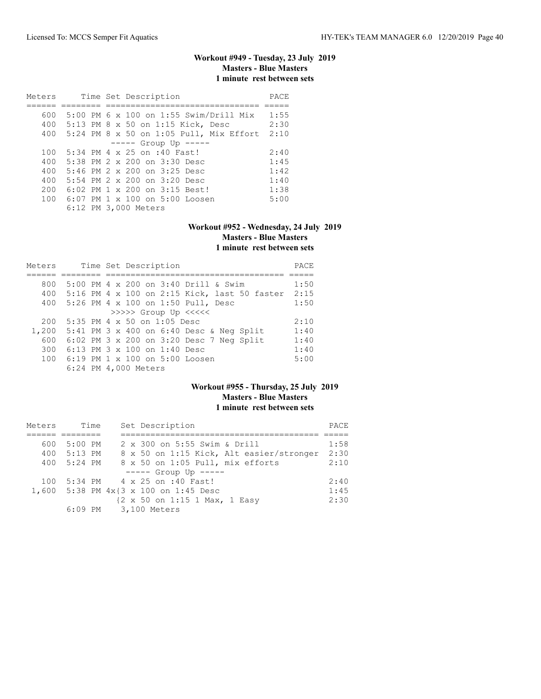# **Workout #949 - Tuesday, 23 July 2019 Masters - Blue Masters 1 minute rest between sets**

| Meters |  |  | Time Set Description                        | PACE |
|--------|--|--|---------------------------------------------|------|
|        |  |  |                                             |      |
| 600    |  |  | 5:00 PM 6 x 100 on 1:55 Swim/Drill Mix      | 1:55 |
| 400    |  |  | 5:13 PM 8 x 50 on 1:15 Kick, Desc           | 2:30 |
|        |  |  | 400 5:24 PM 8 x 50 on 1:05 Pull, Mix Effort | 2:10 |
|        |  |  | $--- $ Group Up $--- $                      |      |
| 100    |  |  | 5:34 PM 4 x 25 on :40 Fast!                 | 2:40 |
| 400    |  |  | 5:38 PM 2 x 200 on 3:30 Desc                | 1:45 |
| 400    |  |  | 5:46 PM $2 \times 200$ on $3:25$ Desc       | 1:42 |
| 400    |  |  | 5:54 PM $2 \times 200$ on $3:20$ Desc       | 1:40 |
| 200    |  |  | 6:02 PM $1 \times 200$ on $3:15$ Best!      | 1:38 |
| 100    |  |  | $6:07$ PM $1 \times 100$ on $5:00$ Loosen   | 5:00 |
|        |  |  | 6:12 PM 3,000 Meters                        |      |

#### **Workout #952 - Wednesday, 24 July 2019 Masters - Blue Masters 1 minute rest between sets**

| Meters |  | Time Set Description                              | PACE |
|--------|--|---------------------------------------------------|------|
|        |  |                                                   |      |
| 800    |  | 5:00 PM 4 x 200 on 3:40 Drill & Swim              | 1:50 |
|        |  | 400 5:16 PM 4 x 100 on 2:15 Kick, last 50 faster  | 2:15 |
|        |  | 400 5:26 PM 4 x 100 on 1:50 Pull, Desc            | 1:50 |
|        |  | >>>>> Group Up <<<<<                              |      |
| 200    |  | 5:35 PM 4 x 50 on 1:05 Desc                       | 2:10 |
| 1,200  |  | 5:41 PM $3 \times 400$ on $6:40$ Desc & Neg Split | 1:40 |
| 600    |  | 6:02 PM 3 x 200 on 3:20 Desc 7 Neg Split          | 1:40 |
| 300    |  | 6:13 PM 3 x 100 on 1:40 Desc                      | 1:40 |
| 100    |  | 6:19 PM 1 x 100 on 5:00 Loosen                    | 5:00 |
|        |  | 6:24 PM 4,000 Meters                              |      |

# **Workout #955 - Thursday, 25 July 2019 Masters - Blue Masters 1 minute rest between sets**

| Meters | Time      | Set Description                          | PACE |
|--------|-----------|------------------------------------------|------|
|        |           |                                          |      |
| 600    | $5:00$ PM | 2 x 300 on 5:55 Swim & Drill             | 1:58 |
| 400    | $5:13$ PM | 8 x 50 on 1:15 Kick, Alt easier/stronger | 2:30 |
| 400    | 5:24 PM   | 8 x 50 on 1:05 Pull, mix efforts         | 2:10 |
|        |           | $---$ Group Up $---$                     |      |
| 100    |           | 5:34 PM 4 x 25 on :40 Fast!              | 2:40 |
| 1,600  |           | 5:38 PM $4x$ {3 $x$ 100 on 1:45 Desc     | 1:45 |
|        |           | {2 x 50 on 1:15 1 Max, 1 Easy            | 2:30 |
|        | 6:09 PM   | 3,100 Meters                             |      |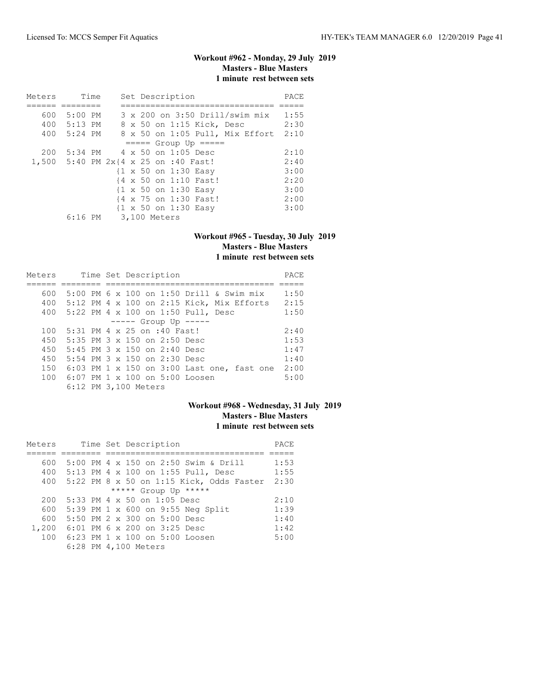# **Workout #962 - Monday, 29 July 2019 Masters - Blue Masters 1 minute rest between sets**

| Meters |                                      | Time |              |  | Set Description |                                      |                                         | PACE |
|--------|--------------------------------------|------|--------------|--|-----------------|--------------------------------------|-----------------------------------------|------|
|        |                                      |      |              |  |                 |                                      |                                         |      |
| 600    | $5:00$ PM                            |      |              |  |                 |                                      | $3 \times 200$ on $3:50$ Drill/swim mix | 1:55 |
|        | 400 5:13 PM                          |      |              |  |                 | 8 x 50 on 1:15 Kick, Desc            |                                         | 2:30 |
|        | 400 5:24 PM                          |      |              |  |                 |                                      | 8 x 50 on 1:05 Pull, Mix Effort         | 2:10 |
|        |                                      |      |              |  |                 | $====$ Group Up $====$               |                                         |      |
| 200    |                                      |      |              |  |                 | $5:34$ PM $4 \times 50$ on 1:05 Desc |                                         | 2:10 |
|        | 1,500 5:40 PM 2x{4 x 25 on :40 Fast! |      |              |  |                 |                                      |                                         | 2:40 |
|        |                                      |      |              |  |                 | {1 x 50 on 1:30 Easy                 |                                         | 3:00 |
|        |                                      |      |              |  |                 | {4 x 50 on 1:10 Fast!                |                                         | 2:20 |
|        |                                      |      |              |  |                 | {1 x 50 on 1:30 Easy                 |                                         | 3:00 |
|        |                                      |      |              |  |                 | {4 x 75 on 1:30 Fast!                |                                         | 2:00 |
|        |                                      |      |              |  |                 | {1 x 50 on 1:30 Easy                 |                                         | 3:00 |
|        | 6:16 PM                              |      | 3,100 Meters |  |                 |                                      |                                         |      |

#### **Workout #965 - Tuesday, 30 July 2019 Masters - Blue Masters 1 minute rest between sets**

| Meters |  | Time Set Description                         | PACE |
|--------|--|----------------------------------------------|------|
|        |  |                                              |      |
| 600    |  | 5:00 PM 6 x 100 on 1:50 Drill & Swim mix     | 1:50 |
| 400    |  | $5:12$ PM 4 x 100 on 2:15 Kick, Mix Efforts  | 2:15 |
| 400    |  | 5:22 PM 4 x 100 on 1:50 Pull, Desc           | 1:50 |
|        |  | $--- $ Group Up $---$                        |      |
| 100    |  | 5:31 PM 4 x 25 on :40 Fast!                  | 2:40 |
| 450    |  | 5:35 PM 3 x 150 on 2:50 Desc                 | 1:53 |
| 450    |  | 5:45 PM $3 \times 150$ on 2:40 Desc          | 1:47 |
| 450    |  | 5:54 PM $3 \times 150$ on 2:30 Desc          | 1:40 |
| 150    |  | $6:03$ PM 1 x 150 on 3:00 Last one, fast one | 2:00 |
| 100    |  | $6:07$ PM $1 \times 100$ on $5:00$ Loosen    | 5:00 |
|        |  | 6:12 PM 3,100 Meters                         |      |

# **Workout #968 - Wednesday, 31 July 2019 Masters - Blue Masters 1 minute rest between sets**

| Meters |  | Time Set Description                     | PACE |
|--------|--|------------------------------------------|------|
|        |  |                                          |      |
| 600    |  | 5:00 PM 4 x 150 on 2:50 Swim & Drill     | 1:53 |
| 400    |  | 5:13 PM 4 x 100 on 1:55 Pull, Desc       | 1:55 |
| 400    |  | 5:22 PM 8 x 50 on 1:15 Kick, Odds Faster | 2:30 |
|        |  | ***** Group Up *****                     |      |
| 200    |  | 5:33 PM 4 x 50 on 1:05 Desc              | 2:10 |
| 600    |  | 5:39 PM 1 x 600 on 9:55 Neg Split        | 1:39 |
| 600    |  | 5:50 PM 2 x 300 on 5:00 Desc             | 1:40 |
| 1,200  |  | 6:01 PM 6 x 200 on 3:25 Desc             | 1:42 |
| 100    |  | 6:23 PM $1 \times 100$ on $5:00$ Loosen  | 5:00 |
|        |  | 6:28 PM 4,100 Meters                     |      |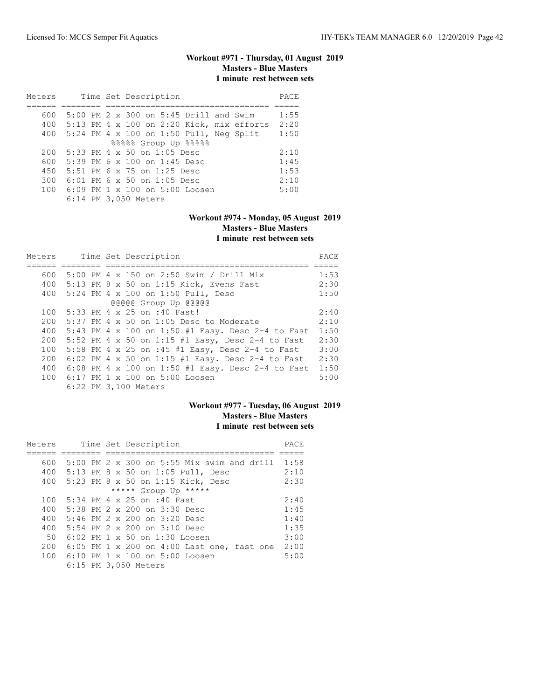# **Workout #971 - Thursday, 01 August 2019 Masters - Blue Masters 1 minute rest between sets**

| Meters |  | Time Set Description                        | PACE |
|--------|--|---------------------------------------------|------|
|        |  |                                             |      |
| 600    |  | 5:00 PM 2 x 300 on 5:45 Drill and Swim      | 1:55 |
| 400    |  | $5:13$ PM 4 x 100 on 2:20 Kick, mix efforts | 2:20 |
| 400    |  | 5:24 PM 4 x 100 on 1:50 Pull, Neg Split     | 1:50 |
|        |  | 88888 Group Up 88888                        |      |
| 200    |  | 5:33 PM 4 x 50 on 1:05 Desc                 | 2:10 |
| 600    |  | $5:39$ PM 6 x 100 on 1:45 Desc              | 1:45 |
| 450    |  | 5:51 PM 6 x 75 on 1:25 Desc                 | 1:53 |
| 300    |  | $6:01$ PM $6 \times 50$ on 1:05 Desc        | 2:10 |
| 100    |  | $6:09$ PM $1 \times 100$ on $5:00$ Loosen   | 5:00 |
|        |  | 6:14 PM 3,050 Meters                        |      |

# **Workout #974 - Monday, 05 August 2019 Masters - Blue Masters 1 minute rest between sets**

| Meters |  |  |  | Time Set Description                              |      |  |  |  |
|--------|--|--|--|---------------------------------------------------|------|--|--|--|
|        |  |  |  |                                                   |      |  |  |  |
| 600    |  |  |  | 5:00 PM 4 x 150 on 2:50 Swim / Drill Mix          | 1:53 |  |  |  |
| 400    |  |  |  | 5:13 PM 8 x 50 on 1:15 Kick, Evens Fast           | 2:30 |  |  |  |
|        |  |  |  | 400 5:24 PM 4 x 100 on 1:50 Pull, Desc            | 1:50 |  |  |  |
|        |  |  |  | @@@@@ Group Up @@@@@                              |      |  |  |  |
| 100    |  |  |  | 5:33 PM 4 x 25 on :40 Fast!                       | 2:40 |  |  |  |
| 200    |  |  |  | $5:37$ PM 4 x 50 on 1:05 Desc to Moderate         | 2:10 |  |  |  |
| 400    |  |  |  | 5:43 PM 4 x 100 on 1:50 #1 Easy. Desc 2-4 to Fast | 1:50 |  |  |  |
| 200    |  |  |  | 5:52 PM 4 x 50 on 1:15 #1 Easy, Desc 2-4 to Fast  | 2:30 |  |  |  |
| 100    |  |  |  | 5:58 PM 4 x 25 on :45 #1 Easy, Desc 2-4 to Fast   | 3:00 |  |  |  |
| 200    |  |  |  | 6:02 PM 4 x 50 on 1:15 #1 Easy. Desc 2-4 to Fast  | 2:30 |  |  |  |
| 400    |  |  |  | 6:08 PM 4 x 100 on 1:50 #1 Easy. Desc 2-4 to Fast | 1:50 |  |  |  |
| 100    |  |  |  | 6:17 PM 1 x 100 on 5:00 Loosen                    | 5:00 |  |  |  |
|        |  |  |  | 6:22 PM 3,100 Meters                              |      |  |  |  |

# **Workout #977 - Tuesday, 06 August 2019 Masters - Blue Masters 1 minute rest between sets**

| Meters |  | Time Set Description                       | PACE |
|--------|--|--------------------------------------------|------|
|        |  |                                            |      |
| 600    |  | 5:00 PM 2 x 300 on 5:55 Mix swim and drill | 1:58 |
| 400    |  | 5:13 PM 8 x 50 on 1:05 Pull, Desc          | 2:10 |
| 400    |  | 5:23 PM 8 x 50 on 1:15 Kick, Desc          | 2:30 |
|        |  | ***** Group Up *****                       |      |
| 100    |  | 5:34 PM 4 x 25 on :40 Fast                 | 2:40 |
| 400    |  | 5:38 PM 2 x 200 on 3:30 Desc               | 1:45 |
| 400    |  | 5:46 PM $2 \times 200$ on $3:20$ Desc      | 1:40 |
| 400    |  | 5:54 PM $2 \times 200$ on $3:10$ Desc      | 1:35 |
| 50     |  | $6:02$ PM $1 \times 50$ on $1:30$ Loosen   | 3:00 |
| 200    |  | 6:05 PM 1 x 200 on 4:00 Last one, fast one | 2:00 |
| 100    |  | 6:10 PM 1 x 100 on 5:00 Loosen             | 5:00 |
|        |  | 6:15 PM 3,050 Meters                       |      |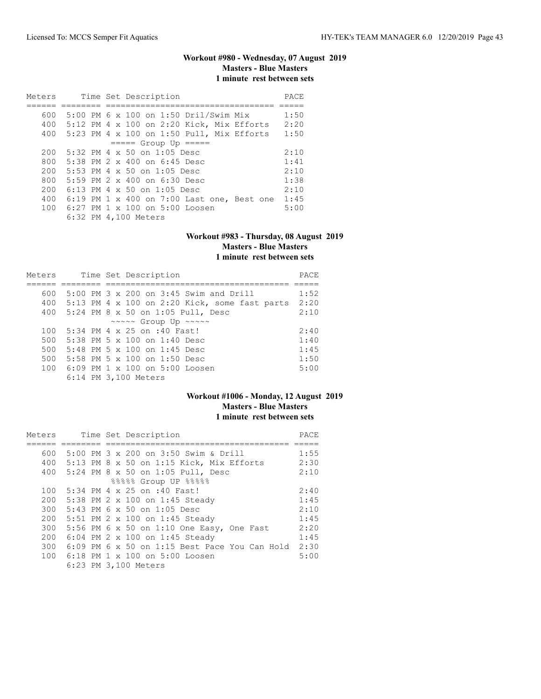# **Workout #980 - Wednesday, 07 August 2019 Masters - Blue Masters 1 minute rest between sets**

| Meters |  |  | Time Set Description                        | PACE |
|--------|--|--|---------------------------------------------|------|
|        |  |  |                                             |      |
| 600    |  |  | 5:00 PM 6 x 100 on 1:50 Dril/Swim Mix       | 1:50 |
| 400    |  |  | $5:12$ PM 4 x 100 on 2:20 Kick, Mix Efforts | 2:20 |
| 400    |  |  | $5:23$ PM 4 x 100 on 1:50 Pull, Mix Efforts | 1:50 |
|        |  |  | $====$ Group Up $====$                      |      |
| 200    |  |  | $5:32$ PM 4 x 50 on 1:05 Desc               | 2:10 |
| 800    |  |  | 5:38 PM $2 \times 400$ on 6:45 Desc         | 1:41 |
| 200    |  |  | 5:53 PM 4 $\times$ 50 on 1:05 Desc          | 2:10 |
| 800    |  |  | 5:59 PM 2 x 400 on 6:30 Desc                | 1:38 |
| 200    |  |  | $6:13$ PM 4 x 50 on 1:05 Desc               | 2:10 |
| 400    |  |  | 6:19 PM 1 x 400 on 7:00 Last one, Best one  | 1:45 |
| 100    |  |  | $6:27$ PM $1 \times 100$ on $5:00$ Loosen   | 5:00 |
|        |  |  | 6:32 PM 4,100 Meters                        |      |

#### **Workout #983 - Thursday, 08 August 2019 Masters - Blue Masters 1 minute rest between sets**

| Meters |  | Time Set Description                                 | PACE |
|--------|--|------------------------------------------------------|------|
|        |  |                                                      |      |
| 600    |  | 5:00 PM 3 x 200 on 3:45 Swim and Drill               | 1:52 |
| 400    |  | 5:13 PM 4 x 100 on 2:20 Kick, some fast parts        | 2:20 |
| 400    |  | 5:24 PM 8 x 50 on 1:05 Pull, Desc                    | 2:10 |
|        |  | $\sim \sim \sim \sim$ Group Up $\sim \sim \sim \sim$ |      |
| 100    |  | 5:34 PM 4 x 25 on :40 Fast!                          | 2:40 |
| 500    |  | 5:38 PM 5 x 100 on 1:40 Desc                         | 1:40 |
| 500    |  | $5:48$ PM $5 \times 100$ on $1:45$ Desc              | 1:45 |
| 500    |  | 5:58 PM 5 $\times$ 100 on 1:50 Desc                  | 1:50 |
| 100    |  | $6:09$ PM $1 \times 100$ on $5:00$ Loosen            | 5:00 |
|        |  | 6:14 PM 3,100 Meters                                 |      |

# **Workout #1006 - Monday, 12 August 2019 Masters - Blue Masters 1 minute rest between sets**

| Meters | Time Set Description                          | PACE |
|--------|-----------------------------------------------|------|
|        |                                               |      |
| 600    | 5:00 PM 3 x 200 on 3:50 Swim & Drill          | 1:55 |
| 400    | 5:13 PM 8 x 50 on 1:15 Kick, Mix Efforts      | 2:30 |
|        | 400 5:24 PM 8 x 50 on 1:05 Pull, Desc         | 2:10 |
|        | 88888 Group UP 88888                          |      |
| 100    | 5:34 PM 4 x 25 on :40 Fast!                   | 2:40 |
| 200    | 5:38 PM 2 x 100 on 1:45 Steady                | 1:45 |
| 300    | 5:43 PM 6 x 50 on 1:05 Desc                   | 2:10 |
| 200    | 5:51 PM 2 x 100 on 1:45 Steady                | 1:45 |
| 300    | 5:56 PM 6 x 50 on 1:10 One Easy, One Fast     | 2:20 |
| 200    | 6:04 PM 2 x 100 on 1:45 Steady                | 1:45 |
| 300    | 6:09 PM 6 x 50 on 1:15 Best Pace You Can Hold | 2:30 |
| 100    | 6:18 PM 1 x 100 on 5:00 Loosen                | 5:00 |
|        | 6:23 PM 3,100 Meters                          |      |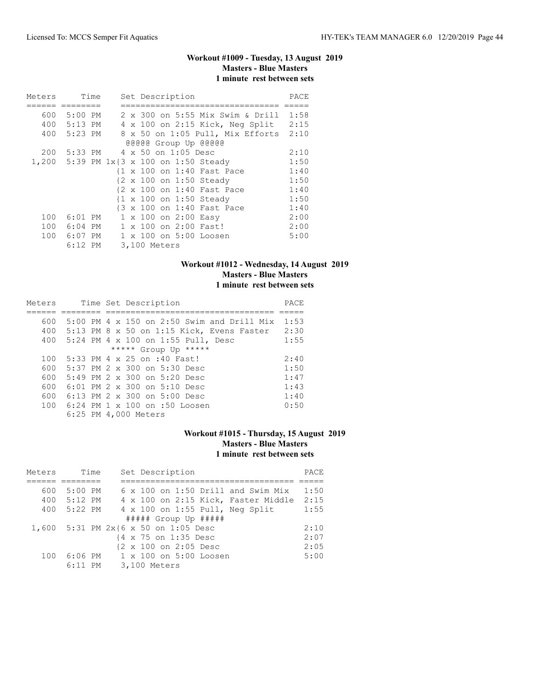# **Workout #1009 - Tuesday, 13 August 2019 Masters - Blue Masters 1 minute rest between sets**

| Meters |             | Time |   | Set Description                         | PACE |
|--------|-------------|------|---|-----------------------------------------|------|
|        |             |      |   |                                         |      |
| 600    | $5:00$ PM   |      |   | 2 x 300 on 5:55 Mix Swim & Drill        | 1:58 |
| 400    | $5:13$ PM   |      |   | 4 x 100 on 2:15 Kick, Neg Split         | 2:15 |
|        | 400 5:23 PM |      |   | 8 x 50 on 1:05 Pull, Mix Efforts        | 2:10 |
|        |             |      |   | @@@@@ Group Up @@@@@                    |      |
| 200    | 5:33 PM     |      |   | 4 x 50 on 1:05 Desc                     | 2:10 |
|        |             |      |   | 1,200 5:39 PM 1x{3 x 100 on 1:50 Steady | 1:50 |
|        |             |      |   | {1 x 100 on 1:40 Fast Pace              | 1:40 |
|        |             |      |   | {2 x 100 on 1:50 Steady                 | 1:50 |
|        |             |      |   | {2 x 100 on 1:40 Fast Pace              | 1:40 |
|        |             |      |   | {1 x 100 on 1:50 Steady                 | 1:50 |
|        |             |      |   | {3 x 100 on 1:40 Fast Pace              | 1:40 |
| 100    | $6:01$ PM   |      | 1 | x 100 on 2:00 Easy                      | 2:00 |
| 100    | $6:04$ PM   |      |   | 1 x 100 on 2:00 Fast!                   | 2:00 |
| 100    | $6:07$ PM   |      |   | 1 x 100 on 5:00 Loosen                  | 5:00 |
|        | $6:12$ PM   |      |   | 3,100 Meters                            |      |

### **Workout #1012 - Wednesday, 14 August 2019 Masters - Blue Masters 1 minute rest between sets**

| Meters |  | Time Set Description                         | PACE |
|--------|--|----------------------------------------------|------|
|        |  |                                              |      |
| 600    |  | $5:00$ PM 4 x 150 on 2:50 Swim and Drill Mix | 1:53 |
| 400    |  | 5:13 PM 8 x 50 on 1:15 Kick, Evens Faster    | 2:30 |
| 400    |  | 5:24 PM 4 x 100 on 1:55 Pull, Desc           | 1:55 |
|        |  | ***** Group Up *****                         |      |
| 100    |  | 5:33 PM 4 x 25 on :40 Fast!                  | 2:40 |
| 600    |  | 5:37 PM 2 x 300 on 5:30 Desc                 | 1:50 |
| 600    |  | $5:49$ PM $2 \times 300$ on $5:20$ Desc      | 1:47 |
| 600    |  | $6:01$ PM $2 \times 300$ on $5:10$ Desc      | 1:43 |
| 600    |  | 6:13 PM 2 x 300 on 5:00 Desc                 | 1:40 |
| 100    |  | $6:24$ PM $1 \times 100$ on :50 Loosen       | 0:50 |
|        |  | 6:25 PM 4,000 Meters                         |      |

### **Workout #1015 - Thursday, 15 August 2019 Masters - Blue Masters 1 minute rest between sets**

| Meters | Time      | Set Description                      | PACE. |
|--------|-----------|--------------------------------------|-------|
|        |           |                                      |       |
| 600    | $5:00$ PM | 6 x 100 on 1:50 Drill and Swim Mix   | 1:50  |
| 400    | $5:12$ PM | 4 x 100 on 2:15 Kick, Faster Middle  | 2:15  |
| 400    | 5:22 PM   | 4 x 100 on 1:55 Pull, Neg Split      | 1:55  |
|        |           | ##### Group Up #####                 |       |
|        |           | 1,600 5:31 PM 2x{6 x 50 on 1:05 Desc | 2:10  |
|        |           | {4 x 75 on 1:35 Desc                 | 2:07  |
|        |           | {2 x 100 on 2:05 Desc                | 2:05  |
| 100    | 6:06 PM   | 1 x 100 on 5:00 Loosen               | 5:00  |
|        | $6:11$ PM | 3,100 Meters                         |       |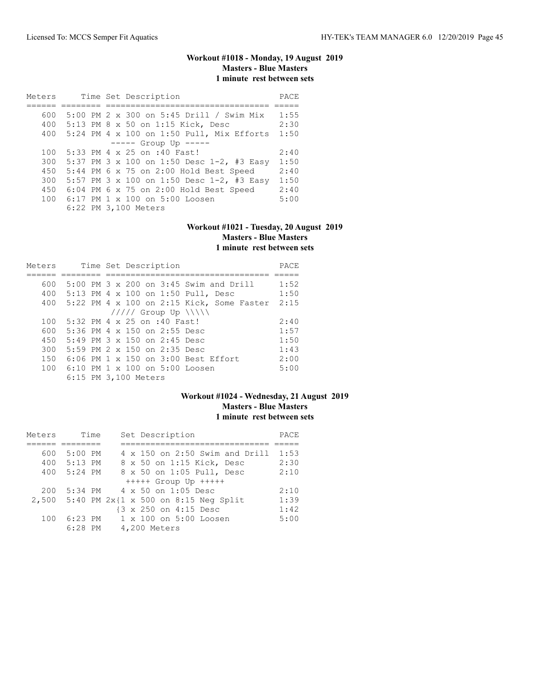# **Workout #1018 - Monday, 19 August 2019 Masters - Blue Masters 1 minute rest between sets**

| Meters |  | Time Set Description |                                             |      |  |
|--------|--|----------------------|---------------------------------------------|------|--|
|        |  |                      |                                             |      |  |
| 600    |  |                      | 5:00 PM 2 x 300 on 5:45 Drill / Swim Mix    | 1:55 |  |
| 400    |  |                      | 5:13 PM 8 x 50 on 1:15 Kick, Desc           | 2:30 |  |
| 400    |  |                      | $5:24$ PM 4 x 100 on 1:50 Pull, Mix Efforts | 1:50 |  |
|        |  |                      | $--- -$ Group Up $---$                      |      |  |
| 100    |  |                      | 5:33 PM 4 x 25 on :40 Fast!                 | 2:40 |  |
| 300    |  |                      | 5:37 PM 3 x 100 on 1:50 Desc 1-2, #3 Easy   | 1:50 |  |
| 450    |  |                      | 5:44 PM 6 x 75 on 2:00 Hold Best Speed      | 2:40 |  |
| 300    |  |                      | 5:57 PM 3 x 100 on 1:50 Desc 1-2, #3 Easy   | 1:50 |  |
| 450    |  |                      | 6:04 PM 6 x 75 on 2:00 Hold Best Speed      | 2:40 |  |
|        |  |                      | 100 6:17 PM 1 x 100 on 5:00 Loosen          | 5:00 |  |
|        |  |                      | 6:22 PM 3,100 Meters                        |      |  |

#### **Workout #1021 - Tuesday, 20 August 2019 Masters - Blue Masters 1 minute rest between sets**

| Meters |  | Time Set Description                              | PACE |
|--------|--|---------------------------------------------------|------|
|        |  |                                                   |      |
| 600    |  | $5:00$ PM $3 \times 200$ on $3:45$ Swim and Drill | 1:52 |
| 400    |  | 5:13 PM 4 x 100 on 1:50 Pull, Desc                | 1:50 |
| 400    |  | $5:22$ PM 4 x 100 on 2:15 Kick, Some Faster       | 2:15 |
|        |  | $11111$ Group Up $\{\{\}\}\$                      |      |
| 100    |  | 5:32 PM 4 x 25 on :40 Fast!                       | 2:40 |
| 600    |  | 5:36 PM 4 x 150 on 2:55 Desc                      | 1:57 |
| 450    |  | $5:49$ PM $3 \times 150$ on 2:45 Desc             | 1:50 |
| 300    |  | 5:59 PM 2 x 150 on 2:35 Desc                      | 1:43 |
| 150    |  | 6:06 PM 1 x 150 on 3:00 Best Effort               | 2:00 |
| 100    |  | 6:10 PM 1 x 100 on 5:00 Loosen                    | 5:00 |
|        |  | 6:15 PM 3,100 Meters                              |      |

# **Workout #1024 - Wednesday, 21 August 2019 Masters - Blue Masters 1 minute rest between sets**

| Meters | Time        |  | Set Description                            | PACE |
|--------|-------------|--|--------------------------------------------|------|
|        |             |  |                                            |      |
| 600    | $5:00$ PM   |  | $4 \times 150$ on 2:50 Swim and Drill      | 1:53 |
|        | 400 5:13 PM |  | 8 x 50 on 1:15 Kick, Desc                  | 2:30 |
| 400    | 5:24 PM     |  | 8 x 50 on 1:05 Pull, Desc                  | 2:10 |
|        |             |  | $++++$ Group Up $++++$                     |      |
| 200    |             |  | 5:34 PM 4 x 50 on 1:05 Desc                | 2:10 |
|        |             |  | 2,500 5:40 PM 2x{1 x 500 on 8:15 Neg Split | 1:39 |
|        |             |  | {3 x 250 on 4:15 Desc                      | 1:42 |
| 100    | 6:23 PM     |  | 1 x 100 on 5:00 Loosen                     | 5:00 |
|        | $6:28$ PM   |  | 4,200 Meters                               |      |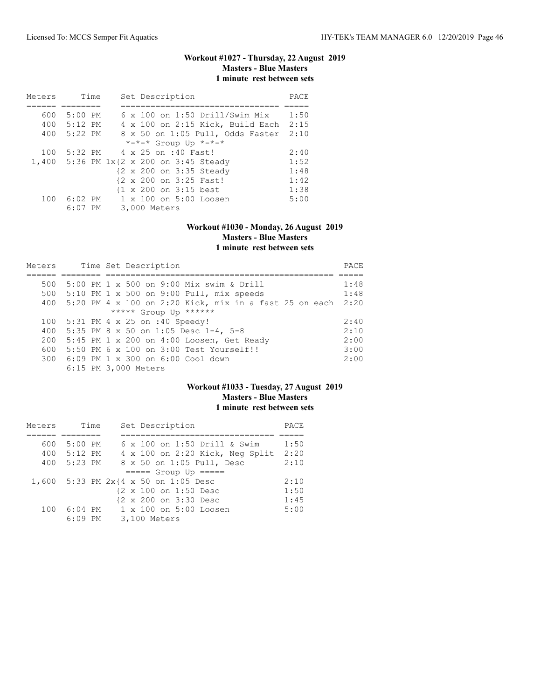# **Workout #1027 - Thursday, 22 August 2019 Masters - Blue Masters 1 minute rest between sets**

| Meters | Time        | Set Description                         | PACE |
|--------|-------------|-----------------------------------------|------|
|        |             |                                         |      |
| 600    | $5:00$ PM   | $6 \times 100$ on 1:50 Drill/Swim Mix   | 1:50 |
|        | 400 5:12 PM | 4 x 100 on 2:15 Kick, Build Each        | 2:15 |
|        | 400 5:22 PM | 8 x 50 on 1:05 Pull, Odds Faster        | 2:10 |
|        |             | *-*-* Group Up *-*-*                    |      |
| 100    |             | 5:32 PM 4 x 25 on :40 Fast!             | 2:40 |
|        |             | 1,400 5:36 PM 1x{2 x 200 on 3:45 Steady | 1:52 |
|        |             | {2 x 200 on 3:35 Steady                 | 1:48 |
|        |             | {2 x 200 on 3:25 Fast!                  | 1:42 |
|        |             | {1 x 200 on 3:15 best                   | 1:38 |
| 100    | 6:02 PM     | $1 \times 100$ on $5:00$ Loosen         | 5:00 |
|        | 6:07 PM     | 3,000 Meters                            |      |

#### **Workout #1030 - Monday, 26 August 2019 Masters - Blue Masters 1 minute rest between sets**

| Meters |  | Time Set Description                                     |      |  |  |  |  |  |  |
|--------|--|----------------------------------------------------------|------|--|--|--|--|--|--|
|        |  |                                                          |      |  |  |  |  |  |  |
| 500    |  | 5:00 PM 1 x 500 on 9:00 Mix swim & Drill                 | 1:48 |  |  |  |  |  |  |
| 500    |  | $5:10$ PM 1 x 500 on 9:00 Pull, mix speeds               | 1:48 |  |  |  |  |  |  |
| 400    |  | $5:20$ PM 4 x 100 on 2:20 Kick, mix in a fast 25 on each | 2:20 |  |  |  |  |  |  |
|        |  | ***** Group Up ******                                    |      |  |  |  |  |  |  |
| 100    |  | $5:31$ PM 4 x 25 on :40 Speedy!                          | 2:40 |  |  |  |  |  |  |
| 400    |  | 5:35 PM 8 x 50 on 1:05 Desc 1-4, 5-8                     | 2:10 |  |  |  |  |  |  |
| 200    |  | $5:45$ PM 1 x 200 on 4:00 Loosen, Get Ready              | 2:00 |  |  |  |  |  |  |
| 600    |  | 5:50 PM 6 x 100 on 3:00 Test Yourself!!                  | 3:00 |  |  |  |  |  |  |
|        |  | 300 6:09 PM 1 x 300 on 6:00 Cool down                    | 2:00 |  |  |  |  |  |  |
|        |  | 6:15 PM 3,000 Meters                                     |      |  |  |  |  |  |  |

### **Workout #1033 - Tuesday, 27 August 2019 Masters - Blue Masters 1 minute rest between sets**

| Meters | Time        | Set Description                      | PACE |
|--------|-------------|--------------------------------------|------|
|        |             |                                      |      |
| 600    | 5:00 PM     | 6 x 100 on 1:50 Drill & Swim         | 1:50 |
|        | 400 5:12 PM | 4 x 100 on 2:20 Kick, Neg Split      | 2:20 |
| 400    | 5:23 PM     | 8 x 50 on 1:05 Pull, Desc            | 2:10 |
|        |             | $====$ Group Up $====$               |      |
|        |             | 1,600 5:33 PM 2x{4 x 50 on 1:05 Desc | 2:10 |
|        |             | {2 x 100 on 1:50 Desc                | 1:50 |
|        |             | {2 x 200 on 3:30 Desc                | 1:45 |
| 100    | 6:04 PM     | 1 x 100 on 5:00 Loosen               | 5:00 |
|        | $6:09$ PM   | 3,100 Meters                         |      |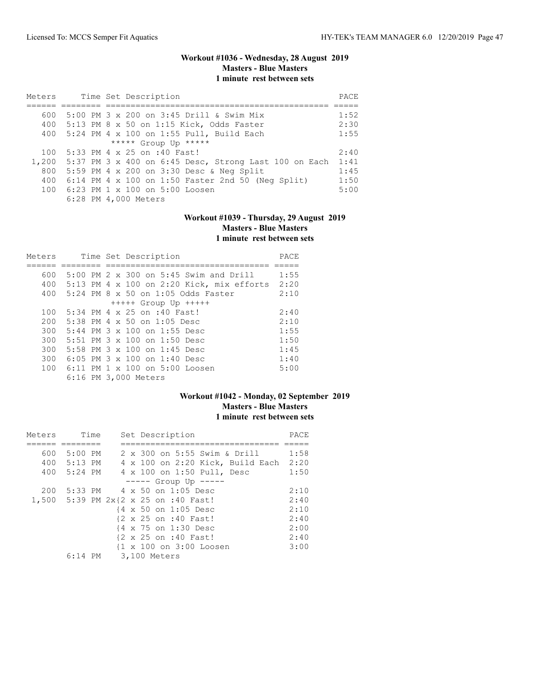# **Workout #1036 - Wednesday, 28 August 2019 Masters - Blue Masters 1 minute rest between sets**

| Meters |  | Time Set Description                                       |      |  |  |  |  |  |  |  |
|--------|--|------------------------------------------------------------|------|--|--|--|--|--|--|--|
|        |  |                                                            |      |  |  |  |  |  |  |  |
| 600    |  | 5:00 PM 3 x 200 on 3:45 Drill & Swim Mix                   | 1:52 |  |  |  |  |  |  |  |
| 400    |  | 5:13 PM 8 x 50 on 1:15 Kick, Odds Faster                   | 2:30 |  |  |  |  |  |  |  |
| 400    |  | 5:24 PM 4 x 100 on 1:55 Pull, Build Each                   | 1:55 |  |  |  |  |  |  |  |
|        |  | ***** Group Up *****                                       |      |  |  |  |  |  |  |  |
| 100    |  | 5:33 PM 4 x 25 on :40 Fast!                                | 2:40 |  |  |  |  |  |  |  |
| 1,200  |  | 5:37 PM 3 x 400 on 6:45 Desc, Strong Last 100 on Each      | 1:41 |  |  |  |  |  |  |  |
| 800    |  | 5:59 PM 4 x 200 on 3:30 Desc & Neg Split                   | 1:45 |  |  |  |  |  |  |  |
| 400    |  | $6:14$ PM $4 \times 100$ on 1:50 Faster 2nd 50 (Neq Split) | 1:50 |  |  |  |  |  |  |  |
| 100    |  | 6:23 PM 1 x 100 on 5:00 Loosen                             | 5:00 |  |  |  |  |  |  |  |
|        |  | 6:28 PM 4,000 Meters                                       |      |  |  |  |  |  |  |  |

# **Workout #1039 - Thursday, 29 August 2019 Masters - Blue Masters 1 minute rest between sets**

| Meters |  | Time Set Description                              | PACE |
|--------|--|---------------------------------------------------|------|
|        |  |                                                   |      |
| 600    |  | $5:00$ PM $2 \times 300$ on $5:45$ Swim and Drill | 1:55 |
| 400    |  | 5:13 PM 4 x 100 on 2:20 Kick, mix efforts         | 2:20 |
| 400    |  | $5:24$ PM $8 \times 50$ on 1:05 Odds Faster       | 2:10 |
|        |  | $++++$ Group Up $++++$                            |      |
| 100    |  | 5:34 PM 4 x 25 on :40 Fast!                       | 2:40 |
| 200    |  | $5:38$ PM 4 x 50 on 1:05 Desc                     | 2:10 |
| 300    |  | $5:44$ PM $3 \times 100$ on 1:55 Desc             | 1:55 |
| 300    |  | 5:51 PM $3 \times 100$ on 1:50 Desc               | 1:50 |
| 300    |  | 5:58 PM $3 \times 100$ on 1:45 Desc               | 1:45 |
| 300    |  | 6:05 PM $3 \times 100$ on 1:40 Desc               | 1:40 |
| 100    |  | $6:11$ PM $1 \times 100$ on $5:00$ Loosen         | 5:00 |
|        |  | 6:16 PM 3,000 Meters                              |      |

### **Workout #1042 - Monday, 02 September 2019 Masters - Blue Masters 1 minute rest between sets**

| Meters |             | Time | Set Description |                                      |      |  |  |  |
|--------|-------------|------|-----------------|--------------------------------------|------|--|--|--|
|        |             |      |                 |                                      |      |  |  |  |
| 600    | $5:00$ PM   |      |                 | 2 x 300 on 5:55 Swim & Drill         | 1:58 |  |  |  |
|        | 400 5:13 PM |      |                 | 4 x 100 on 2:20 Kick, Build Each     | 2:20 |  |  |  |
|        | 400 5:24 PM |      |                 | 4 x 100 on 1:50 Pull, Desc           | 1:50 |  |  |  |
|        |             |      |                 | $--- $ Group Up $--- $               |      |  |  |  |
| 200    |             |      |                 | 5:33 PM 4 x 50 on 1:05 Desc          | 2:10 |  |  |  |
|        |             |      |                 | 1,500 5:39 PM 2x{2 x 25 on :40 Fast! | 2:40 |  |  |  |
|        |             |      |                 | {4 x 50 on 1:05 Desc                 | 2:10 |  |  |  |
|        |             |      |                 | {2 x 25 on :40 Fast!                 | 2:40 |  |  |  |
|        |             |      |                 | {4 x 75 on 1:30 Desc                 | 2:00 |  |  |  |
|        |             |      |                 | {2 x 25 on :40 Fast!                 | 2:40 |  |  |  |
|        |             |      |                 | {1 x 100 on 3:00 Loosen              | 3:00 |  |  |  |
|        | $6:14$ PM   |      |                 | 3,100 Meters                         |      |  |  |  |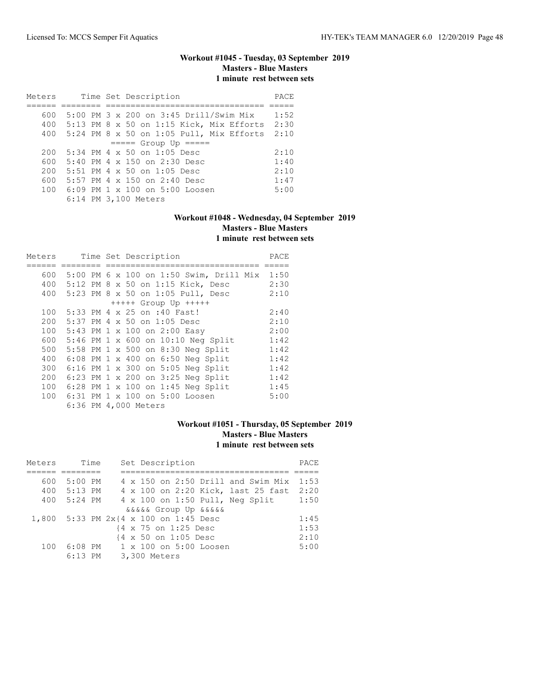# **Workout #1045 - Tuesday, 03 September 2019 Masters - Blue Masters 1 minute rest between sets**

| Meters                 |  |  |  |  | Time Set Description                       | PACE |  |  |  |  |
|------------------------|--|--|--|--|--------------------------------------------|------|--|--|--|--|
|                        |  |  |  |  |                                            |      |  |  |  |  |
| 600                    |  |  |  |  | $5:00$ PM 3 x 200 on 3:45 Drill/Swim Mix   | 1:52 |  |  |  |  |
| 400                    |  |  |  |  | $5:13$ PM 8 x 50 on 1:15 Kick, Mix Efforts | 2:30 |  |  |  |  |
| 400                    |  |  |  |  | 5:24 PM 8 x 50 on 1:05 Pull, Mix Efforts   | 2:10 |  |  |  |  |
| $====$ Group Up $====$ |  |  |  |  |                                            |      |  |  |  |  |
| 200                    |  |  |  |  | $5:34$ PM $4 \times 50$ on $1:05$ Desc     | 2:10 |  |  |  |  |
| 600                    |  |  |  |  | $5:40$ PM 4 x 150 on 2:30 Desc             | 1:40 |  |  |  |  |
| 200                    |  |  |  |  | 5:51 PM 4 x 50 on 1:05 Desc                | 2:10 |  |  |  |  |
| 600                    |  |  |  |  | 5:57 PM $4 \times 150$ on 2:40 Desc        | 1:47 |  |  |  |  |
|                        |  |  |  |  | 100 6:09 PM 1 x 100 on 5:00 Loosen         | 5:00 |  |  |  |  |
|                        |  |  |  |  | 6:14 PM 3,100 Meters                       |      |  |  |  |  |

# **Workout #1048 - Wednesday, 04 September 2019 Masters - Blue Masters 1 minute rest between sets**

| Meters |  |  | Time Set Description                    | PACE |
|--------|--|--|-----------------------------------------|------|
|        |  |  |                                         |      |
| 600    |  |  | 5:00 PM 6 x 100 on 1:50 Swim, Drill Mix | 1:50 |
| 400    |  |  | 5:12 PM 8 x 50 on 1:15 Kick, Desc       | 2:30 |
| 400    |  |  | 5:23 PM 8 x 50 on 1:05 Pull, Desc       | 2:10 |
|        |  |  | $++++$ Group Up $++++$                  |      |
| 100    |  |  | 5:33 PM 4 x 25 on :40 Fast!             | 2:40 |
| 200    |  |  | 5:37 PM 4 x 50 on 1:05 Desc             | 2:10 |
| 100    |  |  | 5:43 PM 1 x 100 on 2:00 Easy            | 2:00 |
| 600    |  |  | 5:46 PM 1 x 600 on 10:10 Neg Split      | 1:42 |
| 500    |  |  | 5:58 PM 1 x 500 on 8:30 Neg Split       | 1:42 |
| 400    |  |  | 6:08 PM 1 x 400 on 6:50 Neg Split       | 1:42 |
| 300    |  |  | 6:16 PM 1 x 300 on 5:05 Neg Split       | 1:42 |
| 200    |  |  | 6:23 PM 1 x 200 on 3:25 Neg Split       | 1:42 |
| 100    |  |  | 6:28 PM 1 x 100 on 1:45 Neg Split       | 1:45 |
| 100    |  |  | 6:31 PM 1 x 100 on 5:00 Loosen          | 5:00 |
|        |  |  | 6:36 PM 4,000 Meters                    |      |

### **Workout #1051 - Thursday, 05 September 2019 Masters - Blue Masters 1 minute rest between sets**

| Meters |                                       | Time |  |              | Set Description      |                             |                                    | PACE |
|--------|---------------------------------------|------|--|--------------|----------------------|-----------------------------|------------------------------------|------|
|        |                                       |      |  |              |                      |                             |                                    |      |
| 600    | $5:00$ PM                             |      |  |              |                      |                             | 4 x 150 on 2:50 Drill and Swim Mix | 1:53 |
| 400    | $5:13$ PM                             |      |  |              |                      |                             | 4 x 100 on 2:20 Kick, last 25 fast | 2:20 |
| 400    | 5:24 PM                               |      |  |              |                      |                             | 4 x 100 on 1:50 Pull, Neg Split    | 1:50 |
|        |                                       |      |  |              |                      | <i>aaaaa</i> Group Up aaaaa |                                    |      |
|        | 1,800 5:33 PM 2x{4 x 100 on 1:45 Desc |      |  |              |                      |                             |                                    | 1:45 |
|        |                                       |      |  |              | {4 x 75 on 1:25 Desc |                             |                                    | 1:53 |
|        |                                       |      |  |              | {4 x 50 on 1:05 Desc |                             |                                    | 2:10 |
| 100    | $6:08$ PM                             |      |  |              |                      | 1 x 100 on 5:00 Loosen      |                                    | 5:00 |
|        | $6:13$ PM                             |      |  | 3,300 Meters |                      |                             |                                    |      |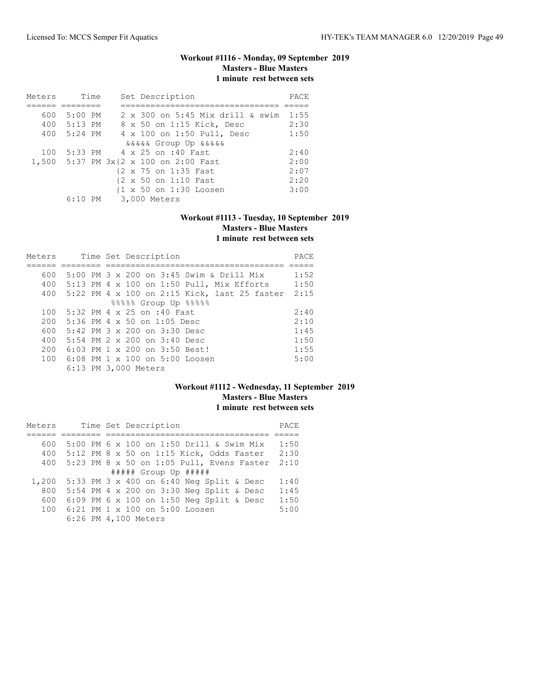### **Workout #1116 - Monday, 09 September 2019 Masters - Blue Masters 1 minute rest between sets**

| Meters | Time        | Set Description                                   | PACE |
|--------|-------------|---------------------------------------------------|------|
|        |             |                                                   |      |
| 600    | 5:00 PM     | 2 x 300 on 5:45 Mix drill & swim                  | 1:55 |
|        | 400 5:13 PM | 8 x 50 on 1:15 Kick, Desc                         | 2:30 |
|        | 400 5:24 PM | 4 x 100 on 1:50 Pull, Desc                        | 1:50 |
|        |             | <i>aaaaa</i> Group Up aaaaa                       |      |
| 100    |             | 5:33 PM 4 x 25 on :40 Fast                        | 2:40 |
|        |             | 1,500 5:37 PM 3x{2 x 100 on 2:00 Fast             | 2:00 |
|        |             | {2 x 75 on 1:35 Fast                              | 2:07 |
|        |             | {2 x 50 on 1:10 Fast                              | 2:20 |
|        |             | $\{1 \times 50 \text{ on } 1:30 \text{ Loosen}\}$ | 3:00 |
|        |             | 6:10 PM 3,000 Meters                              |      |

# **Workout #1113 - Tuesday, 10 September 2019 Masters - Blue Masters 1 minute rest between sets**

| Meters |  | Time Set Description                          | PACE |
|--------|--|-----------------------------------------------|------|
|        |  |                                               |      |
| 600    |  | 5:00 PM 3 x 200 on 3:45 Swim & Drill Mix      | 1:52 |
|        |  | 400 5:13 PM 4 x 100 on 1:50 Pull, Mix Efforts | 1:50 |
| 400    |  | 5:22 PM 4 x 100 on 2:15 Kick, last 25 faster  | 2:15 |
|        |  | %%%% Group Up %%%%                            |      |
| 100    |  | 5:32 PM 4 x 25 on :40 Fast                    | 2:40 |
| 200    |  | 5:36 PM 4 x 50 on 1:05 Desc                   | 2:10 |
| 600    |  | $5:42$ PM $3 \times 200$ on $3:30$ Desc       | 1:45 |
| 400    |  | 5:54 PM $2 \times 200$ on $3:40$ Desc         | 1:50 |
| 200    |  | 6:03 PM 1 x 200 on 3:50 Best!                 | 1:55 |
| 100    |  | $6:08$ PM $1 \times 100$ on $5:00$ Loosen     | 5:00 |
|        |  | 6:13 PM 3,000 Meters                          |      |

### **Workout #1112 - Wednesday, 11 September 2019 Masters - Blue Masters 1 minute rest between sets**

| Meters | Time Set Description                              | PACE |
|--------|---------------------------------------------------|------|
|        |                                                   |      |
| 600    | 5:00 PM 6 x 100 on 1:50 Drill & Swim Mix          | 1:50 |
| 400    | $5:12$ PM 8 x 50 on 1:15 Kick, Odds Faster        | 2:30 |
| 400    | 5:23 PM 8 x 50 on 1:05 Pull, Evens Faster         | 2:10 |
|        | $\#$ #### Group Up $\#$ ####                      |      |
| 1,200  | 5:33 PM 3 x 400 on 6:40 Neg Split & Desc          | 1:40 |
| 800    | 5:54 PM 4 x 200 on 3:30 Neg Split & Desc          | 1:45 |
| 600    | $6:09$ PM $6 \times 100$ on 1:50 Neq Split & Desc | 1:50 |
| 100    | 6:21 PM 1 x 100 on 5:00 Loosen                    | 5:00 |
|        | 6:26 PM 4,100 Meters                              |      |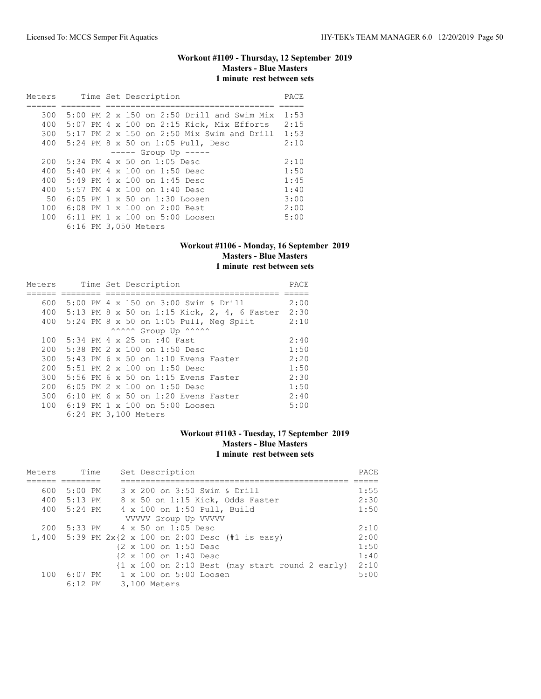# **Workout #1109 - Thursday, 12 September 2019 Masters - Blue Masters 1 minute rest between sets**

| Meters |  | Time Set Description                       | PACE |
|--------|--|--------------------------------------------|------|
|        |  |                                            |      |
| 300    |  | 5:00 PM 2 x 150 on 2:50 Drill and Swim Mix | 1:53 |
| 400    |  | 5:07 PM 4 x 100 on 2:15 Kick, Mix Efforts  | 2:15 |
| 300    |  | 5:17 PM 2 x 150 on 2:50 Mix Swim and Drill | 1:53 |
| 400    |  | 5:24 PM 8 x 50 on 1:05 Pull, Desc          | 2:10 |
|        |  | $---$ Group Up $---$                       |      |
| 200    |  | 5:34 PM 4 x 50 on 1:05 Desc                | 2:10 |
| 400    |  | 5:40 PM 4 x 100 on 1:50 Desc               | 1:50 |
| 400    |  | $5:49$ PM 4 x 100 on 1:45 Desc             | 1:45 |
| 400    |  | 5:57 PM 4 x 100 on 1:40 Desc               | 1:40 |
| 50     |  | 6:05 PM 1 x 50 on 1:30 Loosen              | 3:00 |
| 100    |  | 6:08 PM 1 x 100 on 2:00 Best               | 2:00 |
| 100    |  | $6:11$ PM $1 \times 100$ on $5:00$ Loosen  | 5:00 |
|        |  | 6:16 PM 3,050 Meters                       |      |

### **Workout #1106 - Monday, 16 September 2019 Masters - Blue Masters 1 minute rest between sets**

| Meters |  |  | Time Set Description                         | PACE |
|--------|--|--|----------------------------------------------|------|
|        |  |  |                                              |      |
| 600    |  |  | 5:00 PM 4 x 150 on 3:00 Swim & Drill         | 2:00 |
| 400    |  |  | 5:13 PM 8 x 50 on 1:15 Kick, 2, 4, 6 Faster  | 2:30 |
| 400    |  |  | 5:24 PM 8 x 50 on 1:05 Pull, Neg Split       | 2:10 |
|        |  |  | ^^^^^^ Group Up ^^^^^^                       |      |
| 100    |  |  | 5:34 PM 4 x 25 on :40 Fast                   | 2:40 |
| 200    |  |  | 5:38 PM $2 \times 100$ on 1:50 Desc          | 1:50 |
| 300    |  |  | $5:43$ PM 6 x 50 on 1:10 Evens Faster        | 2:20 |
| 200    |  |  | 5:51 PM $2 \times 100$ on 1:50 Desc          | 1:50 |
| 300    |  |  | 5:56 PM 6 x 50 on 1:15 Evens Faster          | 2:30 |
| 200    |  |  | 6:05 PM 2 x 100 on 1:50 Desc                 | 1:50 |
| 300    |  |  | $6:10$ PM $6 \times 50$ on 1:20 Evens Faster | 2:40 |
| 100    |  |  | $6:19$ PM $1 \times 100$ on $5:00$ Loosen    | 5:00 |
|        |  |  | 6:24 PM 3,100 Meters                         |      |

# **Workout #1103 - Tuesday, 17 September 2019 Masters - Blue Masters 1 minute rest between sets**

| Meters | Time        | Set Description                                                           | PACE |
|--------|-------------|---------------------------------------------------------------------------|------|
|        |             |                                                                           |      |
| 600    | 5:00 PM     | 3 x 200 on 3:50 Swim & Drill                                              | 1:55 |
|        | 400 5:13 PM | 8 x 50 on 1:15 Kick, Odds Faster                                          | 2:30 |
|        | 400 5:24 PM | 4 x 100 on 1:50 Pull, Build                                               | 1:50 |
|        |             | VVVVV Group Up VVVVV                                                      |      |
| 200    |             | 5:33 PM 4 x 50 on 1:05 Desc                                               | 2:10 |
|        |             | 1,400 5:39 PM $2x{2 x 100$ on 2:00 Desc (#1 is easy)                      | 2:00 |
|        |             | {2 x 100 on 1:50 Desc                                                     | 1:50 |
|        |             | {2 x 100 on 1:40 Desc                                                     | 1:40 |
|        |             | $\{1 \times 100 \text{ on } 2:10 \text{ Best }$ (may start round 2 early) | 2:10 |
| 100    |             | 6:07 PM = 1 x 100 on 5:00 Loosen                                          | 5:00 |
|        | $6:12$ PM   | 3,100 Meters                                                              |      |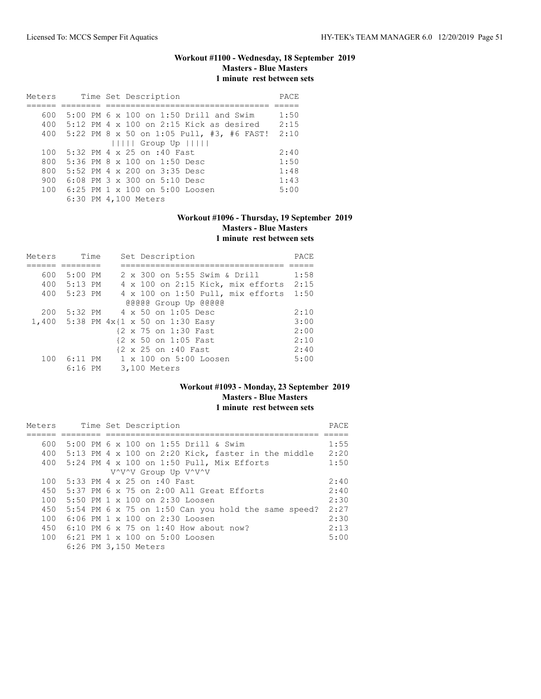# **Workout #1100 - Wednesday, 18 September 2019 Masters - Blue Masters 1 minute rest between sets**

| Meters |  | Time Set Description                                   | PACE |
|--------|--|--------------------------------------------------------|------|
|        |  |                                                        |      |
| 600    |  | 5:00 PM 6 x 100 on 1:50 Drill and Swim                 | 1:50 |
|        |  | 400 $5:12 \times 4 \times 100$ on 2:15 Kick as desired | 2:15 |
| 400    |  | 5:22 PM 8 x 50 on 1:05 Pull, #3, #6 FAST!              | 2:10 |
|        |  | $      $ Group Up $      $                             |      |
| 100    |  | 5:32 PM 4 x 25 on :40 Fast                             | 2:40 |
| 800    |  | 5:36 PM 8 x 100 on 1:50 Desc                           | 1:50 |
| 800    |  | 5:52 PM 4 x 200 on 3:35 Desc                           | 1:48 |
| 900    |  | $6:08$ PM $3 \times 300$ on $5:10$ Desc                | 1:43 |
| 100    |  | $6:25$ PM $1 \times 100$ on $5:00$ Loosen              | 5:00 |
|        |  | 6:30 PM 4,100 Meters                                   |      |

# **Workout #1096 - Thursday, 19 September 2019 Masters - Blue Masters 1 minute rest between sets**

| Meters | Time        | Set Description                         | PACE |
|--------|-------------|-----------------------------------------|------|
|        |             |                                         |      |
| 600    | $5:00$ PM   | 2 x 300 on 5:55 Swim & Drill            | 1:58 |
|        | 400 5:13 PM | 4 x 100 on 2:15 Kick, mix efforts       | 2:15 |
| 400    | 5:23 PM     | 4 x 100 on 1:50 Pull, mix efforts       | 1:50 |
|        |             | @@@@@ Group Up @@@@@                    |      |
| 200    |             | 5:32 PM 4 x 50 on 1:05 Desc             | 2:10 |
|        |             | 1,400 5:38 PM $4x$ {1 x 50 on 1:30 Easy | 3:00 |
|        |             | {2 x 75 on 1:30 Fast                    | 2:00 |
|        |             | {2 x 50 on 1:05 Fast                    | 2:10 |
|        |             | {2 x 25 on :40 Fast                     | 2:40 |
| 100    | $6:11$ PM   | $1 \times 100$ on $5:00$ Loosen         | 5:00 |
|        | $6:16$ PM   | 3,100 Meters                            |      |

# **Workout #1093 - Monday, 23 September 2019 Masters - Blue Masters 1 minute rest between sets**

| Meters |  | Time Set Description                                   | PACE |
|--------|--|--------------------------------------------------------|------|
|        |  |                                                        |      |
| 600    |  | 5:00 PM 6 x 100 on 1:55 Drill & Swim                   | 1:55 |
|        |  | 400 5:13 PM 4 x 100 on 2:20 Kick, faster in the middle | 2:20 |
|        |  | 400 5:24 PM 4 x 100 on 1:50 Pull, Mix Efforts          | 1:50 |
|        |  | V^V^V Group Up V^V^V                                   |      |
| 100    |  | 5:33 PM 4 x 25 on :40 Fast                             | 2:40 |
| 450    |  | $5:37$ PM 6 $\times$ 75 on 2:00 All Great Efforts      | 2:40 |
| 100    |  | 5:50 PM 1 x 100 on 2:30 Loosen                         | 2:30 |
| 450    |  | 5:54 PM 6 x 75 on 1:50 Can you hold the same speed?    | 2:27 |
| 100    |  | $6:06$ PM $1 \times 100$ on $2:30$ Loosen              | 2:30 |
| 450    |  | $6:10$ PM 6 x 75 on 1:40 How about now?                | 2:13 |
|        |  | 100 6:21 PM 1 x 100 on 5:00 Loosen                     | 5:00 |
|        |  | 6:26 PM 3,150 Meters                                   |      |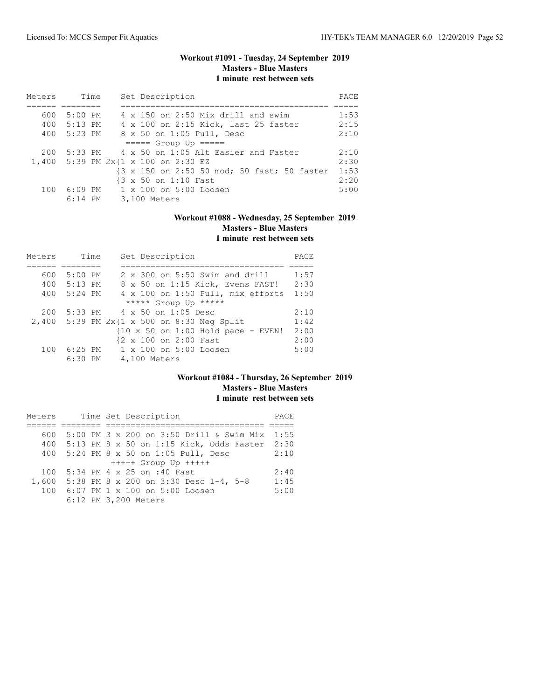# **Workout #1091 - Tuesday, 24 September 2019 Masters - Blue Masters 1 minute rest between sets**

| Meters | Time        | Set Description                              | PACE |
|--------|-------------|----------------------------------------------|------|
|        |             |                                              |      |
| 600    | 5:00 PM     | 4 x 150 on 2:50 Mix drill and swim           | 1:53 |
|        | 400 5:13 PM | 4 x 100 on 2:15 Kick, last 25 faster         | 2:15 |
| 400    | 5:23 PM     | 8 x 50 on 1:05 Pull, Desc                    | 2:10 |
|        |             | $====$ Group Up $====$                       |      |
| 200    |             | 5:33 PM 4 x 50 on 1:05 Alt Easier and Faster | 2:10 |
|        |             | 1,400 5:39 PM 2x{1 x 100 on 2:30 EZ          | 2:30 |
|        |             | {3 x 150 on 2:50 50 mod; 50 fast; 50 faster  | 1:53 |
|        |             | {3 x 50 on 1:10 Fast                         | 2:20 |
| 100    | 6:09 PM     | $1 \times 100$ on $5:00$ Loosen              | 5:00 |
|        | $6:14$ PM   | 3,100 Meters                                 |      |

# **Workout #1088 - Wednesday, 25 September 2019 Masters - Blue Masters 1 minute rest between sets**

| Meters | Time      | Set Description                                              | PACE |
|--------|-----------|--------------------------------------------------------------|------|
|        |           |                                                              |      |
| 600    | $5:00$ PM | $2 \times 300$ on 5:50 Swim and drill                        | 1:57 |
| 400    | $5:13$ PM | 8 x 50 on 1:15 Kick, Evens FAST!                             | 2:30 |
| 400    | 5:24 PM   | 4 x 100 on 1:50 Pull, mix efforts                            | 1:50 |
|        |           | ***** Group Up *****                                         |      |
| 200    |           | $5:33 \text{ PM}$ 4 x 50 on 1:05 Desc                        | 2:10 |
|        |           | 2,400 5:39 PM 2x{1 x 500 on 8:30 Neg Split                   | 1:42 |
|        |           | $\{10 \times 50 \text{ on } 1:00 \text{ Hold pace - EVEN}\}$ | 2:00 |
|        |           | {2 x 100 on 2:00 Fast                                        | 2:00 |
| 100    | $6:25$ PM | 1 x 100 on 5:00 Loosen                                       | 5:00 |
|        | $6:30$ PM | 4,100 Meters                                                 |      |

### **Workout #1084 - Thursday, 26 September 2019 Masters - Blue Masters 1 minute rest between sets**

| Meters | Time Set Description                          | PACE |
|--------|-----------------------------------------------|------|
|        |                                               |      |
| 600    | 5:00 PM 3 x 200 on 3:50 Drill & Swim Mix      | 1:55 |
| 400    | 5:13 PM 8 x 50 on 1:15 Kick, Odds Faster 2:30 |      |
| 400    | 5:24 PM 8 x 50 on 1:05 Pull, Desc             | 2:10 |
|        | $++++$ Group Up $++++$                        |      |
| 100    | 5:34 PM 4 x 25 on :40 Fast                    | 2:40 |
| 1,600  | 5:38 PM 8 x 200 on 3:30 Desc 1-4, 5-8         | 1:45 |
| 100    | 6:07 PM 1 x 100 on 5:00 Loosen                | 5:00 |
|        | 6:12 PM 3,200 Meters                          |      |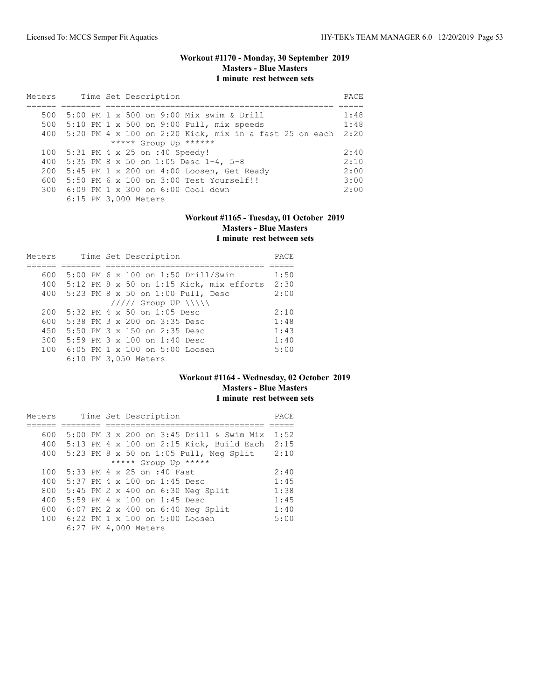# **Workout #1170 - Monday, 30 September 2019 Masters - Blue Masters 1 minute rest between sets**

| Meters |  | Time Set Description                                          |      |  |  |  |  |  |
|--------|--|---------------------------------------------------------------|------|--|--|--|--|--|
|        |  |                                                               |      |  |  |  |  |  |
| 500    |  | 5:00 PM 1 x 500 on 9:00 Mix swim & Drill                      | 1:48 |  |  |  |  |  |
| 500    |  | $5:10$ PM 1 x 500 on 9:00 Pull, mix speeds                    | 1:48 |  |  |  |  |  |
| 400    |  | 5:20 PM $4 \times 100$ on 2:20 Kick, mix in a fast 25 on each | 2:20 |  |  |  |  |  |
|        |  | ***** Group Up ******                                         |      |  |  |  |  |  |
| 100    |  | 5:31 PM 4 x 25 on :40 Speedy!                                 | 2:40 |  |  |  |  |  |
| 400    |  | 5:35 PM 8 x 50 on 1:05 Desc 1-4, 5-8                          | 2:10 |  |  |  |  |  |
| 200    |  | 5:45 PM 1 x 200 on 4:00 Loosen, Get Ready                     | 2:00 |  |  |  |  |  |
| 600    |  | 5:50 PM 6 x 100 on 3:00 Test Yourself!!                       | 3:00 |  |  |  |  |  |
|        |  | 300 6:09 PM 1 x 300 on 6:00 Cool down                         | 2:00 |  |  |  |  |  |
|        |  | 6:15 PM 3,000 Meters                                          |      |  |  |  |  |  |

# **Workout #1165 - Tuesday, 01 October 2019 Masters - Blue Masters 1 minute rest between sets**

| Meters | Time Set Description                         | PACE |
|--------|----------------------------------------------|------|
|        |                                              |      |
| 600    | 5:00 PM 6 x 100 on 1:50 Drill/Swim           | 1:50 |
|        | 400 5:12 PM 8 x 50 on 1:15 Kick, mix efforts | 2:30 |
| 400    | 5:23 PM 8 x 50 on 1:00 Pull, Desc            | 2:00 |
|        | $11111$ Group UP $\{\{\}\}\$                 |      |
| 200    | 5:32 PM 4 x 50 on 1:05 Desc                  | 2:10 |
| 600    | 5:38 PM 3 x 200 on 3:35 Desc                 | 1:48 |
| 450    | 5:50 PM 3 x 150 on 2:35 Desc                 | 1:43 |
| 300    | 5:59 PM $3 \times 100$ on 1:40 Desc          | 1:40 |
| 100    | 6:05 PM 1 x 100 on 5:00 Loosen               | 5:00 |
|        | 6:10 PM 3,050 Meters                         |      |

### **Workout #1164 - Wednesday, 02 October 2019 Masters - Blue Masters 1 minute rest between sets**

| Meters               |  |  |  | Time Set Description                     | PACE |  |  |  |  |
|----------------------|--|--|--|------------------------------------------|------|--|--|--|--|
|                      |  |  |  |                                          |      |  |  |  |  |
| 600                  |  |  |  | 5:00 PM 3 x 200 on 3:45 Drill & Swim Mix | 1:52 |  |  |  |  |
| 400                  |  |  |  | 5:13 PM 4 x 100 on 2:15 Kick, Build Each | 2:15 |  |  |  |  |
| 400                  |  |  |  | 5:23 PM 8 x 50 on 1:05 Pull, Neg Split   | 2:10 |  |  |  |  |
| ***** Group Up ***** |  |  |  |                                          |      |  |  |  |  |
| 100                  |  |  |  | 5:33 PM 4 x 25 on :40 Fast               | 2:40 |  |  |  |  |
| 400                  |  |  |  | $5:37$ PM 4 x 100 on 1:45 Desc           | 1:45 |  |  |  |  |
| 800                  |  |  |  | 5:45 PM 2 x 400 on 6:30 Neg Split        | 1:38 |  |  |  |  |
| 400                  |  |  |  | 5:59 PM 4 x 100 on 1:45 Desc             | 1:45 |  |  |  |  |
| 800                  |  |  |  | 6:07 PM 2 x 400 on 6:40 Neg Split        | 1:40 |  |  |  |  |
| 100                  |  |  |  | 6:22 PM 1 x 100 on 5:00 Loosen           | 5:00 |  |  |  |  |
|                      |  |  |  | 6:27 PM 4,000 Meters                     |      |  |  |  |  |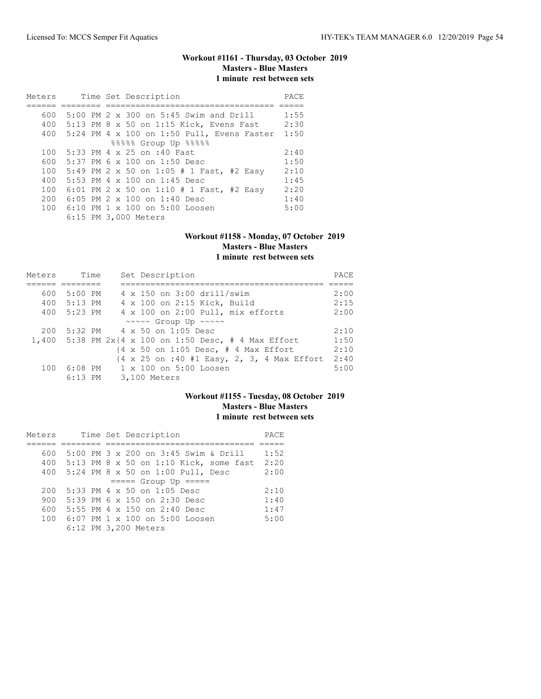# **Workout #1161 - Thursday, 03 October 2019 Masters - Blue Masters 1 minute rest between sets**

| Meters |  | Time Set Description                              | PACE |
|--------|--|---------------------------------------------------|------|
|        |  |                                                   |      |
| 600    |  | $5:00$ PM $2 \times 300$ on $5:45$ Swim and Drill | 1:55 |
| 400    |  | $5:13$ PM 8 x 50 on 1:15 Kick, Evens Fast         | 2:30 |
|        |  | 400 5:24 PM 4 x 100 on 1:50 Pull, Evens Faster    | 1:50 |
|        |  | 88888 Group Up 88888                              |      |
| 100    |  | 5:33 PM 4 x 25 on :40 Fast                        | 2:40 |
| 600    |  | 5:37 PM 6 x 100 on 1:50 Desc                      | 1:50 |
| 100    |  | 5:49 PM 2 x 50 on 1:05 # 1 Fast, #2 Easy          | 2:10 |
| 400    |  | 5:53 PM 4 x 100 on 1:45 Desc                      | 1:45 |
| 100    |  | 6:01 PM 2 x 50 on 1:10 # 1 Fast, #2 Easy          | 2:20 |
| 200    |  | 6:05 PM $2 \times 100$ on 1:40 Desc               | 1:40 |
| 100    |  | 6:10 PM $1 \times 100$ on 5:00 Loosen             | 5:00 |
|        |  | 6:15 PM 3,000 Meters                              |      |

### **Workout #1158 - Monday, 07 October 2019 Masters - Blue Masters 1 minute rest between sets**

| Meters | Time      | Set Description                                                                | PACE |
|--------|-----------|--------------------------------------------------------------------------------|------|
|        |           |                                                                                |      |
| 600    | $5:00$ PM | 4 x 150 on 3:00 drill/swim                                                     | 2:00 |
| 400    | 5:13 PM   | 4 x 100 on 2:15 Kick, Build                                                    | 2:15 |
| 400    | 5:23 PM   | 4 x 100 on 2:00 Pull, mix efforts                                              | 2:00 |
|        |           | ~~~~~ Group Up ~~~~~                                                           |      |
| 200    |           | $5:32 \text{ PM}$ 4 x 50 on 1:05 Desc                                          | 2:10 |
|        |           | 1,400 5:38 PM $2x(4 \times 100)$ on 1:50 Desc, # 4 Max Effort                  | 1:50 |
|        |           | $\{4 \times 50 \text{ on } 1:05 \text{ Desc. } # 4 \text{ Max Effect}\}$       | 2:10 |
|        |           | $\{4 \times 25 \text{ on } : 40 \text{ #1 Easy}, 2, 3, 4 \text{ Max Effect}\}$ | 2:40 |
|        |           | 100 6:08 PM 1 x 100 on 5:00 Loosen                                             | 5:00 |
|        | $6:13$ PM | 3,100 Meters                                                                   |      |

# **Workout #1155 - Tuesday, 08 October 2019 Masters - Blue Masters 1 minute rest between sets**

| Meters | Time Set Description                   | PACE |
|--------|----------------------------------------|------|
|        |                                        |      |
| 600    | 5:00 PM 3 x 200 on 3:45 Swim & Drill   | 1:52 |
| 400    | 5:13 PM 8 x 50 on 1:10 Kick, some fast | 2:20 |
|        | 400 5:24 PM 8 x 50 on 1:00 Pull, Desc  | 2:00 |
|        | $====$ Group Up $====$                 |      |
| 200    | 5:33 PM 4 x 50 on 1:05 Desc            | 2:10 |
| 900    | $5:39$ PM 6 x 150 on 2:30 Desc         | 1:40 |
| 600    | 5:55 PM 4 x 150 on 2:40 Desc           | 1:47 |
| 100    | 6:07 PM 1 x 100 on 5:00 Loosen         | 5:00 |
|        | 6:12 PM 3,200 Meters                   |      |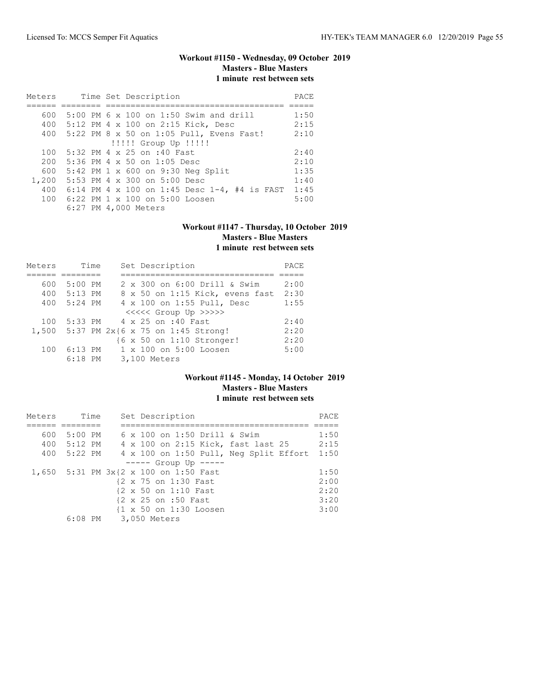# **Workout #1150 - Wednesday, 09 October 2019 Masters - Blue Masters 1 minute rest between sets**

| Meters | Time Set Description                         | PACE |
|--------|----------------------------------------------|------|
|        |                                              |      |
| 600    | 5:00 PM 6 x 100 on 1:50 Swim and drill       | 1:50 |
|        | 400 5:12 PM 4 x 100 on 2:15 Kick, Desc       | 2:15 |
|        | 400 5:22 PM 8 x 50 on 1:05 Pull, Evens Fast! | 2:10 |
|        | !!!!! Group Up !!!!!                         |      |
| 100    | 5:32 PM 4 x 25 on :40 Fast                   | 2:40 |
| 200    | $5:36$ PM 4 x 50 on $1:05$ Desc              | 2:10 |
| 600    | 5:42 PM 1 x 600 on 9:30 Neg Split            | 1:35 |
|        | 1,200 5:53 PM 4 x 300 on 5:00 Desc           | 1:40 |
| 400    | 6:14 PM 4 x 100 on 1:45 Desc 1-4, #4 is FAST | 1:45 |
| 100    | $6:22$ PM $1 \times 100$ on $5:00$ Loosen    | 5:00 |
|        | 6:27 PM 4,000 Meters                         |      |

#### **Workout #1147 - Thursday, 10 October 2019 Masters - Blue Masters 1 minute rest between sets**

| Meters | Time      |  | Set Description                   | PACE |
|--------|-----------|--|-----------------------------------|------|
|        |           |  |                                   |      |
| 600    | $5:00$ PM |  | 2 x 300 on 6:00 Drill & Swim      | 2:00 |
| 400    | 5:13 PM   |  | 8 x 50 on 1:15 Kick, evens fast   | 2:30 |
| 400    | $5:24$ PM |  | 4 x 100 on 1:55 Pull, Desc        | 1:55 |
|        |           |  | <<<<<< Group Up >>>>>             |      |
| 100    |           |  | 5:33 PM 4 x 25 on :40 Fast        | 2:40 |
| 1,500  |           |  | 5:37 PM 2x{6 x 75 on 1:45 Strong! | 2:20 |
|        |           |  | {6 x 50 on 1:10 Stronger!         | 2:20 |
| 100    | $6:13$ PM |  | 1 x 100 on 5:00 Loosen            | 5:00 |
|        | $6:18$ PM |  | 3,100 Meters                      |      |

### **Workout #1145 - Monday, 14 October 2019 Masters - Blue Masters 1 minute rest between sets**

| Meters |                                       | Time |                      |  | Set Description      |                        |                                        | PACE |
|--------|---------------------------------------|------|----------------------|--|----------------------|------------------------|----------------------------------------|------|
|        |                                       |      |                      |  |                      |                        |                                        |      |
| 600    | $5:00$ PM                             |      |                      |  |                      |                        | 6 x 100 on 1:50 Drill & Swim           | 1:50 |
|        | 400 5:12 PM                           |      |                      |  |                      |                        | 4 x 100 on 2:15 Kick, fast last 25     | 2:15 |
|        | 400 5:22 PM                           |      |                      |  |                      |                        | 4 x 100 on 1:50 Pull, Neg Split Effort | 1:50 |
|        |                                       |      |                      |  |                      | $--- $ Group Up $---$  |                                        |      |
|        | 1,650 5:31 PM 3x{2 x 100 on 1:50 Fast |      |                      |  |                      |                        |                                        | 1:50 |
|        |                                       |      |                      |  | {2 x 75 on 1:30 Fast |                        |                                        | 2:00 |
|        |                                       |      |                      |  | {2 x 50 on 1:10 Fast |                        |                                        | 2:20 |
|        |                                       |      |                      |  | {2 x 25 on :50 Fast  |                        |                                        | 3:20 |
|        |                                       |      |                      |  |                      | {1 x 50 on 1:30 Loosen |                                        | 3:00 |
|        |                                       |      | 6:08 PM 3,050 Meters |  |                      |                        |                                        |      |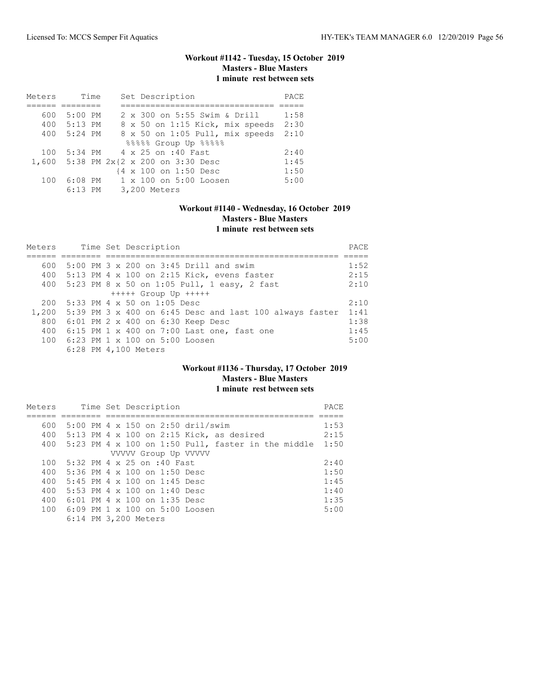# **Workout #1142 - Tuesday, 15 October 2019 Masters - Blue Masters 1 minute rest between sets**

| Meters | Time      | Set Description                 | PACE |
|--------|-----------|---------------------------------|------|
|        |           |                                 |      |
| 600    | $5:00$ PM | 2 x 300 on 5:55 Swim & Drill    | 1:58 |
| 400    | 5:13 PM   | 8 x 50 on 1:15 Kick, mix speeds | 2:30 |
| 400    | $5:24$ PM | 8 x 50 on 1:05 Pull, mix speeds | 2:10 |
|        |           | 88888 Group Up 88888            |      |
| 100    |           | 5:34 PM 4 x 25 on :40 Fast      | 2:40 |
| 1,600  |           | 5:38 PM 2x{2 x 200 on 3:30 Desc | 1:45 |
|        |           | {4 x 100 on 1:50 Desc           | 1:50 |
| 100    | $6:08$ PM | 1 x 100 on 5:00 Loosen          | 5:00 |
|        | $6:13$ PM | 3,200 Meters                    |      |

# **Workout #1140 - Wednesday, 16 October 2019 Masters - Blue Masters 1 minute rest between sets**

| Meters |  | Time Set Description<br>PACE                            |      |  |  |  |  |  |  |
|--------|--|---------------------------------------------------------|------|--|--|--|--|--|--|
|        |  |                                                         |      |  |  |  |  |  |  |
| 600    |  | 5:00 PM 3 x 200 on 3:45 Drill and swim                  | 1:52 |  |  |  |  |  |  |
|        |  | 400 5:13 PM 4 x 100 on 2:15 Kick, evens faster          | 2:15 |  |  |  |  |  |  |
|        |  | 400 5:23 PM 8 x 50 on 1:05 Pull, 1 easy, 2 fast         | 2:10 |  |  |  |  |  |  |
|        |  | $++++$ Group Up $++++$                                  |      |  |  |  |  |  |  |
| 200    |  | 5:33 PM 4 x 50 on 1:05 Desc                             | 2:10 |  |  |  |  |  |  |
| 1,200  |  | 5:39 PM 3 x 400 on 6:45 Desc and last 100 always faster | 1:41 |  |  |  |  |  |  |
| 800    |  | 6:01 PM 2 x 400 on 6:30 Keep Desc                       | 1:38 |  |  |  |  |  |  |
| 400    |  | $6:15$ PM 1 x 400 on 7:00 Last one, fast one            | 1:45 |  |  |  |  |  |  |
|        |  | 100 6:23 PM 1 x 100 on 5:00 Loosen                      | 5:00 |  |  |  |  |  |  |
|        |  | 6:28 PM 4,100 Meters                                    |      |  |  |  |  |  |  |

### **Workout #1136 - Thursday, 17 October 2019 Masters - Blue Masters 1 minute rest between sets**

| Meters |                                                                   |  |  | Time Set Description                |                                                             | PACE |
|--------|-------------------------------------------------------------------|--|--|-------------------------------------|-------------------------------------------------------------|------|
|        |                                                                   |  |  |                                     |                                                             |      |
| 600    |                                                                   |  |  |                                     | 5:00 PM 4 x 150 on 2:50 dril/swim                           | 1:53 |
|        |                                                                   |  |  |                                     | 400 5:13 PM 4 x 100 on 2:15 Kick, as desired                | 2:15 |
|        |                                                                   |  |  |                                     | 400 5:23 PM 4 x 100 on 1:50 Pull, faster in the middle 1:50 |      |
|        |                                                                   |  |  | VVVVV Group Up VVVVV                |                                                             |      |
|        | 100 5:32 PM 4 x 25 on :40 Fast                                    |  |  |                                     |                                                             | 2:40 |
|        | 400 $5:36 \text{ PM } 4 \times 100 \text{ on } 1:50 \text{ Desc}$ |  |  |                                     |                                                             | 1:50 |
| 400    | $5:45$ PM 4 $\times$ 100 on 1:45 Desc                             |  |  |                                     |                                                             | 1:45 |
| 400    |                                                                   |  |  | 5:53 PM $4 \times 100$ on 1:40 Desc |                                                             | 1:40 |
| 400    |                                                                   |  |  | $6:01$ PM 4 x 100 on 1:35 Desc      |                                                             | 1:35 |
|        | 100 6:09 PM 1 x 100 on 5:00 Loosen                                |  |  |                                     |                                                             | 5:00 |
|        | 6:14 PM 3,200 Meters                                              |  |  |                                     |                                                             |      |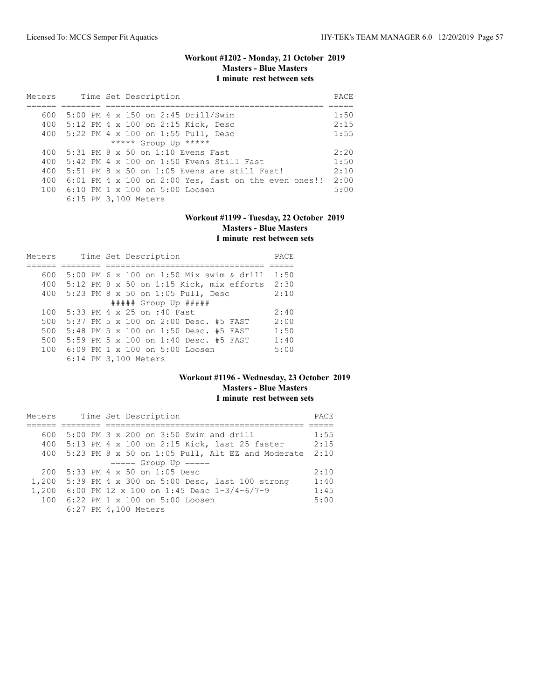### **Workout #1202 - Monday, 21 October 2019 Masters - Blue Masters 1 minute rest between sets**

| Meters |  | Time Set Description                                   | PACE |
|--------|--|--------------------------------------------------------|------|
|        |  |                                                        |      |
| 600    |  | 5:00 PM 4 x 150 on 2:45 Drill/Swim                     | 1:50 |
| 400    |  | 5:12 PM 4 x 100 on 2:15 Kick, Desc                     | 2:15 |
| 400    |  | 5:22 PM 4 x 100 on 1:55 Pull, Desc                     | 1:55 |
|        |  | ***** Group Up *****                                   |      |
| 400    |  | 5:31 PM 8 x 50 on 1:10 Evens Fast                      | 2:20 |
| 400    |  | $5:42$ PM $4 \times 100$ on 1:50 Evens Still Fast      | 1:50 |
| 400    |  | 5:51 PM 8 $\times$ 50 on 1:05 Evens are still Fast!    | 2:10 |
| 400    |  | $6:01$ PM 4 x 100 on 2:00 Yes, fast on the even ones!! | 2:00 |
|        |  | 100 6:10 PM 1 x 100 on 5:00 Loosen                     | 5:00 |
|        |  | 6:15 PM 3,100 Meters                                   |      |

# **Workout #1199 - Tuesday, 22 October 2019 Masters - Blue Masters 1 minute rest between sets**

| Meters |  | Time Set Description                          | PACE |
|--------|--|-----------------------------------------------|------|
|        |  |                                               |      |
| 600    |  | 5:00 PM 6 x 100 on 1:50 Mix swim & drill      | 1:50 |
| 400    |  | 5:12 PM 8 x 50 on 1:15 Kick, mix efforts 2:30 |      |
| 400    |  | 5:23 PM 8 x 50 on 1:05 Pull, Desc             | 2:10 |
|        |  | ##### Group Up #####                          |      |
| 100    |  | 5:33 PM 4 x 25 on :40 Fast                    | 2:40 |
| 500    |  | 5:37 PM 5 x 100 on 2:00 Desc. #5 FAST         | 2:00 |
| 500    |  | 5:48 PM 5 x 100 on 1:50 Desc. #5 FAST         | 1:50 |
| 500    |  | 5:59 PM 5 x 100 on 1:40 Desc. #5 FAST         | 1:40 |
| 100    |  | $6:09$ PM $1 \times 100$ on $5:00$ Loosen     | 5:00 |
|        |  | 6:14 PM 3,100 Meters                          |      |

### **Workout #1196 - Wednesday, 23 October 2019 Masters - Blue Masters 1 minute rest between sets**

| Meters |  | Time Set Description                                 | PACE |
|--------|--|------------------------------------------------------|------|
|        |  |                                                      |      |
| 600.   |  | 5:00 PM 3 x 200 on 3:50 Swim and drill               | 1:55 |
|        |  | 400 5:13 PM 4 x 100 on 2:15 Kick, last 25 faster     | 2:15 |
|        |  | 400 5:23 PM 8 x 50 on 1:05 Pull, Alt EZ and Moderate | 2:10 |
|        |  | $==== $ Group Up $====$                              |      |
| 200    |  | 5:33 PM 4 x 50 on 1:05 Desc                          | 2:10 |
|        |  | 1,200 5:39 PM 4 x 300 on 5:00 Desc, last 100 strong  | 1:40 |
|        |  | 1,200 6:00 PM 12 x 100 on 1:45 Desc 1-3/4-6/7-9      | 1:45 |
|        |  | 100 6:22 PM 1 x 100 on 5:00 Loosen                   | 5:00 |
|        |  | 6:27 PM 4,100 Meters                                 |      |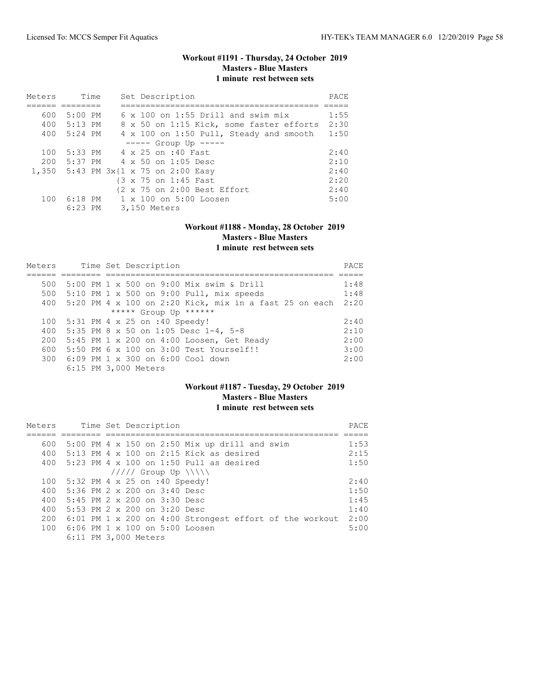### **Workout #1191 - Thursday, 24 October 2019 Masters - Blue Masters 1 minute rest between sets**

| Meters | Time        | Set Description                           | PACE |
|--------|-------------|-------------------------------------------|------|
|        |             |                                           |      |
| 600    | 5:00 PM     | $6 \times 100$ on 1:55 Drill and swim mix | 1:55 |
|        | 400 5:13 PM | 8 x 50 on 1:15 Kick, some faster efforts  | 2:30 |
|        | 400 5:24 PM | 4 x 100 on 1:50 Pull, Steady and smooth   | 1:50 |
|        |             | $---$ Group Up $---$                      |      |
| 100    |             | 5:33 PM 4 x 25 on :40 Fast                | 2:40 |
|        |             | 200 5:37 PM 4 x 50 on 1:05 Desc           | 2:10 |
|        |             | 1,350 5:43 PM 3x{1 x 75 on 2:00 Easy      | 2:40 |
|        |             | {3 x 75 on 1:45 Fast                      | 2:20 |
|        |             | {2 x 75 on 2:00 Best Effort               | 2:40 |
|        |             | 100 6:18 PM 1 x 100 on 5:00 Loosen        | 5:00 |
|        | $6:23$ PM   | 3,150 Meters                              |      |

#### **Workout #1188 - Monday, 28 October 2019 Masters - Blue Masters 1 minute rest between sets**

| Meters |  | Time Set Description                                          | PACE |
|--------|--|---------------------------------------------------------------|------|
|        |  |                                                               |      |
| 500    |  | 5:00 PM 1 x 500 on 9:00 Mix swim & Drill                      | 1:48 |
| 500    |  | $5:10$ PM 1 x 500 on 9:00 Pull, mix speeds                    | 1:48 |
| 400    |  | 5:20 PM $4 \times 100$ on 2:20 Kick, mix in a fast 25 on each | 2:20 |
|        |  | ***** Group Up ******                                         |      |
| 100    |  | 5:31 PM 4 x 25 on :40 Speedy!                                 | 2:40 |
| 400    |  | 5:35 PM 8 x 50 on 1:05 Desc 1-4, 5-8                          | 2:10 |
| 200    |  | 5:45 PM 1 x 200 on 4:00 Loosen, Get Ready                     | 2:00 |
| 600    |  | 5:50 PM 6 x 100 on 3:00 Test Yourself!!                       | 3:00 |
|        |  | 300 6:09 PM 1 x 300 on 6:00 Cool down                         | 2:00 |
|        |  | 6:15 PM 3,000 Meters                                          |      |

### **Workout #1187 - Tuesday, 29 October 2019 Masters - Blue Masters 1 minute rest between sets**

| Meters |                                       | Time Set Description         |                                                         |  | PACE |
|--------|---------------------------------------|------------------------------|---------------------------------------------------------|--|------|
|        |                                       |                              |                                                         |  |      |
| 600    |                                       |                              | 5:00 PM 4 x 150 on 2:50 Mix up drill and swim           |  | 1:53 |
| 400    |                                       |                              | 5:13 PM 4 $\times$ 100 on 2:15 Kick as desired          |  | 2:15 |
| 400    |                                       |                              | $5:23$ PM 4 $\times$ 100 on 1:50 Pull as desired        |  | 1:50 |
|        |                                       | $11111$ Group Up $\{\{\}\}\$ |                                                         |  |      |
| 100    | 5:32 PM 4 x 25 on :40 Speedy!         |                              |                                                         |  | 2:40 |
| 400    | 5:36 PM $2 \times 200$ on $3:40$ Desc |                              |                                                         |  | 1:50 |
| 400    | 5:45 PM $2 \times 200$ on $3:30$ Desc |                              |                                                         |  | 1:45 |
| 400    | 5:53 PM 2 x 200 on 3:20 Desc          |                              |                                                         |  | 1:40 |
| 200    |                                       |                              | 6:01 PM 1 x 200 on 4:00 Strongest effort of the workout |  | 2:00 |
| 100    | 6:06 PM 1 x 100 on 5:00 Loosen        |                              |                                                         |  | 5:00 |
|        | 6:11 PM 3,000 Meters                  |                              |                                                         |  |      |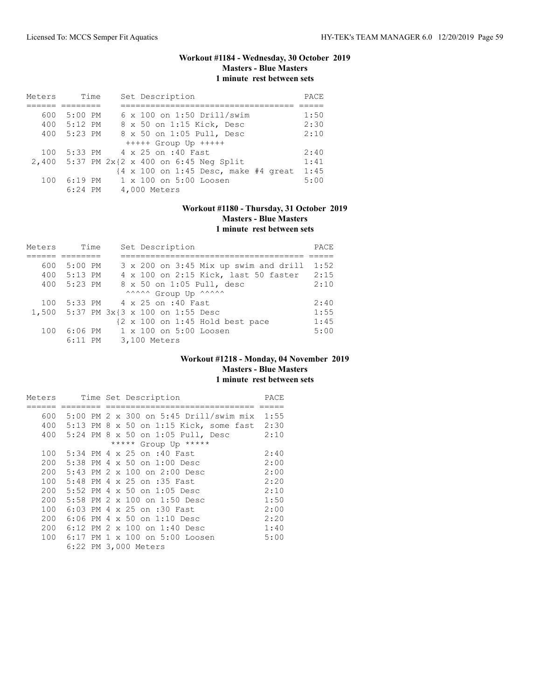### **Workout #1184 - Wednesday, 30 October 2019 Masters - Blue Masters 1 minute rest between sets**

| Meters | Time        | Set Description                                                          | PACE |
|--------|-------------|--------------------------------------------------------------------------|------|
|        |             |                                                                          |      |
| 600    | $5:00$ PM   | $6 \times 100$ on 1:50 Drill/swim                                        | 1:50 |
|        | 400 5:12 PM | 8 x 50 on 1:15 Kick, Desc                                                | 2:30 |
| 400    | 5:23 PM     | 8 x 50 on 1:05 Pull, Desc                                                | 2:10 |
|        |             | $++++$ Group Up $++++$                                                   |      |
| 100    |             | 5:33 PM 4 x 25 on :40 Fast                                               | 2:40 |
|        |             | 2,400 5:37 PM 2x{2 x 400 on 6:45 Neg Split                               | 1:41 |
|        |             | $\{4 \times 100 \text{ on } 1:45 \text{ Desc, make } #4 \text{ great}\}$ | 1:45 |
| 100    | $6:19$ PM   | 1 x 100 on 5:00 Loosen                                                   | 5:00 |
|        | $6:24$ PM   | 4,000 Meters                                                             |      |

# **Workout #1180 - Thursday, 31 October 2019 Masters - Blue Masters 1 minute rest between sets**

| Meters |             | Time | Set Description                                            | PACE |
|--------|-------------|------|------------------------------------------------------------|------|
|        |             |      |                                                            |      |
| 600    | $5:00$ PM   |      | 3 x 200 on 3:45 Mix up swim and drill                      | 1:52 |
|        | 400 5:13 PM |      | 4 x 100 on 2:15 Kick, last 50 faster                       | 2:15 |
| 400    | 5:23 PM     |      | 8 x 50 on 1:05 Pull, desc                                  | 2:10 |
|        |             |      | ^^^^^^ Group Up ^^^^^^                                     |      |
| 100    |             |      | 5:33 PM 4 x 25 on :40 Fast                                 | 2:40 |
|        |             |      | 1,500 5:37 PM 3x{3 x 100 on 1:55 Desc                      | 1:55 |
|        |             |      | $\{2 \times 100 \text{ on } 1:45 \text{ Hold best pace}\}$ | 1:45 |
| 100    | $6:06$ PM   |      | 1 x 100 on 5:00 Loosen                                     | 5:00 |
|        | $6:11$ PM   |      | 3,100 Meters                                               |      |

### **Workout #1218 - Monday, 04 November 2019 Masters - Blue Masters 1 minute rest between sets**

| Meters |      | Time Set Description                    | PACE |
|--------|------|-----------------------------------------|------|
|        |      |                                         |      |
| 600    |      | 5:00 PM 2 x 300 on 5:45 Drill/swim mix  | 1:55 |
| 400    |      | 5:13 PM 8 x 50 on 1:15 Kick, some fast  | 2:30 |
| 400    |      | 5:24 PM 8 x 50 on 1:05 Pull, Desc       | 2:10 |
|        |      | ***** Group Up *****                    |      |
| 100    |      | 5:34 PM 4 x 25 on :40 Fast              | 2:40 |
| 200    |      | 5:38 PM 4 x 50 on 1:00 Desc             | 2:00 |
| 200    |      | $5:43$ PM $2 \times 100$ on $2:00$ Desc | 2:00 |
| 100    |      | 5:48 PM 4 x 25 on :35 Fast              | 2:20 |
| 200    |      | 5:52 PM 4 x 50 on 1:05 Desc             | 2:10 |
| 200    |      | 5:58 PM 2 x 100 on 1:50 Desc            | 1:50 |
| 100    |      | 6:03 PM 4 x 25 on :30 Fast              | 2:00 |
| 200    |      | 6:06 PM 4 x 50 on 1:10 Desc             | 2:20 |
| 200    |      | 6:12 PM 2 x 100 on 1:40 Desc            | 1:40 |
| 100    | 6:17 | PM 1 x 100 on 5:00 Loosen               | 5:00 |
|        |      | 6:22 PM 3,000 Meters                    |      |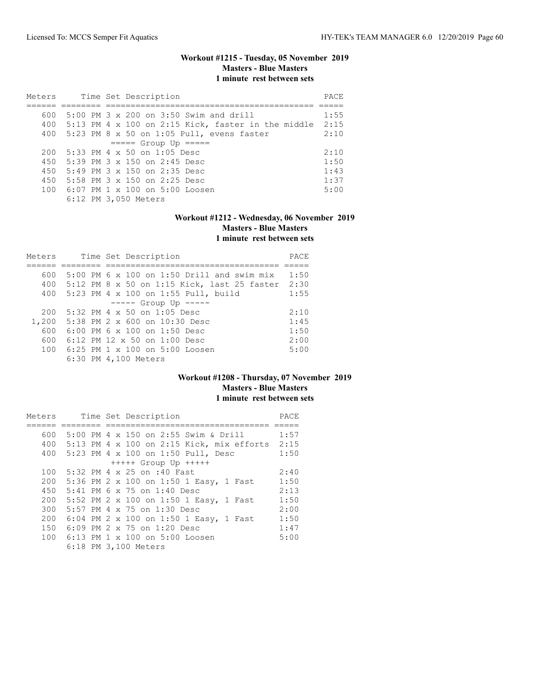# **Workout #1215 - Tuesday, 05 November 2019 Masters - Blue Masters 1 minute rest between sets**

| Meters |  |  | Time Set Description                                   | PACE |
|--------|--|--|--------------------------------------------------------|------|
|        |  |  |                                                        |      |
| 600    |  |  | $5:00$ PM $3 \times 200$ on $3:50$ Swim and drill      | 1:55 |
|        |  |  | 400 5:13 PM 4 x 100 on 2:15 Kick, faster in the middle | 2:15 |
|        |  |  | 400 5:23 PM 8 x 50 on 1:05 Pull, evens faster          | 2:10 |
|        |  |  | $====$ Group Up $====$                                 |      |
| 200    |  |  | $5:33$ PM 4 x 50 on 1:05 Desc                          | 2:10 |
|        |  |  | 450 5:39 PM 3 x 150 on 2:45 Desc                       | 1:50 |
| 450    |  |  | $5:49$ PM $3 \times 150$ on 2:35 Desc                  | 1:43 |
|        |  |  | 450 5:58 PM 3 x 150 on 2:25 Desc                       | 1:37 |
|        |  |  | 100 6:07 PM 1 x 100 on 5:00 Loosen                     | 5:00 |
|        |  |  | 6:12 PM 3,050 Meters                                   |      |

# **Workout #1212 - Wednesday, 06 November 2019 Masters - Blue Masters 1 minute rest between sets**

| Meters |  | Time Set Description                         | PACE |
|--------|--|----------------------------------------------|------|
|        |  |                                              |      |
| 600    |  | $5:00$ PM 6 x 100 on 1:50 Drill and swim mix | 1:50 |
| 400    |  | 5:12 PM 8 x 50 on 1:15 Kick, last 25 faster  | 2:30 |
| 400    |  | 5:23 PM 4 x 100 on 1:55 Pull, build          | 1:55 |
|        |  | $--- -$ Group Up $---$                       |      |
| 200    |  | $5:32$ PM 4 x 50 on 1:05 Desc                | 2:10 |
| 1,200  |  | 5:38 PM 2 x 600 on 10:30 Desc                | 1:45 |
| 600    |  | $6:00$ PM $6 \times 100$ on 1:50 Desc        | 1:50 |
| 600    |  | 6:12 PM 12 $\times$ 50 on 1:00 Desc          | 2:00 |
| 100    |  | $6:25$ PM 1 $\times$ 100 on 5:00 Loosen      | 5:00 |
|        |  | 6:30 PM 4,100 Meters                         |      |

### **Workout #1208 - Thursday, 07 November 2019 Masters - Blue Masters 1 minute rest between sets**

| Meters |  | Time Set Description                          | PACE |
|--------|--|-----------------------------------------------|------|
|        |  |                                               |      |
| 600    |  | 5:00 PM 4 x 150 on 2:55 Swim & Drill          | 1:57 |
|        |  | 400 5:13 PM 4 x 100 on 2:15 Kick, mix efforts | 2:15 |
| 400    |  | 5:23 PM 4 x 100 on 1:50 Pull, Desc            | 1:50 |
|        |  | $++++$ Group Up $++++$                        |      |
| 100    |  | 5:32 PM 4 x 25 on :40 Fast                    | 2:40 |
| 200    |  | 5:36 PM 2 x 100 on 1:50 1 Easy, 1 Fast        | 1:50 |
| 450    |  | 5:41 PM 6 x 75 on 1:40 Desc                   | 2:13 |
| 200    |  | 5:52 PM 2 x 100 on 1:50 1 Easy, 1 Fast        | 1:50 |
| 300    |  | 5:57 PM 4 x 75 on 1:30 Desc                   | 2:00 |
| 200    |  | 6:04 PM 2 x 100 on 1:50 1 Easy, 1 Fast        | 1:50 |
| 150    |  | 6:09 PM 2 x 75 on 1:20 Desc                   | 1:47 |
|        |  | 100 6:13 PM 1 x 100 on 5:00 Loosen            | 5:00 |
|        |  | 6:18 PM 3,100 Meters                          |      |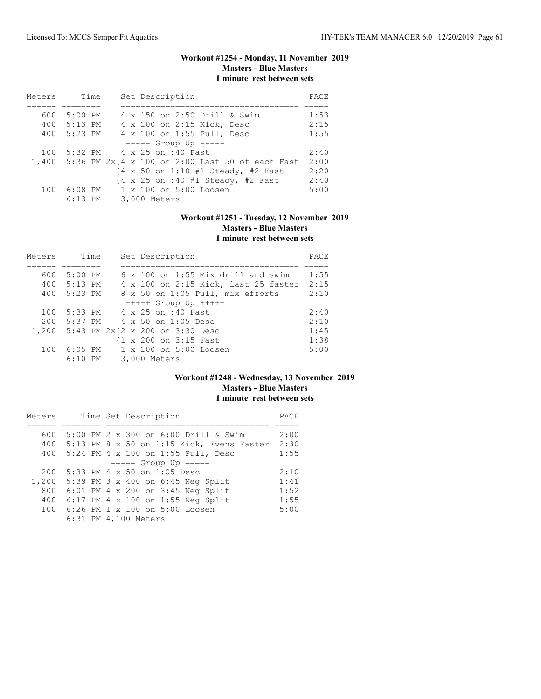# **Workout #1254 - Monday, 11 November 2019 Masters - Blue Masters 1 minute rest between sets**

| Meters | Time      |  | Set Description                                               | PACE |
|--------|-----------|--|---------------------------------------------------------------|------|
|        |           |  |                                                               |      |
| 600    | $5:00$ PM |  | 4 x 150 on 2:50 Drill & Swim                                  | 1:53 |
| 400    | $5:13$ PM |  | 4 x 100 on 2:15 Kick, Desc                                    | 2:15 |
| 400    | $5:23$ PM |  | 4 x 100 on 1:55 Pull, Desc                                    | 1:55 |
|        |           |  | $--- $ Group Up $---$                                         |      |
| 100    |           |  | 5:32 PM 4 x 25 on :40 Fast                                    | 2:40 |
|        |           |  | 1,400 5:36 PM 2x{4 x 100 on 2:00 Last 50 of each Fast         | 2:00 |
|        |           |  | {4 x 50 on 1:10 #1 Steady, #2 Fast                            | 2:20 |
|        |           |  | $\{4 \times 25 \text{ on } : 40 \text{ #1 Steady, #2 Fast}\}$ | 2:40 |
| 100    | $6:08$ PM |  | 1 x 100 on 5:00 Loosen                                        | 5:00 |
|        | $6:13$ PM |  | 3,000 Meters                                                  |      |

# **Workout #1251 - Tuesday, 12 November 2019 Masters - Blue Masters 1 minute rest between sets**

| Meters |             | Time | Set Description                       | PACE |
|--------|-------------|------|---------------------------------------|------|
|        |             |      |                                       |      |
| 600    | $5:00$ PM   |      | 6 x 100 on 1:55 Mix drill and swim    | 1:55 |
|        | 400 5:13 PM |      | 4 x 100 on 2:15 Kick, last 25 faster  | 2:15 |
|        | 400 5:23 PM |      | 8 x 50 on 1:05 Pull, mix efforts      | 2:10 |
|        |             |      | $++++$ Group Up $++++$                |      |
| 100    | $5:33$ PM   |      | 4 x 25 on :40 Fast                    | 2:40 |
| 200    | 5:37 PM     |      | $4 \times 50$ on 1:05 Desc            | 2:10 |
|        |             |      | 1,200 5:43 PM 2x{2 x 200 on 3:30 Desc | 1:45 |
|        |             |      | {1 x 200 on 3:15 Fast                 | 1:38 |
| 100    |             |      | 6:05 PM 1 x 100 on 5:00 Loosen        | 5:00 |
|        | 6:10 PM     |      | 3,000 Meters                          |      |

### **Workout #1248 - Wednesday, 13 November 2019 Masters - Blue Masters 1 minute rest between sets**

| Meters |  |  |  | Time Set Description                       | PACE |
|--------|--|--|--|--------------------------------------------|------|
|        |  |  |  |                                            |      |
| 600    |  |  |  | 5:00 PM 2 x 300 on 6:00 Drill & Swim       | 2:00 |
| 400    |  |  |  | 5:13 PM 8 x 50 on 1:15 Kick, Evens Faster  | 2:30 |
| 400    |  |  |  | 5:24 PM 4 x 100 on 1:55 Pull, Desc         | 1:55 |
|        |  |  |  | $====$ Group Up $====$                     |      |
| 200    |  |  |  | 5:33 PM 4 x 50 on 1:05 Desc                | 2:10 |
| 1,200  |  |  |  | 5:39 PM $3 \times 400$ on $6:45$ Neq Split | 1:41 |
| 800    |  |  |  | 6:01 PM 4 x 200 on 3:45 Neg Split          | 1:52 |
| 400    |  |  |  | 6:17 PM 4 x 100 on 1:55 Neg Split          | 1:55 |
| 100    |  |  |  | 6:26 PM 1 x 100 on 5:00 Loosen             | 5:00 |
|        |  |  |  | 6:31 PM 4,100 Meters                       |      |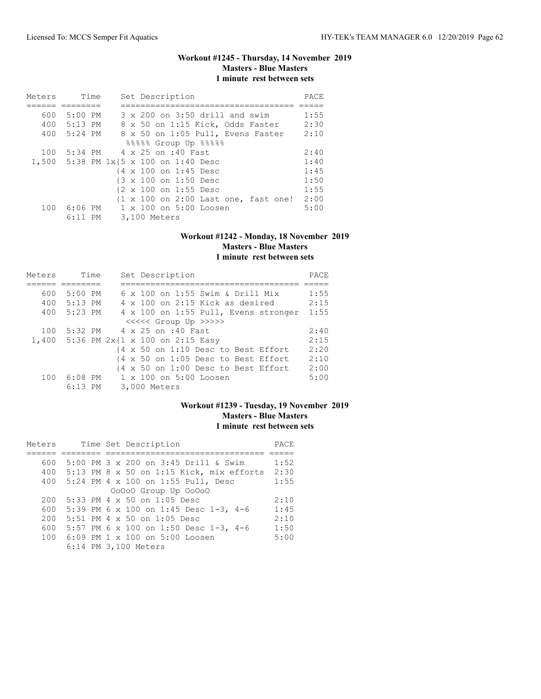### **Workout #1245 - Thursday, 14 November 2019 Masters - Blue Masters 1 minute rest between sets**

| Meters | Time        |  | Set Description                       | PACE |
|--------|-------------|--|---------------------------------------|------|
|        |             |  |                                       |      |
| 600    | $5:00$ PM   |  | 3 x 200 on 3:50 drill and swim        | 1:55 |
|        | 400 5:13 PM |  | 8 x 50 on 1:15 Kick, Odds Faster      | 2:30 |
|        | 400 5:24 PM |  | 8 x 50 on 1:05 Pull, Evens Faster     | 2:10 |
|        |             |  | 88888 Group Up 88888                  |      |
| 100    |             |  | 5:34 PM 4 x 25 on :40 Fast            | 2:40 |
|        |             |  | 1,500 5:38 PM 1x{5 x 100 on 1:40 Desc | 1:40 |
|        |             |  | {4 x 100 on 1:45 Desc                 | 1:45 |
|        |             |  | {3 x 100 on 1:50 Desc                 | 1:50 |
|        |             |  | {2 x 100 on 1:55 Desc                 | 1:55 |
|        |             |  | {1 x 100 on 2:00 Last one, fast one!  | 2:00 |
|        | 100 6:06 PM |  | 1 x 100 on 5:00 Loosen                | 5:00 |
|        | $6:11$ PM   |  | 3,100 Meters                          |      |

#### **Workout #1242 - Monday, 18 November 2019 Masters - Blue Masters 1 minute rest between sets**

| Meters | Time      | Set Description                        | PACE |
|--------|-----------|----------------------------------------|------|
|        |           |                                        |      |
| 600    | $5:00$ PM | 6 x 100 on 1:55 Swim & Drill Mix       | 1:55 |
| 400    | $5:13$ PM | $4 \times 100$ on 2:15 Kick as desired | 2:15 |
| 400    | $5:23$ PM | 4 x 100 on 1:55 Pull, Evens stronger   | 1:55 |
|        |           | <<<<<< Group Up >>>>>>                 |      |
| 100    |           | 5:32 PM $4 \times 25$ on :40 Fast.     | 2:40 |
|        |           | 1,400 5:36 PM 2x{1 x 100 on 2:15 Easy  | 2:15 |
|        |           | {4 x 50 on 1:10 Desc to Best Effort    | 2:20 |
|        |           | {4 x 50 on 1:05 Desc to Best Effort    | 2:10 |
|        |           | {4 x 50 on 1:00 Desc to Best Effort    | 2:00 |
| 100    | $6:08$ PM | 1 x 100 on 5:00 Loosen                 | 5:00 |
|        | $6:13$ PM | 3,000 Meters                           |      |

# **Workout #1239 - Tuesday, 19 November 2019 Masters - Blue Masters 1 minute rest between sets**

| Meters |  | Time Set Description                       | PACE |
|--------|--|--------------------------------------------|------|
|        |  |                                            |      |
| 600    |  | 5:00 PM 3 x 200 on 3:45 Drill & Swim       | 1:52 |
| 400    |  | $5:13$ PM 8 x 50 on 1:15 Kick, mix efforts | 2:30 |
| 400    |  | 5:24 PM 4 x 100 on 1:55 Pull, Desc         | 1:55 |
|        |  | 00000 Group Up 00000                       |      |
| 200    |  | 5:33 PM 4 x 50 on 1:05 Desc                | 2:10 |
| 600    |  | 5:39 PM 6 x 100 on 1:45 Desc 1-3, 4-6      | 1:45 |
| 200    |  | 5:51 PM 4 x 50 on 1:05 Desc                | 2:10 |
| 600    |  | 5:57 PM 6 x 100 on 1:50 Desc 1-3, 4-6      | 1:50 |
| 100    |  | 6:09 PM 1 x 100 on 5:00 Loosen             | 5:00 |
|        |  | 6:14 PM 3,100 Meters                       |      |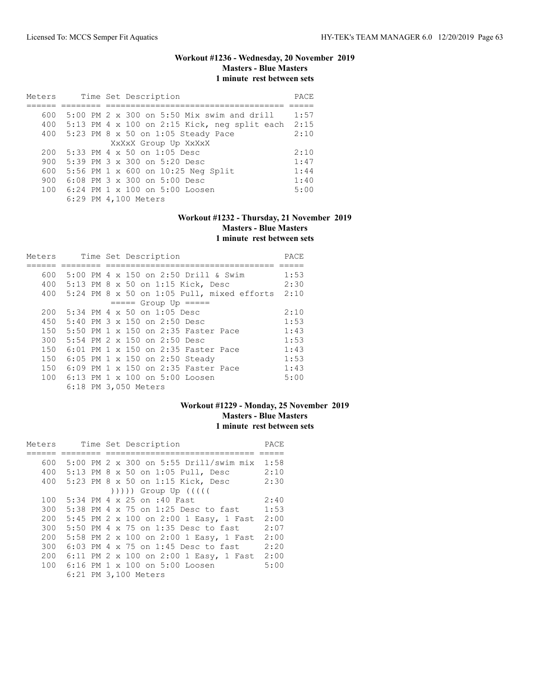### **Workout #1236 - Wednesday, 20 November 2019 Masters - Blue Masters 1 minute rest between sets**

| Meters |  | Time Set Description                           | PACE |
|--------|--|------------------------------------------------|------|
|        |  |                                                |      |
| 600    |  | $5:00$ PM 2 x 300 on $5:50$ Mix swim and drill | 1:57 |
| 400    |  | 5:13 PM 4 x 100 on 2:15 Kick, neg split each   | 2:15 |
| 400    |  | 5:23 PM 8 x 50 on 1:05 Steady Pace             | 2:10 |
|        |  | XxXxX Group Up XxXxX                           |      |
| 200    |  | 5:33 PM 4 x 50 on 1:05 Desc                    | 2:10 |
| 900    |  | 5:39 PM 3 x 300 on 5:20 Desc                   | 1:47 |
| 600    |  | 5:56 PM 1 x 600 on 10:25 Neg Split             | 1:44 |
| 900    |  | 6:08 PM 3 x 300 on 5:00 Desc                   | 1:40 |
| 100    |  | 6:24 PM 1 x 100 on 5:00 Loosen                 | 5:00 |
|        |  | 6:29 PM 4,100 Meters                           |      |

# **Workout #1232 - Thursday, 21 November 2019 Masters - Blue Masters 1 minute rest between sets**

| Meters |  | Time Set Description                                    | PACE |
|--------|--|---------------------------------------------------------|------|
|        |  |                                                         |      |
| 600    |  | 5:00 PM 4 x 150 on 2:50 Drill & Swim                    | 1:53 |
|        |  | 400 5:13 PM 8 x 50 on 1:15 Kick, Desc                   | 2:30 |
|        |  | 400 $5:24$ PM $8 \times 50$ on 1:05 Pull, mixed efforts | 2:10 |
|        |  | $== == $ Group Up $== == $                              |      |
| 200    |  | $5:34$ PM 4 x 50 on 1:05 Desc                           | 2:10 |
| 450    |  | 5:40 PM 3 x 150 on 2:50 Desc                            | 1:53 |
| 150    |  | 5:50 PM 1 x 150 on 2:35 Faster Pace                     | 1:43 |
| 300    |  | 5:54 PM $2 \times 150$ on $2:50$ Desc                   | 1:53 |
| 150    |  | 6:01 PM 1 x 150 on 2:35 Faster Pace                     | 1:43 |
| 150    |  | 6:05 PM 1 x 150 on 2:50 Steady                          | 1:53 |
| 150    |  | 6:09 PM 1 x 150 on 2:35 Faster Pace                     | 1:43 |
| 100    |  | 6:13 PM 1 x 100 on 5:00 Loosen                          | 5:00 |
|        |  | 6:18 PM 3,050 Meters                                    |      |

# **Workout #1229 - Monday, 25 November 2019 Masters - Blue Masters 1 minute rest between sets**

| Meters |  | Time Set Description                   | PACE |
|--------|--|----------------------------------------|------|
|        |  |                                        |      |
| 600    |  | 5:00 PM 2 x 300 on 5:55 Drill/swim mix | 1:58 |
| 400    |  | 5:13 PM 8 x 50 on 1:05 Pull, Desc      | 2:10 |
| 400    |  | 5:23 PM 8 x 50 on 1:15 Kick, Desc      | 2:30 |
|        |  | $( ) )$ ))) Group Up $( ( )$           |      |
| 100    |  | 5:34 PM 4 x 25 on :40 Fast             | 2:40 |
| 300    |  | 5:38 PM 4 x 75 on 1:25 Desc to fast    | 1:53 |
| 200    |  | 5:45 PM 2 x 100 on 2:00 1 Easy, 1 Fast | 2:00 |
| 300    |  | 5:50 PM 4 x 75 on 1:35 Desc to fast    | 2:07 |
| 200    |  | 5:58 PM 2 x 100 on 2:00 1 Easy, 1 Fast | 2:00 |
| 300    |  | $6:03$ PM 4 x 75 on 1:45 Desc to fast  | 2:20 |
| 200    |  | 6:11 PM 2 x 100 on 2:00 1 Easy, 1 Fast | 2:00 |
|        |  | 100 6:16 PM 1 x 100 on 5:00 Loosen     | 5:00 |
|        |  | 6:21 PM 3,100 Meters                   |      |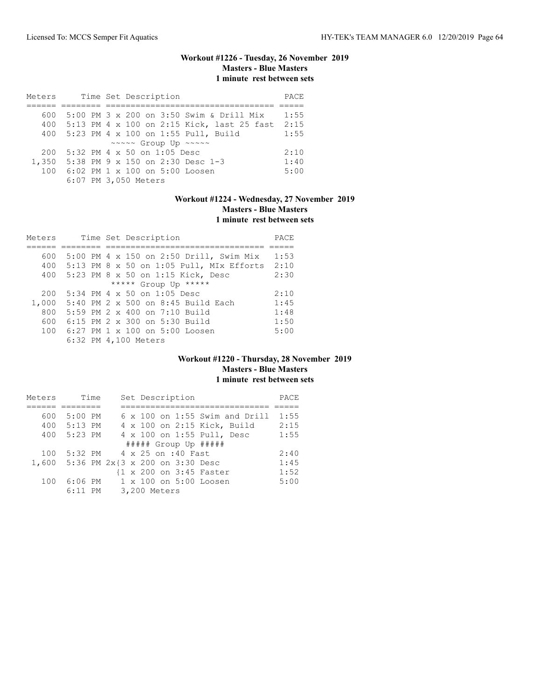# **Workout #1226 - Tuesday, 26 November 2019 Masters - Blue Masters 1 minute rest between sets**

| Meters |  | Time Set Description                           | PACE |
|--------|--|------------------------------------------------|------|
|        |  |                                                |      |
| 600    |  | 5:00 PM 3 x 200 on 3:50 Swim & Drill Mix       | 1:55 |
|        |  | 400 5:13 PM 4 x 100 on 2:15 Kick, last 25 fast | 2:15 |
| 400    |  | 5:23 PM 4 x 100 on 1:55 Pull, Build            | 1:55 |
|        |  | ~~~~~ Group Up ~~~~~                           |      |
| 200    |  | 5:32 PM 4 x 50 on 1:05 Desc                    | 2:10 |
|        |  | 1,350 5:38 PM 9 x 150 on 2:30 Desc 1-3         | 1:40 |
| 100    |  | 6:02 PM $1 \times 100$ on $5:00$ Loosen        | 5:00 |
|        |  | 6:07 PM 3,050 Meters                           |      |

# **Workout #1224 - Wednesday, 27 November 2019**

**Masters - Blue Masters**

| Meters |  |  | Time Set Description                         | PACE |
|--------|--|--|----------------------------------------------|------|
|        |  |  |                                              |      |
| 600    |  |  | 5:00 PM 4 x 150 on 2:50 Drill, Swim Mix      | 1:53 |
|        |  |  | 400 5:13 PM 8 x 50 on 1:05 Pull, MIx Efforts | 2:10 |
| 400    |  |  | 5:23 PM 8 x 50 on 1:15 Kick, Desc            | 2:30 |
|        |  |  | ***** Group Up *****                         |      |
| 200    |  |  | $5:34$ PM 4 x 50 on 1:05 Desc                | 2:10 |
| 1,000  |  |  | 5:40 PM 2 x 500 on 8:45 Build Each           | 1:45 |
| 800    |  |  | 5:59 PM 2 x 400 on 7:10 Build                | 1:48 |
| 600    |  |  | 6:15 PM 2 x 300 on 5:30 Build                | 1:50 |
| 100    |  |  | 6:27 PM 1 x 100 on 5:00 Loosen               | 5:00 |
|        |  |  | 6:32 PM 4,100 Meters                         |      |

### **Workout #1220 - Thursday, 28 November 2019 Masters - Blue Masters 1 minute rest between sets**

| Meters |                                 | Time |                            |              | Set Description |                                       | PACE |
|--------|---------------------------------|------|----------------------------|--------------|-----------------|---------------------------------------|------|
|        |                                 |      |                            |              |                 |                                       |      |
| 600    | $5:00$ PM                       |      |                            |              |                 | $6 \times 100$ on 1:55 Swim and Drill | 1:55 |
|        | 400 5:13 PM                     |      |                            |              |                 | 4 x 100 on 2:15 Kick, Build           | 2:15 |
| 400    | 5:23 PM                         |      |                            |              |                 | 4 x 100 on 1:55 Pull, Desc            | 1:55 |
|        |                                 |      |                            |              |                 | ##### Group Up #####                  |      |
| 100    |                                 |      | 5:32 PM 4 x 25 on :40 Fast |              |                 |                                       | 2:40 |
| 1,600  | 5:36 PM 2x{3 x 200 on 3:30 Desc |      |                            |              |                 |                                       | 1:45 |
|        |                                 |      |                            |              |                 | {1 x 200 on 3:45 Faster               | 1:52 |
| 100    | $6:06$ PM                       |      |                            |              |                 | 1 x 100 on 5:00 Loosen                | 5:00 |
|        | $6:11$ PM                       |      |                            | 3,200 Meters |                 |                                       |      |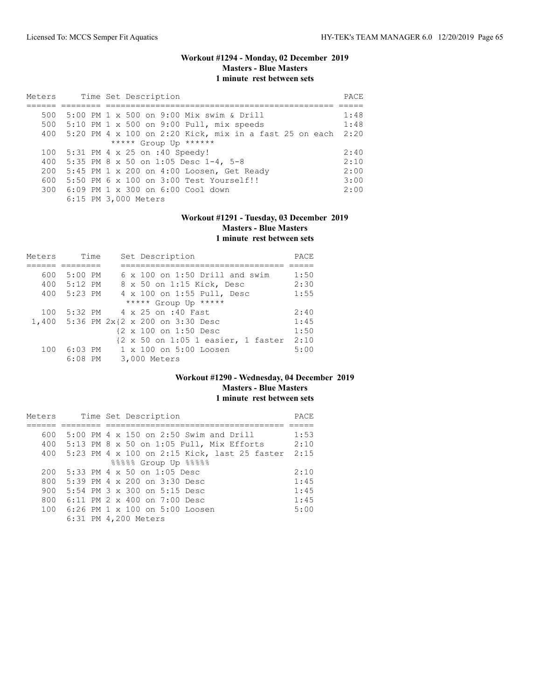# **Workout #1294 - Monday, 02 December 2019 Masters - Blue Masters 1 minute rest between sets**

| Meters |  | Time Set Description                                       | PACE |
|--------|--|------------------------------------------------------------|------|
|        |  |                                                            |      |
| 500    |  | 5:00 PM 1 x 500 on 9:00 Mix swim & Drill                   | 1:48 |
|        |  | 500 5:10 PM 1 x 500 on 9:00 Pull, mix speeds               | 1:48 |
|        |  | 400 5:20 PM 4 x 100 on 2:20 Kick, mix in a fast 25 on each | 2:20 |
|        |  | ***** Group Up ******                                      |      |
| 100    |  | 5:31 PM 4 x 25 on :40 Speedy!                              | 2:40 |
| 400    |  | 5:35 PM 8 x 50 on 1:05 Desc 1-4, 5-8                       | 2:10 |
| 200    |  | 5:45 PM 1 x 200 on 4:00 Loosen, Get Ready                  | 2:00 |
| 600    |  | 5:50 PM 6 x 100 on 3:00 Test Yourself!!                    | 3:00 |
|        |  | 300 6:09 PM 1 x 300 on 6:00 Cool down                      | 2:00 |
|        |  | 6:15 PM 3,000 Meters                                       |      |

# **Workout #1291 - Tuesday, 03 December 2019 Masters - Blue Masters 1 minute rest between sets**

| Meters |           | Time | Set Description                                                                | PACE |  |
|--------|-----------|------|--------------------------------------------------------------------------------|------|--|
|        |           |      |                                                                                |      |  |
| 600    | $5:00$ PM |      | $6 \times 100$ on 1:50 Drill and swim                                          | 1:50 |  |
| 400    | 5:12 PM   |      | 8 x 50 on 1:15 Kick, Desc                                                      | 2:30 |  |
| 400    | 5:23 PM   |      | 4 x 100 on 1:55 Pull, Desc                                                     | 1:55 |  |
|        |           |      | ***** Group Up *****                                                           |      |  |
| 100    |           |      | 5:32 PM 4 x 25 on :40 Fast                                                     | 2:40 |  |
|        |           |      | 1,400 5:36 PM 2x{2 x 200 on 3:30 Desc                                          | 1:45 |  |
|        |           |      | {2 x 100 on 1:50 Desc                                                          | 1:50 |  |
|        |           |      | $\{2 \times 50 \text{ on } 1:05 \text{ } 1 \text{ easier}, 1 \text{ faster}\}$ | 2:10 |  |
| 100    |           |      | 6:03 PM 1 x 100 on 5:00 Loosen                                                 | 5:00 |  |
|        | $6:08$ PM |      | 3,000 Meters                                                                   |      |  |

### **Workout #1290 - Wednesday, 04 December 2019 Masters - Blue Masters 1 minute rest between sets**

| Meters |  | Time Set Description                         | PACE |
|--------|--|----------------------------------------------|------|
|        |  |                                              |      |
| 600    |  | 5:00 PM 4 x 150 on 2:50 Swim and Drill       | 1:53 |
|        |  | 400 5:13 PM 8 x 50 on 1:05 Pull, Mix Efforts | 2:10 |
| 400    |  | 5:23 PM 4 x 100 on 2:15 Kick, last 25 faster | 2:15 |
|        |  | 88888 Group Up 88888                         |      |
| 200    |  | 5:33 PM 4 x 50 on 1:05 Desc                  | 2:10 |
| 800    |  | $5:39$ PM 4 x 200 on $3:30$ Desc             | 1:45 |
| 900    |  | 5:54 PM $3 \times 300$ on 5:15 Desc          | 1:45 |
| 800    |  | 6:11 PM 2 x 400 on 7:00 Desc                 | 1:45 |
| 100    |  | 6:26 PM 1 x 100 on 5:00 Loosen               | 5:00 |
|        |  | 6:31 PM 4,200 Meters                         |      |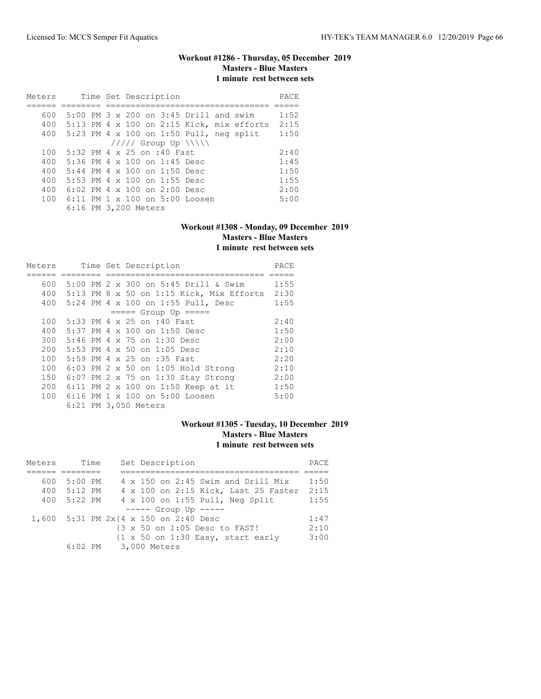# **Workout #1286 - Thursday, 05 December 2019 Masters - Blue Masters 1 minute rest between sets**

| Meters |  | Time Set Description                              | PACE |
|--------|--|---------------------------------------------------|------|
|        |  |                                                   |      |
| 600    |  | $5:00$ PM $3 \times 200$ on $3:45$ Drill and swim | 1:52 |
| 400    |  | $5:13$ PM 4 x 100 on 2:15 Kick, mix efforts       | 2:15 |
| 400    |  | $5:23$ PM 4 x 100 on 1:50 Pull, neg split         | 1:50 |
|        |  | $11111$ Group Up $\{\{\}\}\$                      |      |
| 100    |  | 5:32 PM $4 \times 25$ on :40 Fast.                | 2:40 |
| 400    |  | 5:36 PM 4 $\times$ 100 on 1:45 Desc               | 1:45 |
| 400    |  | 5:44 PM 4 x 100 on 1:50 Desc                      | 1:50 |
| 400    |  | 5:53 PM 4 x 100 on 1:55 Desc                      | 1:55 |
| 400    |  | 6:02 PM $4 \times 100$ on 2:00 Desc               | 2:00 |
| 100    |  | $6:11$ PM $1 \times 100$ on $5:00$ Loosen         | 5:00 |
|        |  | 6:16 PM 3,200 Meters                              |      |

#### **Workout #1308 - Monday, 09 December 2019 Masters - Blue Masters 1 minute rest between sets**

| Meters |  | Time Set Description                       | PACE |
|--------|--|--------------------------------------------|------|
|        |  |                                            |      |
| 600    |  | 5:00 PM 2 x 300 on 5:45 Drill & Swim       | 1:55 |
| 400    |  | $5:13$ PM 8 x 50 on 1:15 Kick, Mix Efforts | 2:30 |
| 400    |  | 5:24 PM 4 x 100 on 1:55 Pull, Desc         | 1:55 |
|        |  | $== == $ Group Up $== == $                 |      |
| 100    |  | 5:33 PM 4 x 25 on :40 Fast                 | 2:40 |
| 400    |  | 5:37 PM 4 x 100 on 1:50 Desc               | 1:50 |
| 300    |  | 5:46 PM 4 x 75 on 1:30 Desc                | 2:00 |
| 200    |  | 5:53 PM 4 x 50 on 1:05 Desc                | 2:10 |
| 100    |  | 5:59 PM 4 x 25 on :35 Fast                 | 2:20 |
| 100    |  | $6:03$ PM 2 x 50 on 1:05 Hold Strong       | 2:10 |
| 150    |  | $6:07$ PM 2 x 75 on 1:30 Stay Strong       | 2:00 |
| 200    |  | 6:11 PM 2 x 100 on 1:50 Keep at it         | 1:50 |
|        |  | 100 6:16 PM 1 x 100 on 5:00 Loosen         | 5:00 |
|        |  | 6:21 PM 3,050 Meters                       |      |

# **Workout #1305 - Tuesday, 10 December 2019 Masters - Blue Masters 1 minute rest between sets**

| Meters | Time      | Set Description                                                      | PACE |
|--------|-----------|----------------------------------------------------------------------|------|
|        |           |                                                                      |      |
| 600    | $5:00$ PM | 4 x 150 on 2:45 Swim and Drill Mix                                   | 1:50 |
| 400    | $5:12$ PM | 4 x 100 on 2:15 Kick, Last 25 Faster                                 | 2:15 |
| 400    | 5:22 PM   | 4 x 100 on 1:55 Pull, Neg Split                                      | 1:55 |
|        |           | $---$ Group Up $---$                                                 |      |
|        |           | 1,600 5:31 PM 2x{4 x 150 on 2:40 Desc                                | 1:47 |
|        |           | {3 x 50 on 1:05 Desc to FAST!                                        | 2:10 |
|        |           | $\{1 \times 50 \text{ on } 1:30 \text{ Easy}, \text{ start early}\}$ | 3:00 |
|        | 6:02 PM   | 3,000 Meters                                                         |      |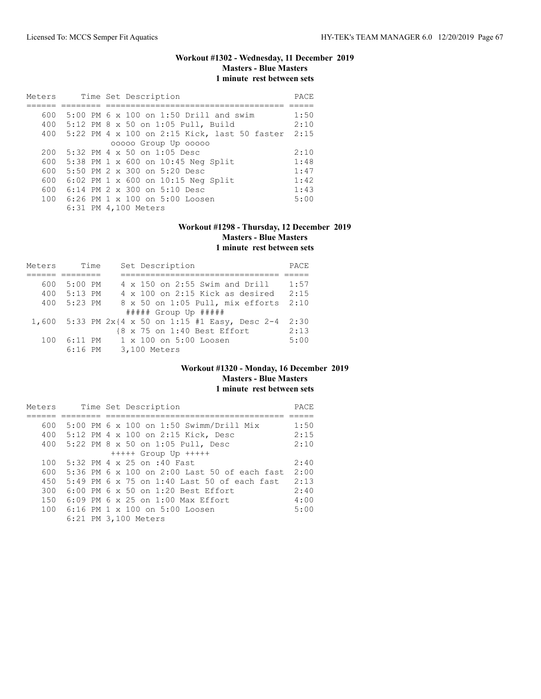# **Workout #1302 - Wednesday, 11 December 2019 Masters - Blue Masters 1 minute rest between sets**

| Meters |  | Time Set Description                             | PACE |
|--------|--|--------------------------------------------------|------|
|        |  |                                                  |      |
| 600    |  | 5:00 PM 6 x 100 on 1:50 Drill and swim           | 1:50 |
|        |  | 400 5:12 PM 8 x 50 on 1:05 Pull, Build           | 2:10 |
|        |  | 400 5:22 PM 4 x 100 on 2:15 Kick, last 50 faster | 2:15 |
|        |  | 00000 Group Up 00000                             |      |
| 200    |  | $5:32$ PM 4 x 50 on 1:05 Desc                    | 2:10 |
|        |  | 600 5:38 PM 1 x 600 on 10:45 Neg Split           | 1:48 |
| 600    |  | 5:50 PM $2 \times 300$ on 5:20 Desc              | 1:47 |
| 600    |  | 6:02 PM $1 \times 600$ on 10:15 Neg Split        | 1:42 |
| 600    |  | 6:14 PM $2 \times 300$ on $5:10$ Desc            | 1:43 |
| 100    |  | $6:26$ PM $1 \times 100$ on $5:00$ Loosen        | 5:00 |
|        |  | 6:31 PM 4,100 Meters                             |      |

#### **Workout #1298 - Thursday, 12 December 2019 Masters - Blue Masters 1 minute rest between sets**

| Meters | Time      |  | Set Description                                      | PACE |
|--------|-----------|--|------------------------------------------------------|------|
|        |           |  |                                                      |      |
| 600    | $5:00$ PM |  | 4 x 150 on 2:55 Swim and Drill                       | 1:57 |
| 400    | 5:13 PM   |  | $4 \times 100$ on 2:15 Kick as desired               | 2:15 |
| 400    | $5:23$ PM |  | 8 x 50 on 1:05 Pull, mix efforts                     | 2:10 |
|        |           |  | $\#$ #### Group Up $\#$ ####                         |      |
|        |           |  | 1,600 5:33 PM $2x{4 x 50 on 1:15 #1 Easy, Desc 2-4}$ | 2:30 |
|        |           |  | {8 x 75 on 1:40 Best Effort                          | 2:13 |
| 100    | 6:11 PM   |  | $1 \times 100$ on $5:00$ Loosen                      | 5:00 |
|        | $6:16$ PM |  | 3,100 Meters                                         |      |

### **Workout #1320 - Monday, 16 December 2019 Masters - Blue Masters 1 minute rest between sets**

| Meters |  | Time Set Description                          | PACE |
|--------|--|-----------------------------------------------|------|
|        |  |                                               |      |
| 600    |  | 5:00 PM 6 x 100 on 1:50 Swimm/Drill Mix       | 1:50 |
| 400    |  | 5:12 PM 4 x 100 on 2:15 Kick, Desc            | 2:15 |
| 400    |  | 5:22 PM 8 x 50 on 1:05 Pull, Desc             | 2:10 |
|        |  | $++++$ Group Up $++++$                        |      |
| 100    |  | $5:32$ PM 4 x 25 on :40 Fast                  | 2:40 |
| 600    |  | 5:36 PM 6 x 100 on 2:00 Last 50 of each fast  | 2:00 |
| 450    |  | 5:49 PM 6 x 75 on 1:40 Last 50 of each fast   | 2:13 |
| 300    |  | $6:00$ PM $6 \times 50$ on 1:20 Best Effort   | 2:40 |
| 150    |  | $6:09$ PM $6 \times 25$ on $1:00$ Max Effort. | 4:00 |
| 100    |  | 6:16 PM 1 x 100 on 5:00 Loosen                | 5:00 |
|        |  | 6:21 PM 3,100 Meters                          |      |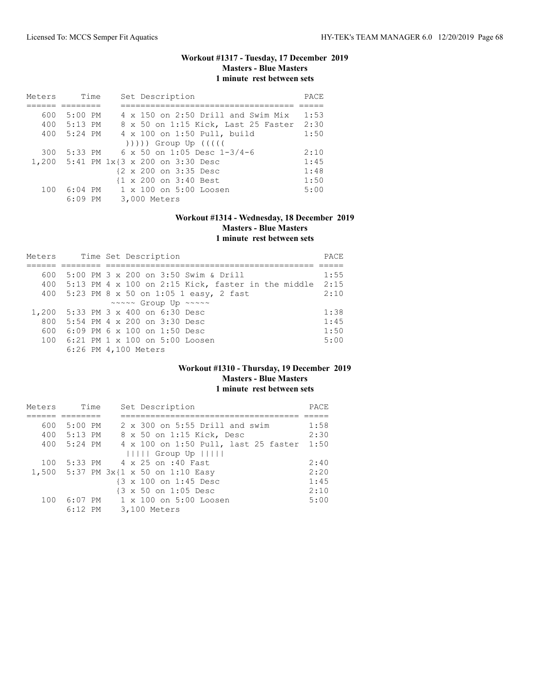### **Workout #1317 - Tuesday, 17 December 2019 Masters - Blue Masters 1 minute rest between sets**

| Meters | Time      |    | Set Description                       | PACE |
|--------|-----------|----|---------------------------------------|------|
|        |           |    |                                       |      |
| 600    | $5:00$ PM |    | 4 x 150 on 2:50 Drill and Swim Mix    | 1:53 |
| 400    | $5:13$ PM |    | 8 x 50 on 1:15 Kick, Last 25 Faster   | 2:30 |
| 400    | $5:24$ PM |    | 4 x 100 on 1:50 Pull, build           | 1:50 |
|        |           |    |                                       |      |
| 300    | $5:33$ PM |    | $6 \times 50$ on 1:05 Desc 1-3/4-6    | 2:10 |
|        |           |    | 1,200 5:41 PM 1x{3 x 200 on 3:30 Desc | 1:45 |
|        |           |    | {2 x 200 on 3:35 Desc                 | 1:48 |
|        |           |    | {1 x 200 on 3:40 Best                 | 1:50 |
| 100    | $6:04$ PM |    | 1 x 100 on 5:00 Loosen                | 5:00 |
|        | 6:09      | PМ | 3,000 Meters                          |      |

# **Workout #1314 - Wednesday, 18 December 2019 Masters - Blue Masters 1 minute rest between sets**

| Meters |  | Time Set Description                                        | PACE |
|--------|--|-------------------------------------------------------------|------|
|        |  |                                                             |      |
| 600    |  | 5:00 PM 3 x 200 on 3:50 Swim & Drill                        | 1:55 |
|        |  | 400 5:13 PM 4 x 100 on 2:15 Kick, faster in the middle 2:15 |      |
|        |  | 400 5:23 PM 8 x 50 on 1:05 1 easy, 2 fast                   | 2:10 |
|        |  | ~~~~~ Group Up ~~~~~                                        |      |
|        |  | 1,200 5:33 PM 3 x 400 on 6:30 Desc                          | 1:38 |
|        |  | 800 5:54 PM 4 x 200 on 3:30 Desc                            | 1:45 |
| 600    |  | 6:09 PM 6 x 100 on 1:50 Desc                                | 1:50 |
|        |  | 100 6:21 PM 1 x 100 on 5:00 Loosen                          | 5:00 |
|        |  | 6:26 PM 4,100 Meters                                        |      |

### **Workout #1310 - Thursday, 19 December 2019 Masters - Blue Masters 1 minute rest between sets**

| Meters | Time        | Set Description                      | PACE |
|--------|-------------|--------------------------------------|------|
|        |             |                                      |      |
| 600    | 5:00 PM     | 2 x 300 on 5:55 Drill and swim       | 1:58 |
|        | 400 5:13 PM | 8 x 50 on 1:15 Kick, Desc            | 2:30 |
|        | 400 5:24 PM | 4 x 100 on 1:50 Pull, last 25 faster | 1:50 |
|        |             | $      $ Group Up $      $           |      |
| 100    |             | 5:33 PM 4 x 25 on :40 Fast           | 2:40 |
|        |             | 1,500 5:37 PM 3x{1 x 50 on 1:10 Easy | 2:20 |
|        |             | {3 x 100 on 1:45 Desc                | 1:45 |
|        |             | {3 x 50 on 1:05 Desc                 | 2:10 |
| 100    |             | 6:07 PM 1 x 100 on 5:00 Loosen       | 5:00 |
|        | $6:12$ PM   | 3,100 Meters                         |      |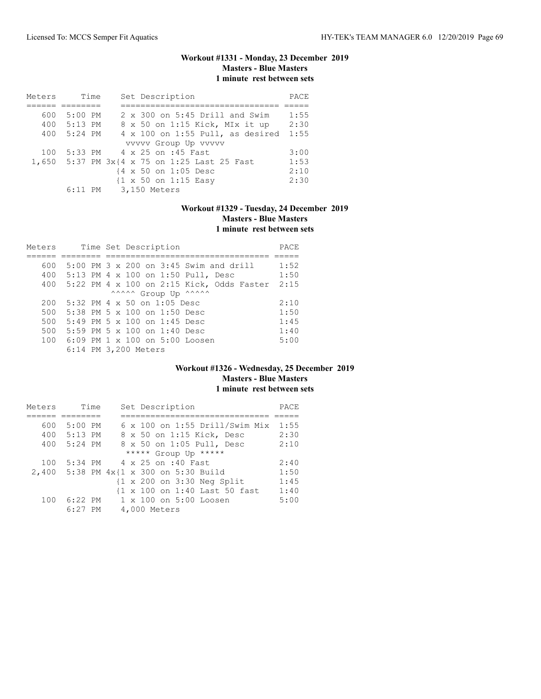# **Workout #1331 - Monday, 23 December 2019 Masters - Blue Masters 1 minute rest between sets**

| Meters |             | Time | Set Description                              | PACE |
|--------|-------------|------|----------------------------------------------|------|
|        |             |      |                                              |      |
| 600    | $5:00$ PM   |      | $2 \times 300$ on 5:45 Drill and Swim        | 1:55 |
|        | 400 5:13 PM |      | 8 x 50 on 1:15 Kick, MIx it up               | 2:30 |
| 400    | 5:24 PM     |      | $4 \times 100$ on 1:55 Pull, as desired      | 1:55 |
|        |             |      | vvvvv Group Up vvvvv                         |      |
| 100    |             |      | 5:33 PM 4 x 25 on :45 Fast                   | 3:00 |
|        |             |      | 1,650 5:37 PM 3x{4 x 75 on 1:25 Last 25 Fast | 1:53 |
|        |             |      | {4 x 50 on 1:05 Desc                         | 2:10 |
|        |             |      | {1 x 50 on 1:15 Easy                         | 2:30 |
|        |             |      | 6:11 PM 3,150 Meters                         |      |

# **Workout #1329 - Tuesday, 24 December 2019 Masters - Blue Masters 1 minute rest between sets**

| Meters |  | Time Set Description                              | PACE |
|--------|--|---------------------------------------------------|------|
|        |  |                                                   |      |
| 600    |  | $5:00$ PM $3 \times 200$ on $3:45$ Swim and drill | 1:52 |
| 400    |  | 5:13 PM 4 x 100 on 1:50 Pull, Desc                | 1:50 |
| 400    |  | 5:22 PM 4 x 100 on 2:15 Kick, Odds Faster         | 2:15 |
|        |  | ^^^^^ Group Up ^^^^^^                             |      |
| 200    |  | $5:32$ PM 4 x 50 on 1:05 Desc                     | 2:10 |
| 500    |  | $5:38$ PM $5 \times 100$ on $1:50$ Desc           | 1:50 |
| 500    |  | $5:49$ PM $5 \times 100$ on $1:45$ Desc           | 1:45 |
| 500    |  | 5:59 PM 5 $\times$ 100 on 1:40 Desc               | 1:40 |
| 100    |  | $6:09$ PM $1 \times 100$ on $5:00$ Loosen         | 5:00 |
|        |  | 6:14 PM 3,200 Meters                              |      |

# **Workout #1326 - Wednesday, 25 December 2019 Masters - Blue Masters 1 minute rest between sets**

| Meters | Time      | Set Description                                       | PACE |
|--------|-----------|-------------------------------------------------------|------|
|        |           |                                                       |      |
| 600    | $5:00$ PM | $6 \times 100$ on 1:55 Drill/Swim Mix                 | 1:55 |
| 400    | 5:13 PM   | 8 x 50 on 1:15 Kick, Desc                             | 2:30 |
| 400    | $5:24$ PM | 8 x 50 on 1:05 Pull, Desc                             | 2:10 |
|        |           | ***** Group Up *****                                  |      |
| 100    |           | 5:34 PM 4 x 25 on :40 Fast                            | 2:40 |
| 2,400  |           | 5:38 PM 4x{1 x 300 on 5:30 Build                      | 1:50 |
|        |           | $\{1 \times 200 \text{ on } 3:30 \text{ Neg Split}\}$ | 1:45 |
|        |           | {1 x 100 on 1:40 Last 50 fast                         | 1:40 |
| 100    | 6:22 PM   | $1 \times 100$ on $5:00$ Loosen                       | 5:00 |
|        | $6:27$ PM | 4,000 Meters                                          |      |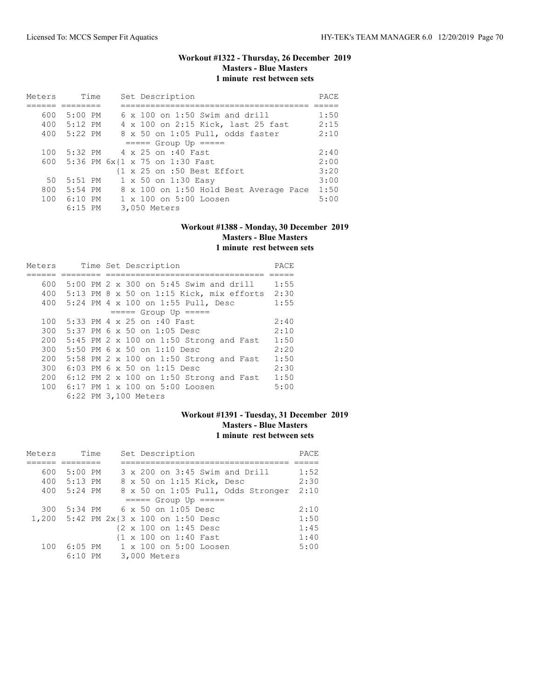### **Workout #1322 - Thursday, 26 December 2019 Masters - Blue Masters 1 minute rest between sets**

| Meters | Time      | Set Description                                        | PACE |
|--------|-----------|--------------------------------------------------------|------|
|        |           |                                                        |      |
| 600    | $5:00$ PM | $6 \times 100$ on 1:50 Swim and drill                  | 1:50 |
| 400    | $5:12$ PM | 4 x 100 on 2:15 Kick, last 25 fast                     | 2:15 |
| 400    | $5:22$ PM | 8 x 50 on 1:05 Pull, odds faster                       | 2:10 |
|        |           | $====$ Group Up $====$                                 |      |
| 100    |           | 5:32 PM 4 x 25 on :40 Fast                             | 2:40 |
| 600 -  |           | 5:36 PM 6x{1 x 75 on 1:30 Fast                         | 2:00 |
|        |           | $\{1 \times 25 \text{ on } : 50 \text{ Best Effect}\}$ | 3:20 |
| 50     | $5:51$ PM | 1 x 50 on 1:30 Easy                                    | 3:00 |
| 800    | $5:54$ PM | 8 x 100 on 1:50 Hold Best Average Pace                 | 1:50 |
| 100    | $6:10$ PM | $1 \times 100$ on $5:00$ Loosen                        | 5:00 |
|        | $6:15$ PM | 3,050 Meters                                           |      |

#### **Workout #1388 - Monday, 30 December 2019 Masters - Blue Masters 1 minute rest between sets**

| Meters |  | Time Set Description                              | PACE |
|--------|--|---------------------------------------------------|------|
|        |  |                                                   |      |
| 600    |  | $5:00$ PM $2 \times 300$ on $5:45$ Swim and drill | 1:55 |
| 400    |  | $5:13$ PM 8 x 50 on 1:15 Kick, mix efforts        | 2:30 |
| 400    |  | 5:24 PM 4 x 100 on 1:55 Pull, Desc                | 1:55 |
|        |  | $====$ Group Up $====$                            |      |
| 100    |  | 5:33 PM 4 x 25 on :40 Fast                        | 2:40 |
| 300    |  | $5:37$ PM 6 x 50 on 1:05 Desc                     | 2:10 |
| 200    |  | $5:45$ PM 2 x 100 on 1:50 Strong and Fast         | 1:50 |
| 300    |  | $5:50$ PM 6 x 50 on 1:10 Desc                     | 2:20 |
| 200    |  | 5:58 PM 2 x 100 on 1:50 Strong and Fast           | 1:50 |
| 300    |  | 6:03 PM 6 x 50 on 1:15 Desc                       | 2:30 |
| 200    |  | $6:12$ PM 2 x 100 on 1:50 Strong and Fast         | 1:50 |
|        |  | 100 6:17 PM 1 x 100 on 5:00 Loosen                | 5:00 |
|        |  | 6:22 PM 3,100 Meters                              |      |

### **Workout #1391 - Tuesday, 31 December 2019 Masters - Blue Masters 1 minute rest between sets**

| Meters | Time        | Set Description                       | PACE |
|--------|-------------|---------------------------------------|------|
|        |             |                                       |      |
| 600    | 5:00 PM     | 3 x 200 on 3:45 Swim and Drill        | 1:52 |
|        | 400 5:13 PM | 8 x 50 on 1:15 Kick, Desc             | 2:30 |
|        | 400 5:24 PM | 8 x 50 on 1:05 Pull, Odds Stronger    | 2:10 |
|        |             | $====$ Group Up $====$                |      |
| 300    |             | 5:34 PM 6 x 50 on 1:05 Desc           | 2:10 |
|        |             | 1,200 5:42 PM 2x{3 x 100 on 1:50 Desc | 1:50 |
|        |             | {2 x 100 on 1:45 Desc                 | 1:45 |
|        |             | {1 x 100 on 1:40 Fast                 | 1:40 |
| 100    |             | 6:05 PM 1 x 100 on 5:00 Loosen        | 5:00 |
|        | $6:10$ PM   | 3,000 Meters                          |      |